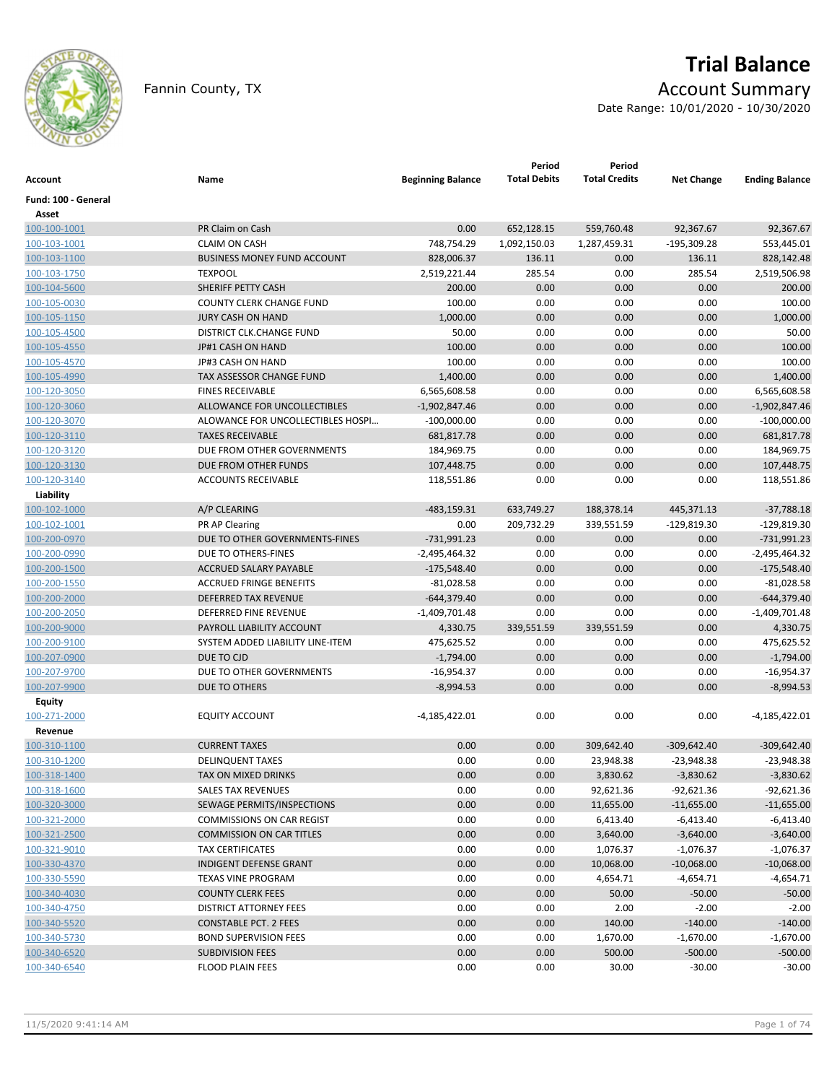

# **Trial Balance**

## Fannin County, TX **Account Summary**

Date Range: 10/01/2020 - 10/30/2020

| <b>Account</b>               | Name                               | <b>Beginning Balance</b>    | Period<br><b>Total Debits</b> | Period<br><b>Total Credits</b> | <b>Net Change</b> | <b>Ending Balance</b>       |
|------------------------------|------------------------------------|-----------------------------|-------------------------------|--------------------------------|-------------------|-----------------------------|
| Fund: 100 - General<br>Asset |                                    |                             |                               |                                |                   |                             |
| 100-100-1001                 | PR Claim on Cash                   | 0.00                        | 652,128.15                    | 559,760.48                     | 92,367.67         | 92,367.67                   |
| 100-103-1001                 | <b>CLAIM ON CASH</b>               | 748,754.29                  | 1,092,150.03                  | 1,287,459.31                   | $-195,309.28$     | 553,445.01                  |
| 100-103-1100                 | <b>BUSINESS MONEY FUND ACCOUNT</b> | 828,006.37                  | 136.11                        | 0.00                           | 136.11            | 828,142.48                  |
| 100-103-1750                 | <b>TEXPOOL</b>                     | 2,519,221.44                | 285.54                        | 0.00                           | 285.54            | 2,519,506.98                |
| 100-104-5600                 | SHERIFF PETTY CASH                 | 200.00                      | 0.00                          | 0.00                           | 0.00              | 200.00                      |
| 100-105-0030                 | <b>COUNTY CLERK CHANGE FUND</b>    | 100.00                      | 0.00                          | 0.00                           | 0.00              | 100.00                      |
| 100-105-1150                 | <b>JURY CASH ON HAND</b>           | 1,000.00                    | 0.00                          | 0.00                           | 0.00              | 1,000.00                    |
| 100-105-4500                 | DISTRICT CLK.CHANGE FUND           | 50.00                       | 0.00                          | 0.00                           | 0.00              | 50.00                       |
| 100-105-4550                 | JP#1 CASH ON HAND                  | 100.00                      | 0.00                          | 0.00                           | 0.00              | 100.00                      |
| 100-105-4570                 | JP#3 CASH ON HAND                  | 100.00                      | 0.00                          | 0.00                           | 0.00              | 100.00                      |
| 100-105-4990                 | TAX ASSESSOR CHANGE FUND           | 1,400.00                    | 0.00                          | 0.00                           | 0.00              | 1,400.00                    |
| 100-120-3050                 | <b>FINES RECEIVABLE</b>            | 6,565,608.58                | 0.00                          | 0.00                           | 0.00              | 6,565,608.58                |
| 100-120-3060                 | ALLOWANCE FOR UNCOLLECTIBLES       | $-1,902,847.46$             | 0.00                          | 0.00                           | 0.00              | $-1,902,847.46$             |
| 100-120-3070                 | ALOWANCE FOR UNCOLLECTIBLES HOSPI  | $-100,000.00$               | 0.00                          | 0.00                           | 0.00              | $-100,000.00$               |
| 100-120-3110                 | <b>TAXES RECEIVABLE</b>            | 681,817.78                  | 0.00                          | 0.00                           | 0.00              | 681,817.78                  |
| 100-120-3120                 | DUE FROM OTHER GOVERNMENTS         | 184,969.75                  | 0.00                          | 0.00                           | 0.00              | 184,969.75                  |
| 100-120-3130                 | DUE FROM OTHER FUNDS               | 107,448.75                  | 0.00                          | 0.00                           | 0.00              | 107,448.75                  |
| 100-120-3140                 | <b>ACCOUNTS RECEIVABLE</b>         | 118,551.86                  | 0.00                          | 0.00                           | 0.00              | 118,551.86                  |
| Liability                    |                                    |                             |                               |                                |                   |                             |
| 100-102-1000                 | A/P CLEARING                       | $-483,159.31$               | 633,749.27                    | 188,378.14                     | 445,371.13        | $-37,788.18$                |
| 100-102-1001                 | PR AP Clearing                     | 0.00                        | 209,732.29                    | 339,551.59                     | $-129,819.30$     | $-129,819.30$               |
| 100-200-0970                 | DUE TO OTHER GOVERNMENTS-FINES     | $-731,991.23$               | 0.00                          | 0.00                           | 0.00              | $-731,991.23$               |
| 100-200-0990                 | DUE TO OTHERS-FINES                | $-2,495,464.32$             | 0.00                          | 0.00                           | 0.00              | $-2,495,464.32$             |
| 100-200-1500                 | ACCRUED SALARY PAYABLE             | $-175,548.40$               | 0.00                          | 0.00                           | 0.00              | $-175,548.40$               |
| 100-200-1550                 | <b>ACCRUED FRINGE BENEFITS</b>     | $-81,028.58$                | 0.00                          | 0.00                           | 0.00              | $-81,028.58$                |
| 100-200-2000                 | <b>DEFERRED TAX REVENUE</b>        | $-644,379.40$               | 0.00                          | 0.00                           | 0.00              | $-644,379.40$               |
| 100-200-2050                 | DEFERRED FINE REVENUE              | $-1,409,701.48$             | 0.00                          | 0.00                           | 0.00              | $-1,409,701.48$             |
| 100-200-9000                 | PAYROLL LIABILITY ACCOUNT          | 4,330.75                    | 339,551.59                    | 339,551.59                     | 0.00              | 4,330.75                    |
|                              | SYSTEM ADDED LIABILITY LINE-ITEM   |                             | 0.00                          |                                |                   | 475,625.52                  |
| 100-200-9100                 | DUE TO CJD                         | 475,625.52                  | 0.00                          | 0.00                           | 0.00              |                             |
| 100-207-0900                 | DUE TO OTHER GOVERNMENTS           | $-1,794.00$<br>$-16,954.37$ | 0.00                          | 0.00<br>0.00                   | 0.00<br>0.00      | $-1,794.00$                 |
| 100-207-9700                 | DUE TO OTHERS                      |                             | 0.00                          | 0.00                           | 0.00              | $-16,954.37$<br>$-8,994.53$ |
| 100-207-9900                 |                                    | $-8,994.53$                 |                               |                                |                   |                             |
| Equity                       | <b>EQUITY ACCOUNT</b>              | $-4,185,422.01$             | 0.00                          |                                | 0.00              |                             |
| 100-271-2000<br>Revenue      |                                    |                             |                               | 0.00                           |                   | $-4,185,422.01$             |
| 100-310-1100                 | <b>CURRENT TAXES</b>               | 0.00                        | 0.00                          | 309,642.40                     | $-309,642.40$     | $-309,642.40$               |
| 100-310-1200                 | <b>DELINQUENT TAXES</b>            | 0.00                        | 0.00                          | 23,948.38                      | $-23.948.38$      | $-23,948.38$                |
| 100-318-1400                 | TAX ON MIXED DRINKS                | 0.00                        | 0.00                          | 3,830.62                       | $-3,830.62$       | $-3,830.62$                 |
| 100-318-1600                 | <b>SALES TAX REVENUES</b>          | 0.00                        | 0.00                          | 92,621.36                      | $-92,621.36$      | $-92,621.36$                |
| 100-320-3000                 | SEWAGE PERMITS/INSPECTIONS         | 0.00                        | 0.00                          | 11,655.00                      | $-11,655.00$      | $-11,655.00$                |
| 100-321-2000                 | <b>COMMISSIONS ON CAR REGIST</b>   | 0.00                        | 0.00                          | 6,413.40                       | $-6,413.40$       | $-6,413.40$                 |
| 100-321-2500                 | <b>COMMISSION ON CAR TITLES</b>    | 0.00                        | 0.00                          | 3,640.00                       | $-3,640.00$       | $-3,640.00$                 |
| 100-321-9010                 | <b>TAX CERTIFICATES</b>            | 0.00                        | 0.00                          | 1,076.37                       | $-1,076.37$       | $-1,076.37$                 |
| 100-330-4370                 | <b>INDIGENT DEFENSE GRANT</b>      | 0.00                        | 0.00                          | 10,068.00                      | $-10,068.00$      | $-10,068.00$                |
| 100-330-5590                 | <b>TEXAS VINE PROGRAM</b>          | 0.00                        | 0.00                          | 4,654.71                       | $-4,654.71$       | $-4,654.71$                 |
| 100-340-4030                 | <b>COUNTY CLERK FEES</b>           | 0.00                        | 0.00                          | 50.00                          | $-50.00$          | $-50.00$                    |
| 100-340-4750                 | <b>DISTRICT ATTORNEY FEES</b>      | 0.00                        | 0.00                          | 2.00                           | $-2.00$           | $-2.00$                     |
| 100-340-5520                 | <b>CONSTABLE PCT. 2 FEES</b>       | 0.00                        | 0.00                          | 140.00                         | $-140.00$         | $-140.00$                   |
|                              | <b>BOND SUPERVISION FEES</b>       |                             | 0.00                          |                                | $-1,670.00$       | $-1,670.00$                 |
| 100-340-5730                 |                                    | 0.00                        |                               | 1,670.00                       |                   |                             |
| 100-340-6520                 | <b>SUBDIVISION FEES</b>            | 0.00                        | 0.00                          | 500.00                         | $-500.00$         | $-500.00$                   |
| 100-340-6540                 | <b>FLOOD PLAIN FEES</b>            | 0.00                        | 0.00                          | 30.00                          | $-30.00$          | $-30.00$                    |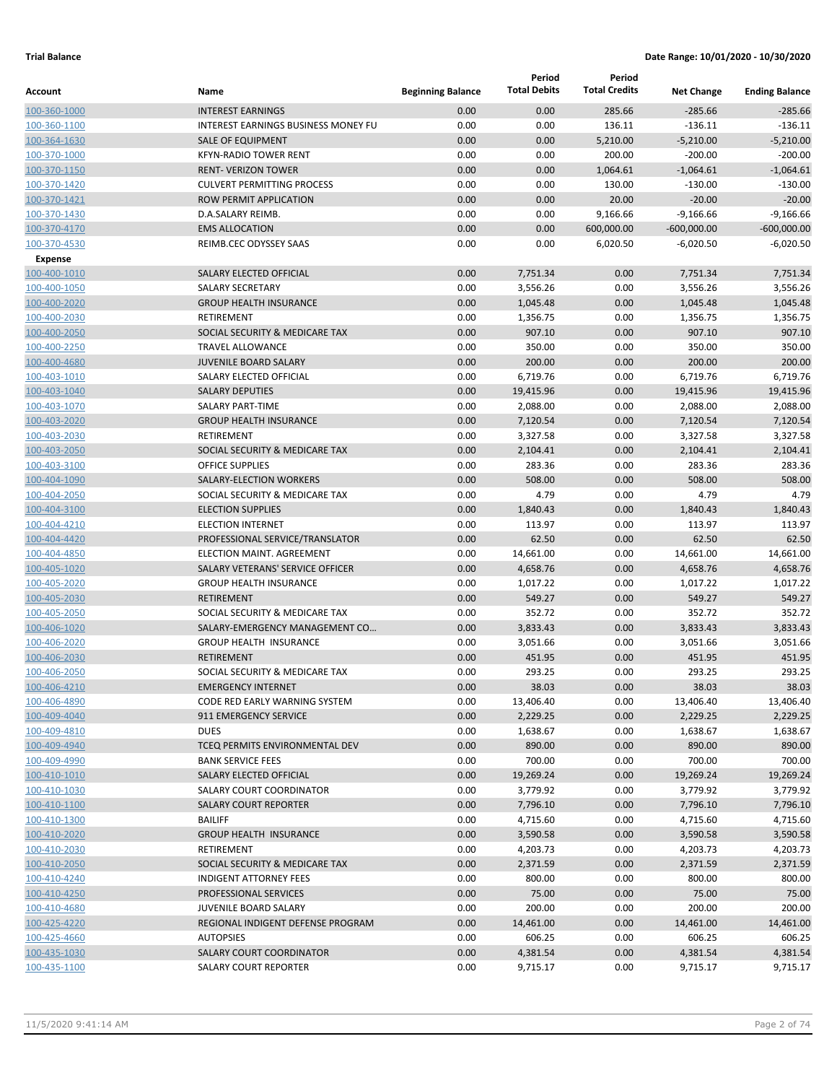|                              |                                                                 |                          | Period              | Period               |                   |                       |
|------------------------------|-----------------------------------------------------------------|--------------------------|---------------------|----------------------|-------------------|-----------------------|
| Account                      | Name                                                            | <b>Beginning Balance</b> | <b>Total Debits</b> | <b>Total Credits</b> | <b>Net Change</b> | <b>Ending Balance</b> |
| 100-360-1000                 | <b>INTEREST EARNINGS</b>                                        | 0.00                     | 0.00                | 285.66               | $-285.66$         | $-285.66$             |
| 100-360-1100                 | <b>INTEREST EARNINGS BUSINESS MONEY FU</b>                      | 0.00                     | 0.00                | 136.11               | $-136.11$         | $-136.11$             |
| 100-364-1630                 | <b>SALE OF EQUIPMENT</b>                                        | 0.00                     | 0.00                | 5,210.00             | $-5,210.00$       | $-5,210.00$           |
| 100-370-1000                 | <b>KFYN-RADIO TOWER RENT</b>                                    | 0.00                     | 0.00                | 200.00               | $-200.00$         | $-200.00$             |
| 100-370-1150                 | <b>RENT- VERIZON TOWER</b>                                      | 0.00                     | 0.00                | 1,064.61             | $-1,064.61$       | $-1.064.61$           |
| 100-370-1420                 | <b>CULVERT PERMITTING PROCESS</b>                               | 0.00                     | 0.00                | 130.00               | $-130.00$         | $-130.00$             |
| 100-370-1421                 | ROW PERMIT APPLICATION                                          | 0.00                     | 0.00                | 20.00                | $-20.00$          | $-20.00$              |
| 100-370-1430                 | D.A.SALARY REIMB.                                               | 0.00                     | 0.00                | 9,166.66             | $-9,166.66$       | $-9,166.66$           |
| 100-370-4170                 | <b>EMS ALLOCATION</b>                                           | 0.00                     | 0.00                | 600,000.00           | $-600,000.00$     | $-600,000.00$         |
| 100-370-4530                 | REIMB.CEC ODYSSEY SAAS                                          | 0.00                     | 0.00                | 6,020.50             | $-6,020.50$       | $-6,020.50$           |
| <b>Expense</b>               |                                                                 |                          |                     |                      |                   |                       |
| 100-400-1010                 | SALARY ELECTED OFFICIAL                                         | 0.00                     | 7,751.34            | 0.00                 | 7,751.34          | 7,751.34              |
| 100-400-1050                 | <b>SALARY SECRETARY</b>                                         | 0.00                     | 3,556.26            | 0.00                 | 3,556.26          | 3,556.26              |
| 100-400-2020                 | <b>GROUP HEALTH INSURANCE</b>                                   | 0.00                     | 1,045.48            | 0.00                 | 1,045.48          | 1,045.48              |
| 100-400-2030                 | <b>RETIREMENT</b>                                               | 0.00                     | 1,356.75            | 0.00                 | 1,356.75          | 1,356.75              |
| 100-400-2050                 | SOCIAL SECURITY & MEDICARE TAX                                  | 0.00                     | 907.10              | 0.00                 | 907.10            | 907.10                |
| 100-400-2250                 | <b>TRAVEL ALLOWANCE</b>                                         | 0.00                     | 350.00              | 0.00                 | 350.00            | 350.00                |
| 100-400-4680                 | <b>JUVENILE BOARD SALARY</b>                                    | 0.00                     | 200.00              | 0.00                 | 200.00            | 200.00                |
| 100-403-1010                 | SALARY ELECTED OFFICIAL                                         | 0.00                     | 6,719.76            | 0.00                 | 6,719.76          | 6,719.76              |
| 100-403-1040                 | <b>SALARY DEPUTIES</b>                                          | 0.00                     | 19,415.96           | 0.00                 | 19,415.96         | 19.415.96             |
| 100-403-1070                 | <b>SALARY PART-TIME</b>                                         | 0.00                     | 2,088.00            | 0.00                 | 2,088.00          | 2,088.00              |
| 100-403-2020                 | <b>GROUP HEALTH INSURANCE</b>                                   | 0.00                     | 7,120.54            | 0.00                 | 7,120.54          | 7,120.54              |
| 100-403-2030                 | RETIREMENT                                                      | 0.00                     | 3,327.58            | 0.00                 | 3,327.58          | 3,327.58              |
| 100-403-2050                 | SOCIAL SECURITY & MEDICARE TAX                                  | 0.00                     | 2,104.41            | 0.00                 | 2,104.41          | 2,104.41              |
| 100-403-3100                 | <b>OFFICE SUPPLIES</b>                                          | 0.00                     | 283.36              | 0.00                 | 283.36            | 283.36                |
| 100-404-1090                 | SALARY-ELECTION WORKERS                                         | 0.00                     | 508.00              | 0.00                 | 508.00            | 508.00                |
| 100-404-2050                 | SOCIAL SECURITY & MEDICARE TAX                                  | 0.00                     | 4.79                | 0.00                 | 4.79              | 4.79                  |
| 100-404-3100                 | <b>ELECTION SUPPLIES</b>                                        | 0.00                     | 1,840.43            | 0.00                 | 1,840.43          | 1,840.43              |
| 100-404-4210                 | <b>ELECTION INTERNET</b>                                        | 0.00                     | 113.97              | 0.00                 | 113.97            | 113.97                |
| 100-404-4420                 | PROFESSIONAL SERVICE/TRANSLATOR                                 | 0.00                     | 62.50               | 0.00                 | 62.50             | 62.50                 |
| 100-404-4850                 | ELECTION MAINT. AGREEMENT                                       | 0.00                     | 14,661.00           | 0.00                 | 14,661.00         | 14,661.00             |
| 100-405-1020                 | SALARY VETERANS' SERVICE OFFICER                                | 0.00                     | 4,658.76            | 0.00                 | 4,658.76          | 4,658.76              |
| 100-405-2020                 | <b>GROUP HEALTH INSURANCE</b>                                   | 0.00                     | 1,017.22            | 0.00                 | 1,017.22          | 1,017.22              |
| 100-405-2030                 | <b>RETIREMENT</b>                                               | 0.00                     | 549.27              | 0.00                 | 549.27            | 549.27                |
| 100-405-2050                 | SOCIAL SECURITY & MEDICARE TAX                                  | 0.00                     | 352.72              | 0.00                 | 352.72            | 352.72                |
| 100-406-1020                 | SALARY-EMERGENCY MANAGEMENT CO                                  | 0.00                     | 3,833.43            | 0.00                 | 3,833.43          | 3,833.43              |
| 100-406-2020                 | <b>GROUP HEALTH INSURANCE</b>                                   | 0.00                     | 3,051.66            | 0.00                 | 3,051.66          | 3,051.66              |
| 100-406-2030                 | <b>RETIREMENT</b>                                               | 0.00                     | 451.95              | 0.00                 | 451.95            | 451.95                |
| 100-406-2050                 | SOCIAL SECURITY & MEDICARE TAX                                  | 0.00                     | 293.25              | 0.00                 | 293.25            | 293.25                |
| 100-406-4210                 | <b>EMERGENCY INTERNET</b>                                       | 0.00                     | 38.03               | 0.00                 | 38.03             | 38.03                 |
| 100-406-4890                 | CODE RED EARLY WARNING SYSTEM                                   | 0.00                     | 13,406.40           | 0.00                 | 13,406.40         | 13,406.40             |
| 100-409-4040                 | 911 EMERGENCY SERVICE                                           | 0.00                     | 2,229.25            | 0.00                 | 2,229.25          | 2,229.25              |
| 100-409-4810                 | <b>DUES</b>                                                     | 0.00                     | 1,638.67            | 0.00                 | 1,638.67          | 1,638.67              |
| 100-409-4940                 | TCEQ PERMITS ENVIRONMENTAL DEV                                  | 0.00                     | 890.00              | 0.00                 | 890.00            | 890.00                |
| 100-409-4990                 | <b>BANK SERVICE FEES</b>                                        | 0.00                     | 700.00              | 0.00                 | 700.00            | 700.00                |
| 100-410-1010                 | SALARY ELECTED OFFICIAL                                         | 0.00                     | 19,269.24           | 0.00                 | 19,269.24         | 19,269.24             |
| 100-410-1030                 | SALARY COURT COORDINATOR<br><b>SALARY COURT REPORTER</b>        | 0.00                     | 3,779.92            | 0.00                 | 3,779.92          | 3,779.92              |
| 100-410-1100                 | <b>BAILIFF</b>                                                  | 0.00                     | 7,796.10            | 0.00                 | 7,796.10          | 7,796.10<br>4,715.60  |
| 100-410-1300                 | <b>GROUP HEALTH INSURANCE</b>                                   | 0.00<br>0.00             | 4,715.60            | 0.00                 | 4,715.60          |                       |
| 100-410-2020                 |                                                                 |                          | 3,590.58            | 0.00                 | 3,590.58          | 3,590.58              |
| 100-410-2030<br>100-410-2050 | RETIREMENT                                                      | 0.00<br>0.00             | 4,203.73            | 0.00                 | 4,203.73          | 4,203.73              |
| 100-410-4240                 | SOCIAL SECURITY & MEDICARE TAX<br><b>INDIGENT ATTORNEY FEES</b> |                          | 2,371.59            | 0.00                 | 2,371.59          | 2,371.59              |
| 100-410-4250                 |                                                                 | 0.00<br>0.00             | 800.00<br>75.00     | 0.00<br>0.00         | 800.00<br>75.00   | 800.00<br>75.00       |
| 100-410-4680                 | PROFESSIONAL SERVICES<br>JUVENILE BOARD SALARY                  | 0.00                     | 200.00              | 0.00                 | 200.00            | 200.00                |
| 100-425-4220                 | REGIONAL INDIGENT DEFENSE PROGRAM                               | 0.00                     | 14,461.00           | 0.00                 | 14,461.00         | 14,461.00             |
| 100-425-4660                 | <b>AUTOPSIES</b>                                                | 0.00                     | 606.25              | 0.00                 | 606.25            | 606.25                |
| 100-435-1030                 | <b>SALARY COURT COORDINATOR</b>                                 | 0.00                     | 4,381.54            | 0.00                 | 4,381.54          | 4,381.54              |
| 100-435-1100                 | <b>SALARY COURT REPORTER</b>                                    | 0.00                     | 9,715.17            | 0.00                 | 9,715.17          | 9,715.17              |
|                              |                                                                 |                          |                     |                      |                   |                       |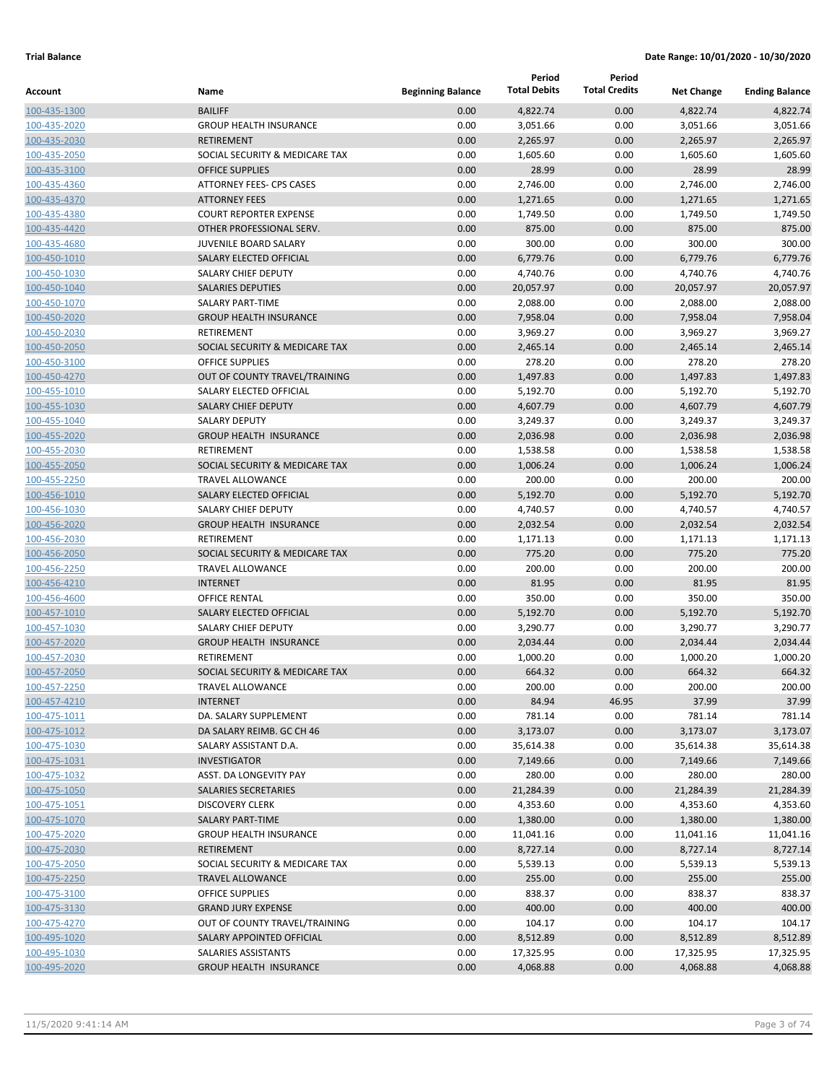|                              |                                         |                          | Period               | Period               |                      |                       |
|------------------------------|-----------------------------------------|--------------------------|----------------------|----------------------|----------------------|-----------------------|
| Account                      | Name                                    | <b>Beginning Balance</b> | <b>Total Debits</b>  | <b>Total Credits</b> | <b>Net Change</b>    | <b>Ending Balance</b> |
| 100-435-1300                 | <b>BAILIFF</b>                          | 0.00                     | 4,822.74             | 0.00                 | 4,822.74             | 4,822.74              |
| 100-435-2020                 | <b>GROUP HEALTH INSURANCE</b>           | 0.00                     | 3,051.66             | 0.00                 | 3,051.66             | 3,051.66              |
| 100-435-2030                 | <b>RETIREMENT</b>                       | 0.00                     | 2,265.97             | 0.00                 | 2,265.97             | 2,265.97              |
| 100-435-2050                 | SOCIAL SECURITY & MEDICARE TAX          | 0.00                     | 1,605.60             | 0.00                 | 1,605.60             | 1,605.60              |
| 100-435-3100                 | <b>OFFICE SUPPLIES</b>                  | 0.00                     | 28.99                | 0.00                 | 28.99                | 28.99                 |
| 100-435-4360                 | ATTORNEY FEES- CPS CASES                | 0.00                     | 2,746.00             | 0.00                 | 2,746.00             | 2,746.00              |
| 100-435-4370                 | <b>ATTORNEY FEES</b>                    | 0.00                     | 1,271.65             | 0.00                 | 1,271.65             | 1,271.65              |
| 100-435-4380                 | <b>COURT REPORTER EXPENSE</b>           | 0.00                     | 1,749.50             | 0.00                 | 1,749.50             | 1,749.50              |
| 100-435-4420                 | OTHER PROFESSIONAL SERV.                | 0.00                     | 875.00               | 0.00                 | 875.00               | 875.00                |
| 100-435-4680                 | <b>JUVENILE BOARD SALARY</b>            | 0.00                     | 300.00               | 0.00                 | 300.00               | 300.00                |
| 100-450-1010                 | SALARY ELECTED OFFICIAL                 | 0.00                     | 6,779.76             | 0.00                 | 6,779.76             | 6,779.76              |
| 100-450-1030                 | SALARY CHIEF DEPUTY                     | 0.00                     | 4,740.76             | 0.00                 | 4,740.76             | 4,740.76              |
| 100-450-1040                 | <b>SALARIES DEPUTIES</b>                | 0.00                     | 20,057.97            | 0.00                 | 20,057.97            | 20,057.97             |
| 100-450-1070                 | SALARY PART-TIME                        | 0.00                     | 2,088.00             | 0.00                 | 2,088.00             | 2,088.00              |
| 100-450-2020                 | <b>GROUP HEALTH INSURANCE</b>           | 0.00                     | 7,958.04             | 0.00                 | 7,958.04             | 7,958.04              |
| 100-450-2030                 | RETIREMENT                              | 0.00                     | 3,969.27             | 0.00                 | 3,969.27             | 3,969.27              |
| 100-450-2050                 | SOCIAL SECURITY & MEDICARE TAX          | 0.00                     | 2,465.14             | 0.00                 | 2,465.14             | 2,465.14              |
| 100-450-3100                 | <b>OFFICE SUPPLIES</b>                  | 0.00                     | 278.20               | 0.00                 | 278.20               | 278.20                |
| 100-450-4270                 | OUT OF COUNTY TRAVEL/TRAINING           | 0.00                     | 1,497.83             | 0.00                 | 1,497.83             | 1,497.83              |
| 100-455-1010                 | SALARY ELECTED OFFICIAL                 | 0.00                     | 5,192.70             | 0.00                 | 5,192.70             | 5,192.70              |
| 100-455-1030                 | <b>SALARY CHIEF DEPUTY</b>              | 0.00                     | 4,607.79             | 0.00                 | 4,607.79             | 4,607.79              |
| 100-455-1040                 | <b>SALARY DEPUTY</b>                    | 0.00                     | 3,249.37             | 0.00                 | 3,249.37             | 3,249.37              |
| 100-455-2020                 | <b>GROUP HEALTH INSURANCE</b>           | 0.00                     | 2,036.98             | 0.00                 | 2,036.98             | 2,036.98              |
| 100-455-2030                 | RETIREMENT                              | 0.00                     | 1,538.58             | 0.00                 | 1,538.58             | 1,538.58              |
| 100-455-2050                 | SOCIAL SECURITY & MEDICARE TAX          | 0.00                     | 1,006.24             | 0.00                 | 1,006.24             | 1,006.24              |
| 100-455-2250                 | <b>TRAVEL ALLOWANCE</b>                 | 0.00                     | 200.00               | 0.00                 | 200.00               | 200.00                |
| 100-456-1010                 | SALARY ELECTED OFFICIAL                 | 0.00                     | 5,192.70             | 0.00                 | 5,192.70             | 5,192.70              |
| 100-456-1030                 | SALARY CHIEF DEPUTY                     | 0.00                     | 4,740.57             | 0.00                 | 4,740.57             | 4,740.57              |
| 100-456-2020                 | <b>GROUP HEALTH INSURANCE</b>           | 0.00                     | 2,032.54             | 0.00                 | 2,032.54             | 2,032.54              |
| 100-456-2030                 | <b>RETIREMENT</b>                       | 0.00                     | 1,171.13             | 0.00                 | 1,171.13             | 1,171.13              |
| 100-456-2050                 | SOCIAL SECURITY & MEDICARE TAX          | 0.00                     | 775.20               | 0.00                 | 775.20               | 775.20                |
| 100-456-2250                 | <b>TRAVEL ALLOWANCE</b>                 | 0.00                     | 200.00               | 0.00                 | 200.00               | 200.00                |
| 100-456-4210                 | <b>INTERNET</b><br><b>OFFICE RENTAL</b> | 0.00<br>0.00             | 81.95                | 0.00<br>0.00         | 81.95<br>350.00      | 81.95<br>350.00       |
| 100-456-4600                 | SALARY ELECTED OFFICIAL                 | 0.00                     | 350.00               | 0.00                 |                      | 5,192.70              |
| 100-457-1010<br>100-457-1030 | SALARY CHIEF DEPUTY                     | 0.00                     | 5,192.70             |                      | 5,192.70             |                       |
| 100-457-2020                 | <b>GROUP HEALTH INSURANCE</b>           | 0.00                     | 3,290.77<br>2,034.44 | 0.00<br>0.00         | 3,290.77<br>2,034.44 | 3,290.77<br>2,034.44  |
| 100-457-2030                 | RETIREMENT                              | 0.00                     | 1,000.20             | 0.00                 | 1,000.20             | 1,000.20              |
| 100-457-2050                 | SOCIAL SECURITY & MEDICARE TAX          | 0.00                     | 664.32               | 0.00                 | 664.32               | 664.32                |
| 100-457-2250                 | TRAVEL ALLOWANCE                        | 0.00                     | 200.00               | 0.00                 | 200.00               | 200.00                |
| 100-457-4210                 | <b>INTERNET</b>                         | 0.00                     | 84.94                | 46.95                | 37.99                | 37.99                 |
| 100-475-1011                 | DA. SALARY SUPPLEMENT                   | 0.00                     | 781.14               | 0.00                 | 781.14               | 781.14                |
| 100-475-1012                 | DA SALARY REIMB. GC CH 46               | 0.00                     | 3,173.07             | 0.00                 | 3,173.07             | 3,173.07              |
| 100-475-1030                 | SALARY ASSISTANT D.A.                   | 0.00                     | 35,614.38            | 0.00                 | 35,614.38            | 35,614.38             |
| 100-475-1031                 | <b>INVESTIGATOR</b>                     | 0.00                     | 7,149.66             | 0.00                 | 7,149.66             | 7,149.66              |
| 100-475-1032                 | ASST. DA LONGEVITY PAY                  | 0.00                     | 280.00               | 0.00                 | 280.00               | 280.00                |
| 100-475-1050                 | SALARIES SECRETARIES                    | 0.00                     | 21,284.39            | 0.00                 | 21,284.39            | 21,284.39             |
| 100-475-1051                 | <b>DISCOVERY CLERK</b>                  | 0.00                     | 4,353.60             | 0.00                 | 4,353.60             | 4,353.60              |
| 100-475-1070                 | SALARY PART-TIME                        | 0.00                     | 1,380.00             | 0.00                 | 1,380.00             | 1,380.00              |
| 100-475-2020                 | <b>GROUP HEALTH INSURANCE</b>           | 0.00                     | 11,041.16            | 0.00                 | 11,041.16            | 11,041.16             |
| 100-475-2030                 | RETIREMENT                              | 0.00                     | 8,727.14             | 0.00                 | 8,727.14             | 8,727.14              |
| 100-475-2050                 | SOCIAL SECURITY & MEDICARE TAX          | 0.00                     | 5,539.13             | 0.00                 | 5,539.13             | 5,539.13              |
| 100-475-2250                 | <b>TRAVEL ALLOWANCE</b>                 | 0.00                     | 255.00               | 0.00                 | 255.00               | 255.00                |
| 100-475-3100                 | <b>OFFICE SUPPLIES</b>                  | 0.00                     | 838.37               | 0.00                 | 838.37               | 838.37                |
| 100-475-3130                 | <b>GRAND JURY EXPENSE</b>               | 0.00                     | 400.00               | 0.00                 | 400.00               | 400.00                |
| 100-475-4270                 | OUT OF COUNTY TRAVEL/TRAINING           | 0.00                     | 104.17               | 0.00                 | 104.17               | 104.17                |
| 100-495-1020                 | SALARY APPOINTED OFFICIAL               | 0.00                     | 8,512.89             | 0.00                 | 8,512.89             | 8,512.89              |
| 100-495-1030                 | SALARIES ASSISTANTS                     | 0.00                     | 17,325.95            | 0.00                 | 17,325.95            | 17,325.95             |
| 100-495-2020                 | <b>GROUP HEALTH INSURANCE</b>           | 0.00                     | 4,068.88             | 0.00                 | 4,068.88             | 4,068.88              |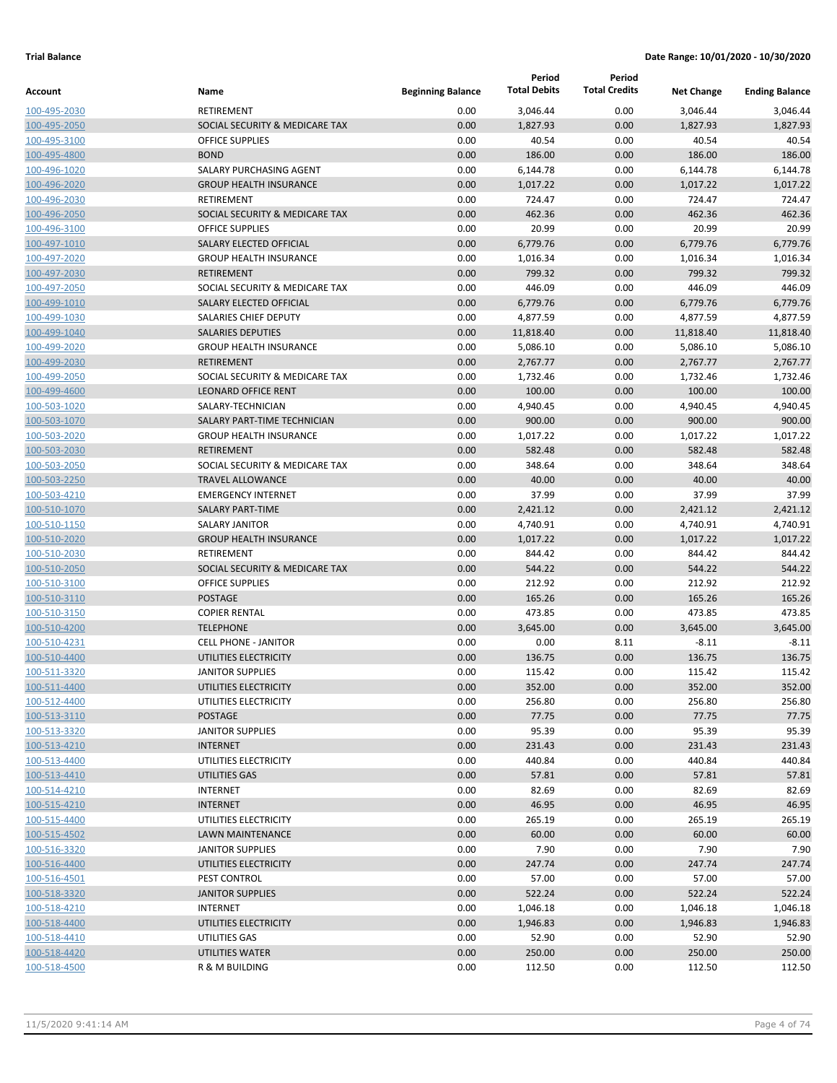|                              |                                                           |                          | Period               | Period               |                    |                       |
|------------------------------|-----------------------------------------------------------|--------------------------|----------------------|----------------------|--------------------|-----------------------|
| Account                      | Name                                                      | <b>Beginning Balance</b> | <b>Total Debits</b>  | <b>Total Credits</b> | <b>Net Change</b>  | <b>Ending Balance</b> |
| 100-495-2030                 | RETIREMENT                                                | 0.00                     | 3,046.44             | 0.00                 | 3,046.44           | 3,046.44              |
| 100-495-2050                 | SOCIAL SECURITY & MEDICARE TAX                            | 0.00                     | 1,827.93             | 0.00                 | 1,827.93           | 1,827.93              |
| 100-495-3100                 | <b>OFFICE SUPPLIES</b>                                    | 0.00                     | 40.54                | 0.00                 | 40.54              | 40.54                 |
| 100-495-4800                 | <b>BOND</b>                                               | 0.00                     | 186.00               | 0.00                 | 186.00             | 186.00                |
| 100-496-1020                 | SALARY PURCHASING AGENT                                   | 0.00                     | 6,144.78             | 0.00                 | 6,144.78           | 6,144.78              |
| 100-496-2020                 | <b>GROUP HEALTH INSURANCE</b>                             | 0.00                     | 1,017.22             | 0.00                 | 1,017.22           | 1,017.22              |
| 100-496-2030                 | <b>RETIREMENT</b>                                         | 0.00                     | 724.47               | 0.00                 | 724.47             | 724.47                |
| 100-496-2050                 | SOCIAL SECURITY & MEDICARE TAX                            | 0.00                     | 462.36               | 0.00                 | 462.36             | 462.36                |
| 100-496-3100                 | <b>OFFICE SUPPLIES</b>                                    | 0.00                     | 20.99                | 0.00                 | 20.99              | 20.99                 |
| 100-497-1010                 | SALARY ELECTED OFFICIAL                                   | 0.00                     | 6,779.76             | 0.00                 | 6,779.76           | 6,779.76              |
| 100-497-2020                 | <b>GROUP HEALTH INSURANCE</b>                             | 0.00                     | 1,016.34             | 0.00                 | 1,016.34           | 1,016.34              |
| 100-497-2030                 | <b>RETIREMENT</b>                                         | 0.00                     | 799.32               | 0.00                 | 799.32             | 799.32                |
| 100-497-2050                 | SOCIAL SECURITY & MEDICARE TAX                            | 0.00                     | 446.09               | 0.00                 | 446.09             | 446.09                |
| 100-499-1010                 | SALARY ELECTED OFFICIAL                                   | 0.00                     | 6,779.76             | 0.00                 | 6,779.76           | 6,779.76              |
| 100-499-1030                 | SALARIES CHIEF DEPUTY                                     | 0.00                     | 4,877.59             | 0.00                 | 4,877.59           | 4,877.59              |
| 100-499-1040                 | <b>SALARIES DEPUTIES</b><br><b>GROUP HEALTH INSURANCE</b> | 0.00<br>0.00             | 11,818.40            | 0.00                 | 11,818.40          | 11,818.40             |
| 100-499-2020                 | <b>RETIREMENT</b>                                         | 0.00                     | 5,086.10<br>2,767.77 | 0.00                 | 5,086.10           | 5,086.10              |
| 100-499-2030                 | SOCIAL SECURITY & MEDICARE TAX                            | 0.00                     | 1,732.46             | 0.00<br>0.00         | 2,767.77           | 2,767.77<br>1,732.46  |
| 100-499-2050                 | <b>LEONARD OFFICE RENT</b>                                | 0.00                     |                      |                      | 1,732.46           | 100.00                |
| 100-499-4600                 | SALARY-TECHNICIAN                                         | 0.00                     | 100.00               | 0.00<br>0.00         | 100.00             | 4,940.45              |
| 100-503-1020<br>100-503-1070 | SALARY PART-TIME TECHNICIAN                               | 0.00                     | 4,940.45<br>900.00   | 0.00                 | 4,940.45<br>900.00 | 900.00                |
| 100-503-2020                 | <b>GROUP HEALTH INSURANCE</b>                             | 0.00                     | 1,017.22             | 0.00                 | 1,017.22           | 1,017.22              |
| 100-503-2030                 | <b>RETIREMENT</b>                                         | 0.00                     | 582.48               | 0.00                 | 582.48             | 582.48                |
| 100-503-2050                 | SOCIAL SECURITY & MEDICARE TAX                            | 0.00                     | 348.64               | 0.00                 | 348.64             | 348.64                |
| 100-503-2250                 | <b>TRAVEL ALLOWANCE</b>                                   | 0.00                     | 40.00                | 0.00                 | 40.00              | 40.00                 |
| 100-503-4210                 | <b>EMERGENCY INTERNET</b>                                 | 0.00                     | 37.99                | 0.00                 | 37.99              | 37.99                 |
| 100-510-1070                 | <b>SALARY PART-TIME</b>                                   | 0.00                     | 2,421.12             | 0.00                 | 2,421.12           | 2,421.12              |
| 100-510-1150                 | SALARY JANITOR                                            | 0.00                     | 4,740.91             | 0.00                 | 4,740.91           | 4,740.91              |
| 100-510-2020                 | <b>GROUP HEALTH INSURANCE</b>                             | 0.00                     | 1,017.22             | 0.00                 | 1,017.22           | 1,017.22              |
| 100-510-2030                 | RETIREMENT                                                | 0.00                     | 844.42               | 0.00                 | 844.42             | 844.42                |
| 100-510-2050                 | SOCIAL SECURITY & MEDICARE TAX                            | 0.00                     | 544.22               | 0.00                 | 544.22             | 544.22                |
| 100-510-3100                 | <b>OFFICE SUPPLIES</b>                                    | 0.00                     | 212.92               | 0.00                 | 212.92             | 212.92                |
| 100-510-3110                 | <b>POSTAGE</b>                                            | 0.00                     | 165.26               | 0.00                 | 165.26             | 165.26                |
| 100-510-3150                 | <b>COPIER RENTAL</b>                                      | 0.00                     | 473.85               | 0.00                 | 473.85             | 473.85                |
| 100-510-4200                 | <b>TELEPHONE</b>                                          | 0.00                     | 3,645.00             | 0.00                 | 3,645.00           | 3,645.00              |
| 100-510-4231                 | <b>CELL PHONE - JANITOR</b>                               | 0.00                     | 0.00                 | 8.11                 | $-8.11$            | $-8.11$               |
| 100-510-4400                 | UTILITIES ELECTRICITY                                     | 0.00                     | 136.75               | 0.00                 | 136.75             | 136.75                |
| 100-511-3320                 | <b>JANITOR SUPPLIES</b>                                   | 0.00                     | 115.42               | 0.00                 | 115.42             | 115.42                |
| 100-511-4400                 | UTILITIES ELECTRICITY                                     | 0.00                     | 352.00               | 0.00                 | 352.00             | 352.00                |
| 100-512-4400                 | UTILITIES ELECTRICITY                                     | 0.00                     | 256.80               | 0.00                 | 256.80             | 256.80                |
| 100-513-3110                 | POSTAGE                                                   | 0.00                     | 77.75                | 0.00                 | 77.75              | 77.75                 |
| 100-513-3320                 | <b>JANITOR SUPPLIES</b>                                   | 0.00                     | 95.39                | 0.00                 | 95.39              | 95.39                 |
| 100-513-4210                 | <b>INTERNET</b>                                           | 0.00                     | 231.43               | 0.00                 | 231.43             | 231.43                |
| 100-513-4400                 | UTILITIES ELECTRICITY                                     | 0.00                     | 440.84               | 0.00                 | 440.84             | 440.84                |
| 100-513-4410                 | UTILITIES GAS                                             | 0.00                     | 57.81                | 0.00                 | 57.81              | 57.81                 |
| 100-514-4210                 | <b>INTERNET</b>                                           | 0.00                     | 82.69                | 0.00                 | 82.69              | 82.69                 |
| 100-515-4210                 | <b>INTERNET</b>                                           | 0.00                     | 46.95                | 0.00                 | 46.95              | 46.95                 |
| 100-515-4400                 | UTILITIES ELECTRICITY                                     | 0.00                     | 265.19               | 0.00                 | 265.19             | 265.19                |
| 100-515-4502                 | LAWN MAINTENANCE                                          | 0.00                     | 60.00                | 0.00                 | 60.00              | 60.00                 |
| 100-516-3320                 | <b>JANITOR SUPPLIES</b>                                   | 0.00                     | 7.90                 | 0.00                 | 7.90               | 7.90                  |
| 100-516-4400                 | UTILITIES ELECTRICITY                                     | 0.00                     | 247.74               | 0.00                 | 247.74             | 247.74                |
| 100-516-4501                 | PEST CONTROL                                              | 0.00                     | 57.00                | 0.00                 | 57.00              | 57.00                 |
| 100-518-3320                 | <b>JANITOR SUPPLIES</b>                                   | 0.00                     | 522.24               | 0.00                 | 522.24             | 522.24                |
| 100-518-4210                 | <b>INTERNET</b>                                           | 0.00                     | 1,046.18             | 0.00                 | 1,046.18           | 1,046.18              |
| 100-518-4400                 | UTILITIES ELECTRICITY                                     | 0.00                     | 1,946.83             | 0.00                 | 1,946.83           | 1,946.83              |
| 100-518-4410                 | UTILITIES GAS                                             | 0.00                     | 52.90                | 0.00                 | 52.90              | 52.90                 |
| 100-518-4420                 | UTILITIES WATER                                           | 0.00                     | 250.00               | 0.00                 | 250.00             | 250.00                |
| 100-518-4500                 | R & M BUILDING                                            | 0.00                     | 112.50               | 0.00                 | 112.50             | 112.50                |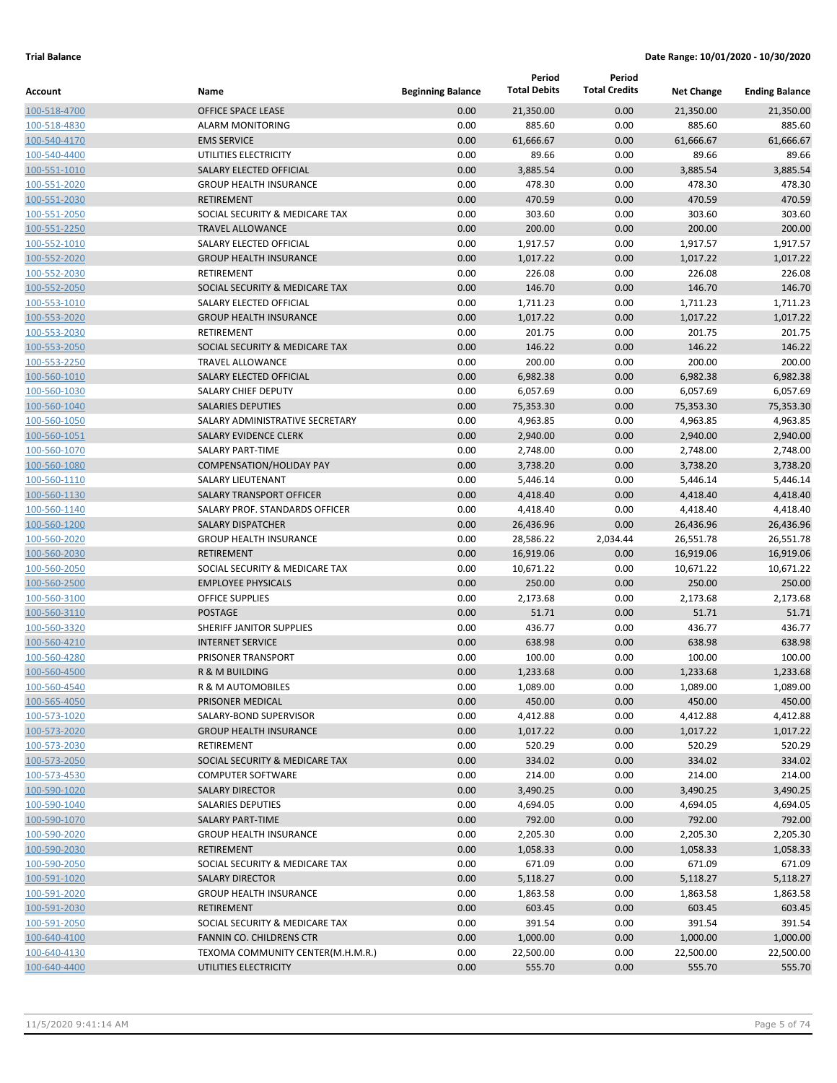|              |                                   |                          | Period              | Period               |                   |                       |
|--------------|-----------------------------------|--------------------------|---------------------|----------------------|-------------------|-----------------------|
| Account      | Name                              | <b>Beginning Balance</b> | <b>Total Debits</b> | <b>Total Credits</b> | <b>Net Change</b> | <b>Ending Balance</b> |
| 100-518-4700 | OFFICE SPACE LEASE                | 0.00                     | 21,350.00           | 0.00                 | 21,350.00         | 21,350.00             |
| 100-518-4830 | <b>ALARM MONITORING</b>           | 0.00                     | 885.60              | 0.00                 | 885.60            | 885.60                |
| 100-540-4170 | <b>EMS SERVICE</b>                | 0.00                     | 61,666.67           | 0.00                 | 61,666.67         | 61.666.67             |
| 100-540-4400 | UTILITIES ELECTRICITY             | 0.00                     | 89.66               | 0.00                 | 89.66             | 89.66                 |
| 100-551-1010 | SALARY ELECTED OFFICIAL           | 0.00                     | 3,885.54            | 0.00                 | 3,885.54          | 3,885.54              |
| 100-551-2020 | <b>GROUP HEALTH INSURANCE</b>     | 0.00                     | 478.30              | 0.00                 | 478.30            | 478.30                |
| 100-551-2030 | <b>RETIREMENT</b>                 | 0.00                     | 470.59              | 0.00                 | 470.59            | 470.59                |
| 100-551-2050 | SOCIAL SECURITY & MEDICARE TAX    | 0.00                     | 303.60              | 0.00                 | 303.60            | 303.60                |
| 100-551-2250 | <b>TRAVEL ALLOWANCE</b>           | 0.00                     | 200.00              | 0.00                 | 200.00            | 200.00                |
| 100-552-1010 | SALARY ELECTED OFFICIAL           | 0.00                     | 1,917.57            | 0.00                 | 1,917.57          | 1,917.57              |
| 100-552-2020 | <b>GROUP HEALTH INSURANCE</b>     | 0.00                     | 1,017.22            | 0.00                 | 1,017.22          | 1,017.22              |
| 100-552-2030 | RETIREMENT                        | 0.00                     | 226.08              | 0.00                 | 226.08            | 226.08                |
| 100-552-2050 | SOCIAL SECURITY & MEDICARE TAX    | 0.00                     | 146.70              | 0.00                 | 146.70            | 146.70                |
| 100-553-1010 | SALARY ELECTED OFFICIAL           | 0.00                     | 1,711.23            | 0.00                 | 1,711.23          | 1,711.23              |
| 100-553-2020 | <b>GROUP HEALTH INSURANCE</b>     | 0.00                     | 1,017.22            | 0.00                 | 1,017.22          | 1,017.22              |
| 100-553-2030 | RETIREMENT                        | 0.00                     | 201.75              | 0.00                 | 201.75            | 201.75                |
| 100-553-2050 | SOCIAL SECURITY & MEDICARE TAX    | 0.00                     | 146.22              | 0.00                 | 146.22            | 146.22                |
| 100-553-2250 | <b>TRAVEL ALLOWANCE</b>           | 0.00                     | 200.00              | 0.00                 | 200.00            | 200.00                |
| 100-560-1010 | SALARY ELECTED OFFICIAL           | 0.00                     | 6,982.38            | 0.00                 | 6,982.38          | 6,982.38              |
| 100-560-1030 | <b>SALARY CHIEF DEPUTY</b>        | 0.00                     | 6,057.69            | 0.00                 | 6,057.69          | 6,057.69              |
| 100-560-1040 | <b>SALARIES DEPUTIES</b>          | 0.00                     | 75,353.30           | 0.00                 | 75,353.30         | 75,353.30             |
| 100-560-1050 | SALARY ADMINISTRATIVE SECRETARY   | 0.00                     | 4,963.85            | 0.00                 | 4,963.85          | 4,963.85              |
| 100-560-1051 | <b>SALARY EVIDENCE CLERK</b>      | 0.00                     | 2,940.00            | 0.00                 | 2,940.00          | 2,940.00              |
| 100-560-1070 | <b>SALARY PART-TIME</b>           | 0.00                     | 2,748.00            | 0.00                 | 2,748.00          | 2,748.00              |
| 100-560-1080 | <b>COMPENSATION/HOLIDAY PAY</b>   | 0.00                     | 3,738.20            | 0.00                 | 3,738.20          | 3,738.20              |
| 100-560-1110 | SALARY LIEUTENANT                 | 0.00                     | 5,446.14            | 0.00                 | 5,446.14          | 5,446.14              |
| 100-560-1130 | <b>SALARY TRANSPORT OFFICER</b>   | 0.00                     | 4,418.40            | 0.00                 | 4,418.40          | 4,418.40              |
| 100-560-1140 | SALARY PROF. STANDARDS OFFICER    | 0.00                     | 4,418.40            | 0.00                 | 4,418.40          | 4,418.40              |
| 100-560-1200 | <b>SALARY DISPATCHER</b>          | 0.00                     | 26,436.96           | 0.00                 | 26,436.96         | 26,436.96             |
| 100-560-2020 | <b>GROUP HEALTH INSURANCE</b>     | 0.00                     | 28,586.22           | 2,034.44             | 26,551.78         | 26,551.78             |
| 100-560-2030 | <b>RETIREMENT</b>                 | 0.00                     | 16,919.06           | 0.00                 | 16,919.06         | 16,919.06             |
| 100-560-2050 | SOCIAL SECURITY & MEDICARE TAX    | 0.00                     | 10,671.22           | 0.00                 | 10,671.22         | 10,671.22             |
| 100-560-2500 | <b>EMPLOYEE PHYSICALS</b>         | 0.00                     | 250.00              | 0.00                 | 250.00            | 250.00                |
| 100-560-3100 | <b>OFFICE SUPPLIES</b>            | 0.00                     | 2,173.68            | 0.00                 | 2,173.68          | 2,173.68              |
| 100-560-3110 | <b>POSTAGE</b>                    | 0.00                     | 51.71               | 0.00                 | 51.71             | 51.71                 |
| 100-560-3320 | SHERIFF JANITOR SUPPLIES          | 0.00                     | 436.77              | 0.00                 | 436.77            | 436.77                |
| 100-560-4210 | <b>INTERNET SERVICE</b>           | 0.00                     | 638.98              | 0.00                 | 638.98            | 638.98                |
| 100-560-4280 | PRISONER TRANSPORT                | 0.00                     | 100.00              | 0.00                 | 100.00            | 100.00                |
| 100-560-4500 | R & M BUILDING                    | 0.00                     | 1,233.68            | 0.00                 | 1,233.68          | 1,233.68              |
| 100-560-4540 | R & M AUTOMOBILES                 | 0.00                     | 1,089.00            | 0.00                 | 1,089.00          | 1,089.00              |
| 100-565-4050 | PRISONER MEDICAL                  | 0.00                     | 450.00              | 0.00                 | 450.00            | 450.00                |
| 100-573-1020 | SALARY-BOND SUPERVISOR            | 0.00                     | 4,412.88            | 0.00                 | 4,412.88          | 4,412.88              |
| 100-573-2020 | <b>GROUP HEALTH INSURANCE</b>     | 0.00                     | 1,017.22            | 0.00                 | 1,017.22          | 1,017.22              |
| 100-573-2030 | RETIREMENT                        | 0.00                     | 520.29              | 0.00                 | 520.29            | 520.29                |
| 100-573-2050 | SOCIAL SECURITY & MEDICARE TAX    | 0.00                     | 334.02              | 0.00                 | 334.02            | 334.02                |
| 100-573-4530 | <b>COMPUTER SOFTWARE</b>          | 0.00                     | 214.00              | 0.00                 | 214.00            | 214.00                |
| 100-590-1020 | <b>SALARY DIRECTOR</b>            | 0.00                     | 3,490.25            | 0.00                 | 3,490.25          | 3,490.25              |
| 100-590-1040 | SALARIES DEPUTIES                 | 0.00                     | 4,694.05            | 0.00                 | 4,694.05          | 4,694.05              |
| 100-590-1070 | <b>SALARY PART-TIME</b>           | 0.00                     | 792.00              | 0.00                 | 792.00            | 792.00                |
| 100-590-2020 | <b>GROUP HEALTH INSURANCE</b>     | 0.00                     | 2,205.30            | 0.00                 | 2,205.30          | 2,205.30              |
| 100-590-2030 | <b>RETIREMENT</b>                 | 0.00                     | 1,058.33            | 0.00                 | 1,058.33          | 1,058.33              |
| 100-590-2050 | SOCIAL SECURITY & MEDICARE TAX    | 0.00                     | 671.09              | 0.00                 | 671.09            | 671.09                |
| 100-591-1020 | <b>SALARY DIRECTOR</b>            | 0.00                     | 5,118.27            | 0.00                 | 5,118.27          | 5,118.27              |
| 100-591-2020 | <b>GROUP HEALTH INSURANCE</b>     | 0.00                     | 1,863.58            | 0.00                 | 1,863.58          | 1,863.58              |
| 100-591-2030 | <b>RETIREMENT</b>                 | 0.00                     | 603.45              | 0.00                 | 603.45            | 603.45                |
| 100-591-2050 | SOCIAL SECURITY & MEDICARE TAX    | 0.00                     | 391.54              | 0.00                 | 391.54            | 391.54                |
| 100-640-4100 | FANNIN CO. CHILDRENS CTR          | 0.00                     | 1,000.00            | 0.00                 | 1,000.00          | 1,000.00              |
| 100-640-4130 | TEXOMA COMMUNITY CENTER(M.H.M.R.) | 0.00                     | 22,500.00           | 0.00                 | 22,500.00         | 22,500.00             |
| 100-640-4400 | UTILITIES ELECTRICITY             | 0.00                     | 555.70              | 0.00                 | 555.70            | 555.70                |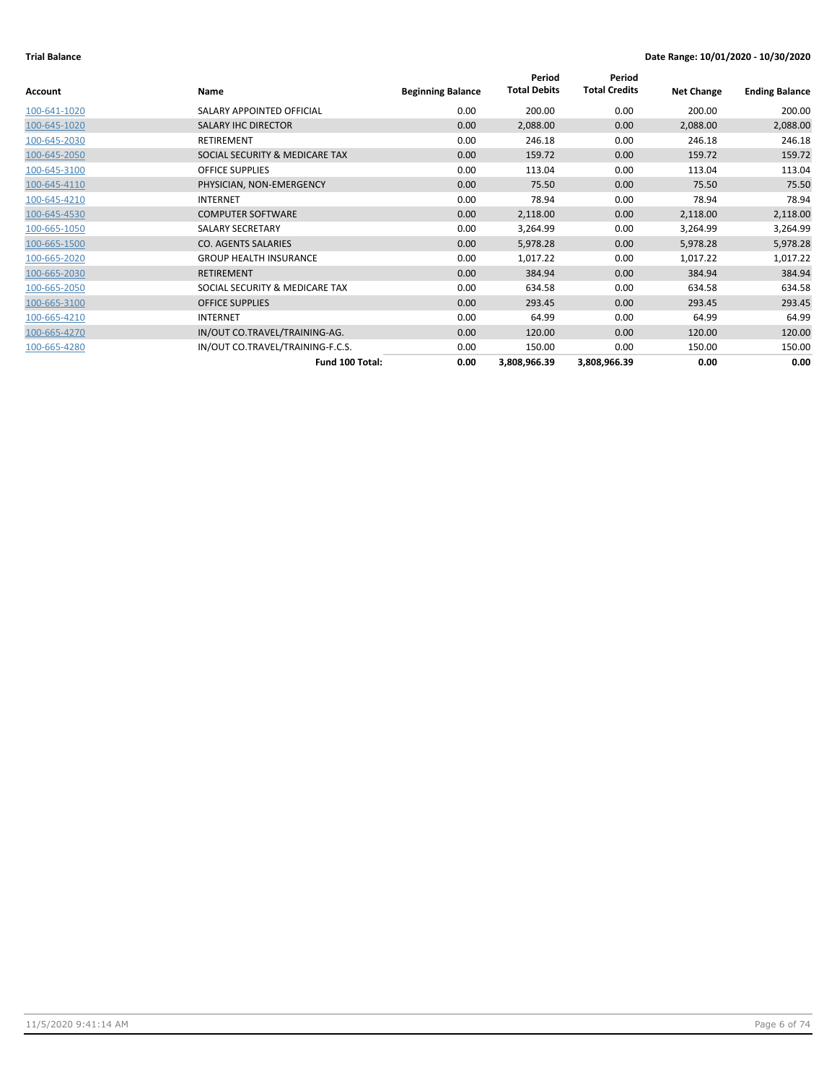|              |                                  |                          | Period              | Period               |                   |                       |
|--------------|----------------------------------|--------------------------|---------------------|----------------------|-------------------|-----------------------|
| Account      | Name                             | <b>Beginning Balance</b> | <b>Total Debits</b> | <b>Total Credits</b> | <b>Net Change</b> | <b>Ending Balance</b> |
| 100-641-1020 | SALARY APPOINTED OFFICIAL        | 0.00                     | 200.00              | 0.00                 | 200.00            | 200.00                |
| 100-645-1020 | <b>SALARY IHC DIRECTOR</b>       | 0.00                     | 2,088.00            | 0.00                 | 2,088.00          | 2,088.00              |
| 100-645-2030 | RETIREMENT                       | 0.00                     | 246.18              | 0.00                 | 246.18            | 246.18                |
| 100-645-2050 | SOCIAL SECURITY & MEDICARE TAX   | 0.00                     | 159.72              | 0.00                 | 159.72            | 159.72                |
| 100-645-3100 | <b>OFFICE SUPPLIES</b>           | 0.00                     | 113.04              | 0.00                 | 113.04            | 113.04                |
| 100-645-4110 | PHYSICIAN, NON-EMERGENCY         | 0.00                     | 75.50               | 0.00                 | 75.50             | 75.50                 |
| 100-645-4210 | <b>INTERNET</b>                  | 0.00                     | 78.94               | 0.00                 | 78.94             | 78.94                 |
| 100-645-4530 | <b>COMPUTER SOFTWARE</b>         | 0.00                     | 2,118.00            | 0.00                 | 2,118.00          | 2,118.00              |
| 100-665-1050 | SALARY SECRETARY                 | 0.00                     | 3,264.99            | 0.00                 | 3,264.99          | 3,264.99              |
| 100-665-1500 | <b>CO. AGENTS SALARIES</b>       | 0.00                     | 5,978.28            | 0.00                 | 5,978.28          | 5,978.28              |
| 100-665-2020 | <b>GROUP HEALTH INSURANCE</b>    | 0.00                     | 1,017.22            | 0.00                 | 1,017.22          | 1,017.22              |
| 100-665-2030 | <b>RETIREMENT</b>                | 0.00                     | 384.94              | 0.00                 | 384.94            | 384.94                |
| 100-665-2050 | SOCIAL SECURITY & MEDICARE TAX   | 0.00                     | 634.58              | 0.00                 | 634.58            | 634.58                |
| 100-665-3100 | <b>OFFICE SUPPLIES</b>           | 0.00                     | 293.45              | 0.00                 | 293.45            | 293.45                |
| 100-665-4210 | <b>INTERNET</b>                  | 0.00                     | 64.99               | 0.00                 | 64.99             | 64.99                 |
| 100-665-4270 | IN/OUT CO.TRAVEL/TRAINING-AG.    | 0.00                     | 120.00              | 0.00                 | 120.00            | 120.00                |
| 100-665-4280 | IN/OUT CO.TRAVEL/TRAINING-F.C.S. | 0.00                     | 150.00              | 0.00                 | 150.00            | 150.00                |
|              | Fund 100 Total:                  | 0.00                     | 3,808,966.39        | 3,808,966.39         | 0.00              | 0.00                  |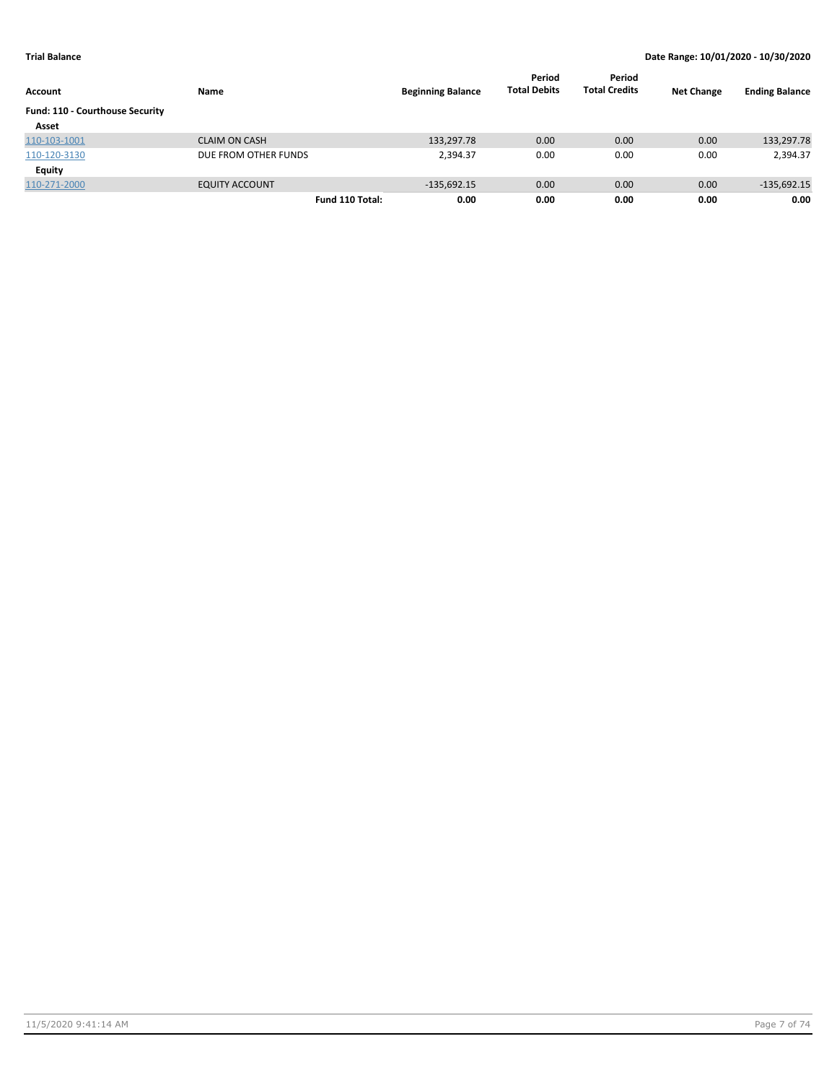| Account                         | Name                  | <b>Beginning Balance</b> | Period<br><b>Total Debits</b> | Period<br><b>Total Credits</b> | <b>Net Change</b> | <b>Ending Balance</b> |
|---------------------------------|-----------------------|--------------------------|-------------------------------|--------------------------------|-------------------|-----------------------|
| Fund: 110 - Courthouse Security |                       |                          |                               |                                |                   |                       |
| Asset                           |                       |                          |                               |                                |                   |                       |
| 110-103-1001                    | <b>CLAIM ON CASH</b>  | 133,297.78               | 0.00                          | 0.00                           | 0.00              | 133,297.78            |
| 110-120-3130                    | DUE FROM OTHER FUNDS  | 2,394.37                 | 0.00                          | 0.00                           | 0.00              | 2,394.37              |
| Equity                          |                       |                          |                               |                                |                   |                       |
| 110-271-2000                    | <b>EQUITY ACCOUNT</b> | $-135,692.15$            | 0.00                          | 0.00                           | 0.00              | $-135,692.15$         |
|                                 | Fund 110 Total:       | 0.00                     | 0.00                          | 0.00                           | 0.00              | 0.00                  |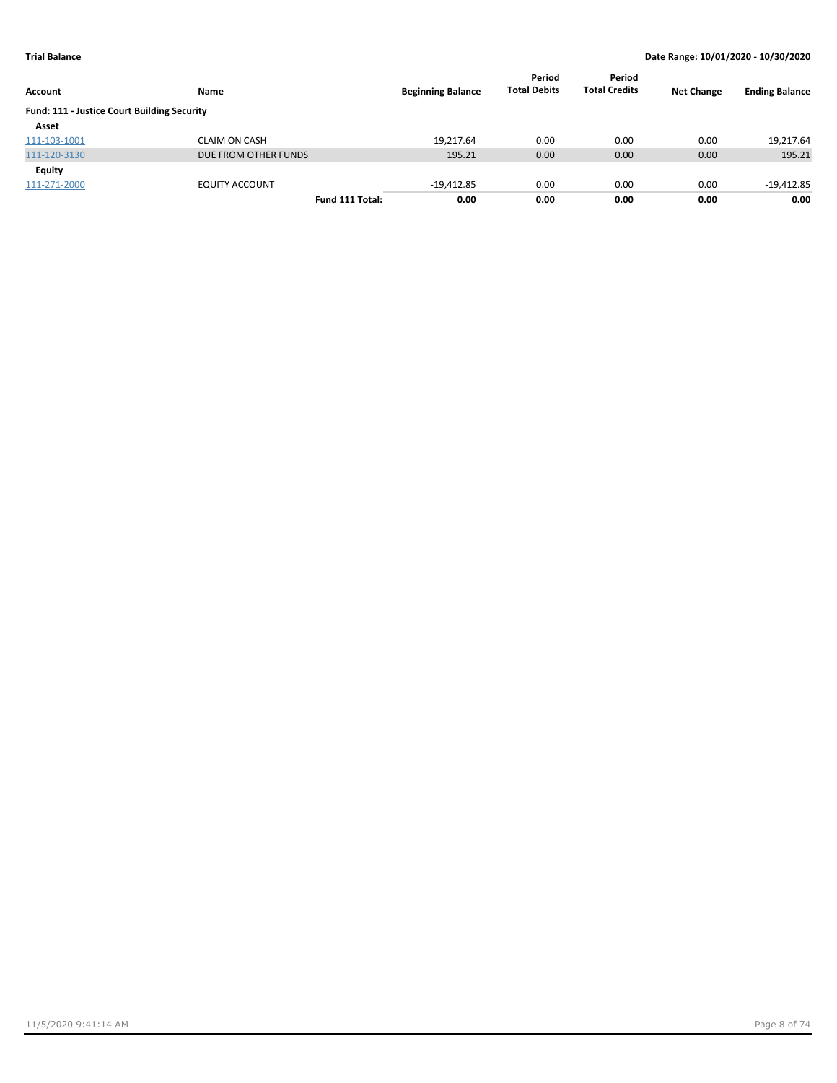| Account                                     | Name                  | <b>Beginning Balance</b> | Period<br><b>Total Debits</b> | Period<br><b>Total Credits</b> | <b>Net Change</b> | <b>Ending Balance</b> |
|---------------------------------------------|-----------------------|--------------------------|-------------------------------|--------------------------------|-------------------|-----------------------|
| Fund: 111 - Justice Court Building Security |                       |                          |                               |                                |                   |                       |
| Asset                                       |                       |                          |                               |                                |                   |                       |
| 111-103-1001                                | CLAIM ON CASH         | 19.217.64                | 0.00                          | 0.00                           | 0.00              | 19,217.64             |
| 111-120-3130                                | DUE FROM OTHER FUNDS  | 195.21                   | 0.00                          | 0.00                           | 0.00              | 195.21                |
| Equity                                      |                       |                          |                               |                                |                   |                       |
| 111-271-2000                                | <b>EQUITY ACCOUNT</b> | $-19,412.85$             | 0.00                          | 0.00                           | 0.00              | $-19,412.85$          |
|                                             | Fund 111 Total:       | 0.00                     | 0.00                          | 0.00                           | 0.00              | 0.00                  |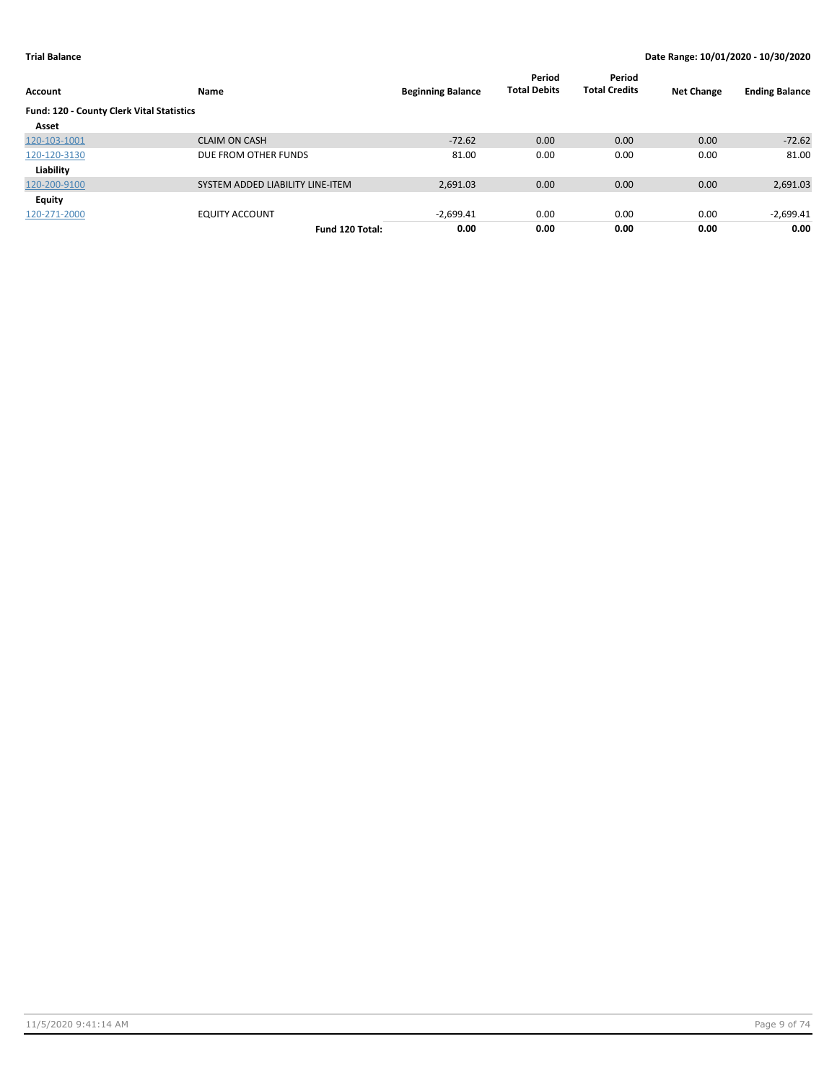| Account                                   | Name                             | <b>Beginning Balance</b> | Period<br><b>Total Debits</b> | Period<br><b>Total Credits</b> | <b>Net Change</b> | <b>Ending Balance</b> |
|-------------------------------------------|----------------------------------|--------------------------|-------------------------------|--------------------------------|-------------------|-----------------------|
| Fund: 120 - County Clerk Vital Statistics |                                  |                          |                               |                                |                   |                       |
| Asset                                     |                                  |                          |                               |                                |                   |                       |
| 120-103-1001                              | <b>CLAIM ON CASH</b>             | $-72.62$                 | 0.00                          | 0.00                           | 0.00              | $-72.62$              |
| 120-120-3130                              | DUE FROM OTHER FUNDS             | 81.00                    | 0.00                          | 0.00                           | 0.00              | 81.00                 |
| Liability                                 |                                  |                          |                               |                                |                   |                       |
| 120-200-9100                              | SYSTEM ADDED LIABILITY LINE-ITEM | 2,691.03                 | 0.00                          | 0.00                           | 0.00              | 2,691.03              |
| Equity                                    |                                  |                          |                               |                                |                   |                       |
| 120-271-2000                              | <b>EQUITY ACCOUNT</b>            | $-2,699.41$              | 0.00                          | 0.00                           | 0.00              | $-2,699.41$           |
|                                           | Fund 120 Total:                  | 0.00                     | 0.00                          | 0.00                           | 0.00              | 0.00                  |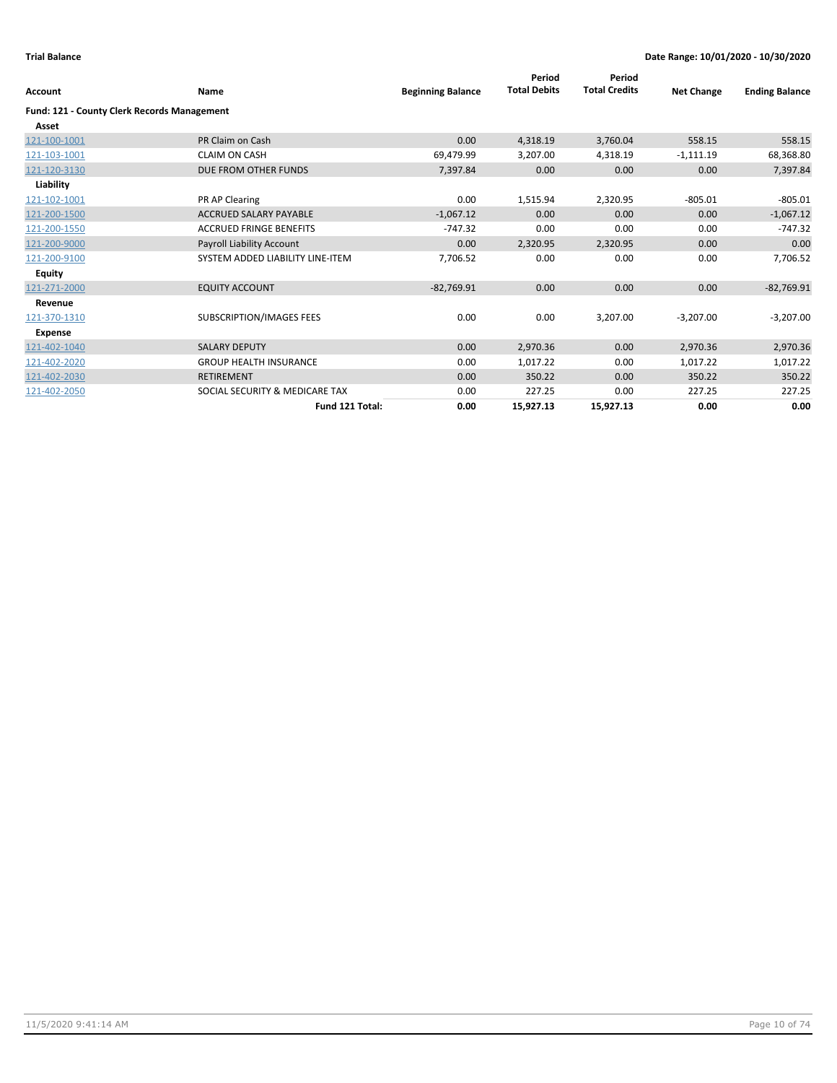| <b>Account</b>                                     | <b>Name</b>                      | <b>Beginning Balance</b> | Period<br><b>Total Debits</b> | Period<br><b>Total Credits</b> | <b>Net Change</b> | <b>Ending Balance</b> |
|----------------------------------------------------|----------------------------------|--------------------------|-------------------------------|--------------------------------|-------------------|-----------------------|
| <b>Fund: 121 - County Clerk Records Management</b> |                                  |                          |                               |                                |                   |                       |
| Asset                                              |                                  |                          |                               |                                |                   |                       |
| 121-100-1001                                       | PR Claim on Cash                 | 0.00                     | 4,318.19                      | 3,760.04                       | 558.15            | 558.15                |
| 121-103-1001                                       | <b>CLAIM ON CASH</b>             | 69,479.99                | 3,207.00                      | 4,318.19                       | $-1,111.19$       | 68,368.80             |
| 121-120-3130                                       | DUE FROM OTHER FUNDS             | 7,397.84                 | 0.00                          | 0.00                           | 0.00              | 7,397.84              |
| Liability                                          |                                  |                          |                               |                                |                   |                       |
| 121-102-1001                                       | PR AP Clearing                   | 0.00                     | 1,515.94                      | 2,320.95                       | $-805.01$         | $-805.01$             |
| 121-200-1500                                       | ACCRUED SALARY PAYABLE           | $-1,067.12$              | 0.00                          | 0.00                           | 0.00              | $-1,067.12$           |
| 121-200-1550                                       | <b>ACCRUED FRINGE BENEFITS</b>   | $-747.32$                | 0.00                          | 0.00                           | 0.00              | $-747.32$             |
| 121-200-9000                                       | Payroll Liability Account        | 0.00                     | 2,320.95                      | 2,320.95                       | 0.00              | 0.00                  |
| 121-200-9100                                       | SYSTEM ADDED LIABILITY LINE-ITEM | 7,706.52                 | 0.00                          | 0.00                           | 0.00              | 7,706.52              |
| <b>Equity</b>                                      |                                  |                          |                               |                                |                   |                       |
| 121-271-2000                                       | <b>EQUITY ACCOUNT</b>            | $-82,769.91$             | 0.00                          | 0.00                           | 0.00              | $-82,769.91$          |
| Revenue                                            |                                  |                          |                               |                                |                   |                       |
| 121-370-1310                                       | SUBSCRIPTION/IMAGES FEES         | 0.00                     | 0.00                          | 3,207.00                       | $-3,207.00$       | $-3,207.00$           |
| Expense                                            |                                  |                          |                               |                                |                   |                       |
| 121-402-1040                                       | <b>SALARY DEPUTY</b>             | 0.00                     | 2,970.36                      | 0.00                           | 2,970.36          | 2,970.36              |
| 121-402-2020                                       | <b>GROUP HEALTH INSURANCE</b>    | 0.00                     | 1,017.22                      | 0.00                           | 1,017.22          | 1,017.22              |
| 121-402-2030                                       | <b>RETIREMENT</b>                | 0.00                     | 350.22                        | 0.00                           | 350.22            | 350.22                |
| 121-402-2050                                       | SOCIAL SECURITY & MEDICARE TAX   | 0.00                     | 227.25                        | 0.00                           | 227.25            | 227.25                |
|                                                    | Fund 121 Total:                  | 0.00                     | 15,927.13                     | 15,927.13                      | 0.00              | 0.00                  |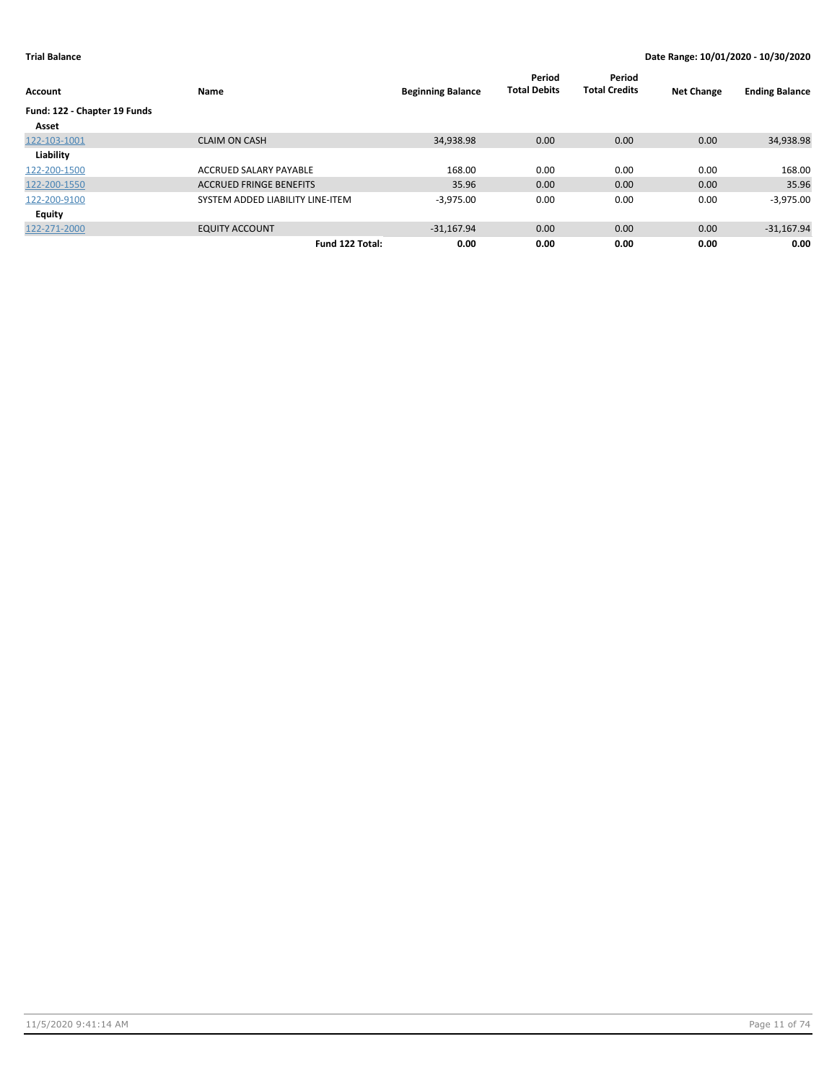| Account                      | Name                             | <b>Beginning Balance</b> | Period<br><b>Total Debits</b> | Period<br><b>Total Credits</b> | <b>Net Change</b> | <b>Ending Balance</b> |
|------------------------------|----------------------------------|--------------------------|-------------------------------|--------------------------------|-------------------|-----------------------|
| Fund: 122 - Chapter 19 Funds |                                  |                          |                               |                                |                   |                       |
| Asset                        |                                  |                          |                               |                                |                   |                       |
| 122-103-1001                 | <b>CLAIM ON CASH</b>             | 34,938.98                | 0.00                          | 0.00                           | 0.00              | 34,938.98             |
| Liability                    |                                  |                          |                               |                                |                   |                       |
| 122-200-1500                 | ACCRUED SALARY PAYABLE           | 168.00                   | 0.00                          | 0.00                           | 0.00              | 168.00                |
| 122-200-1550                 | <b>ACCRUED FRINGE BENEFITS</b>   | 35.96                    | 0.00                          | 0.00                           | 0.00              | 35.96                 |
| 122-200-9100                 | SYSTEM ADDED LIABILITY LINE-ITEM | $-3,975.00$              | 0.00                          | 0.00                           | 0.00              | $-3,975.00$           |
| <b>Equity</b>                |                                  |                          |                               |                                |                   |                       |
| 122-271-2000                 | <b>EQUITY ACCOUNT</b>            | $-31.167.94$             | 0.00                          | 0.00                           | 0.00              | $-31,167.94$          |
|                              | Fund 122 Total:                  | 0.00                     | 0.00                          | 0.00                           | 0.00              | 0.00                  |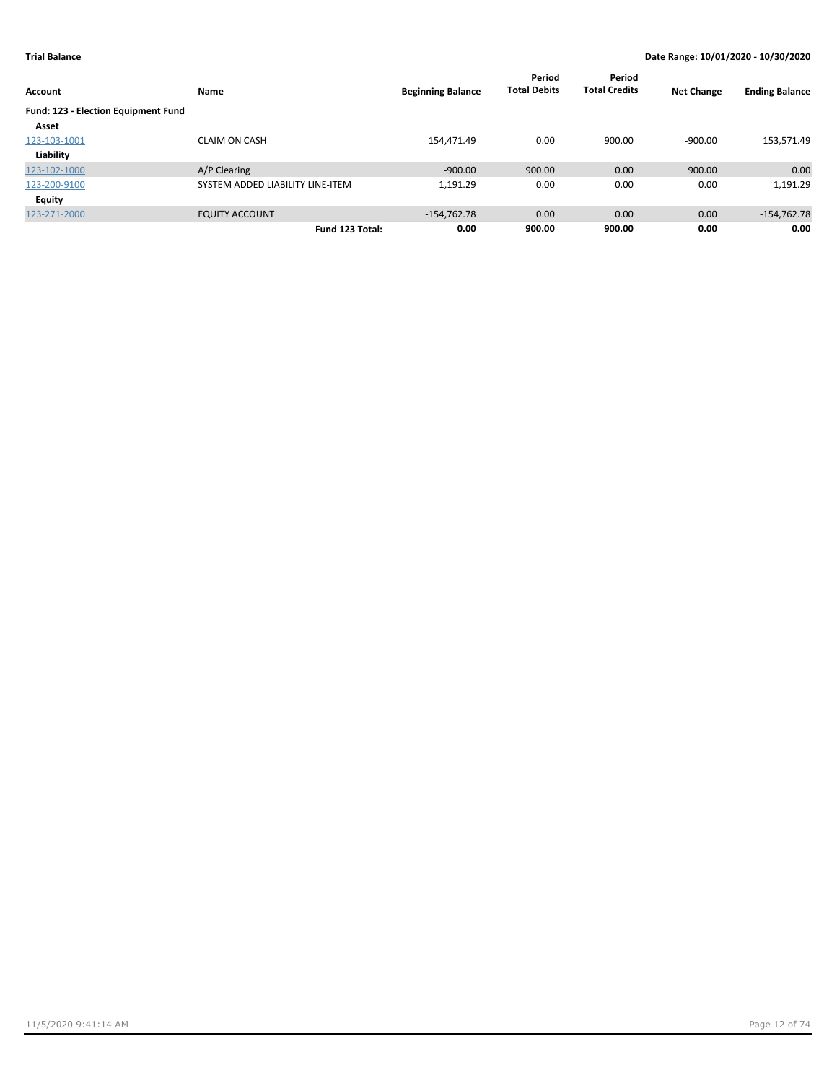| <b>Account</b>                             | <b>Name</b>                      | <b>Beginning Balance</b> | Period<br><b>Total Debits</b> | Period<br><b>Total Credits</b> | <b>Net Change</b> | <b>Ending Balance</b> |
|--------------------------------------------|----------------------------------|--------------------------|-------------------------------|--------------------------------|-------------------|-----------------------|
| <b>Fund: 123 - Election Equipment Fund</b> |                                  |                          |                               |                                |                   |                       |
| Asset                                      |                                  |                          |                               |                                |                   |                       |
| 123-103-1001                               | <b>CLAIM ON CASH</b>             | 154,471.49               | 0.00                          | 900.00                         | $-900.00$         | 153,571.49            |
| Liability                                  |                                  |                          |                               |                                |                   |                       |
| 123-102-1000                               | A/P Clearing                     | $-900.00$                | 900.00                        | 0.00                           | 900.00            | 0.00                  |
| 123-200-9100                               | SYSTEM ADDED LIABILITY LINE-ITEM | 1,191.29                 | 0.00                          | 0.00                           | 0.00              | 1,191.29              |
| <b>Equity</b>                              |                                  |                          |                               |                                |                   |                       |
| 123-271-2000                               | <b>EQUITY ACCOUNT</b>            | $-154,762.78$            | 0.00                          | 0.00                           | 0.00              | $-154,762.78$         |
|                                            | Fund 123 Total:                  | 0.00                     | 900.00                        | 900.00                         | 0.00              | 0.00                  |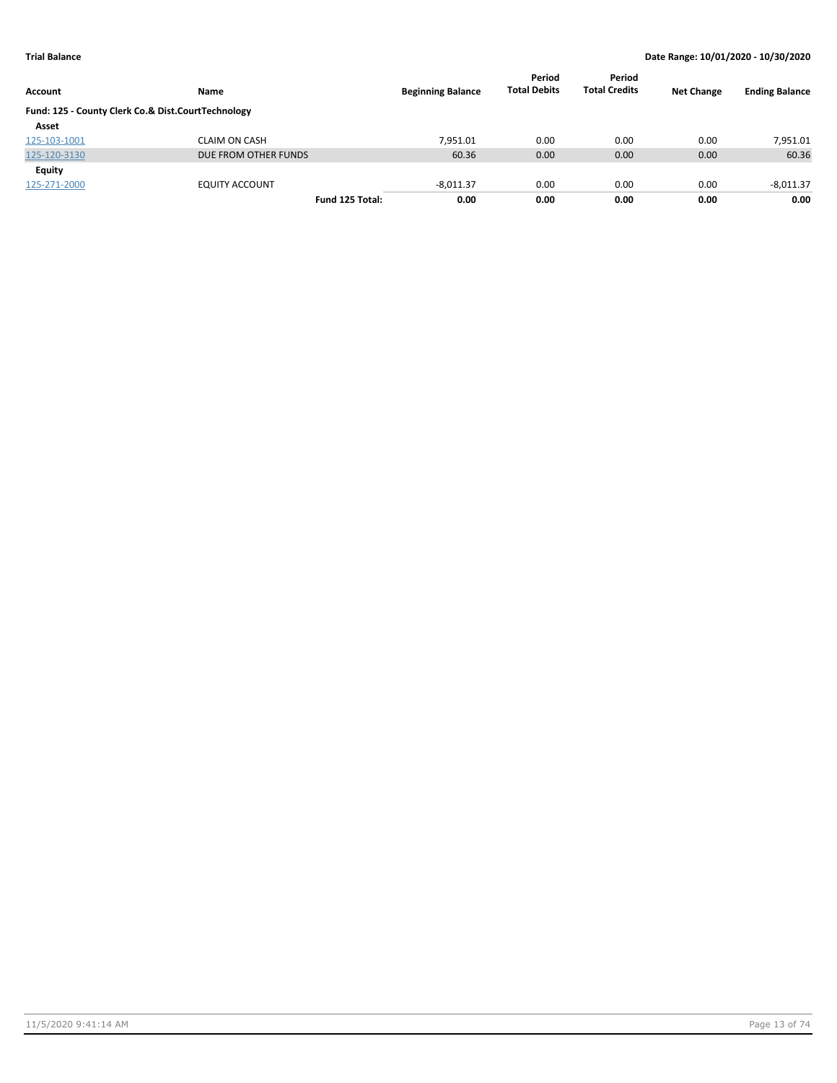| Account                                            | Name                  | <b>Beginning Balance</b> | Period<br><b>Total Debits</b> | Period<br><b>Total Credits</b> | <b>Net Change</b> | <b>Ending Balance</b> |
|----------------------------------------------------|-----------------------|--------------------------|-------------------------------|--------------------------------|-------------------|-----------------------|
| Fund: 125 - County Clerk Co.& Dist.CourtTechnology |                       |                          |                               |                                |                   |                       |
| Asset                                              |                       |                          |                               |                                |                   |                       |
| 125-103-1001                                       | CLAIM ON CASH         | 7.951.01                 | 0.00                          | 0.00                           | 0.00              | 7,951.01              |
| 125-120-3130                                       | DUE FROM OTHER FUNDS  | 60.36                    | 0.00                          | 0.00                           | 0.00              | 60.36                 |
| Equity                                             |                       |                          |                               |                                |                   |                       |
| 125-271-2000                                       | <b>EQUITY ACCOUNT</b> | $-8,011.37$              | 0.00                          | 0.00                           | 0.00              | $-8,011.37$           |
|                                                    | Fund 125 Total:       | 0.00                     | 0.00                          | 0.00                           | 0.00              | 0.00                  |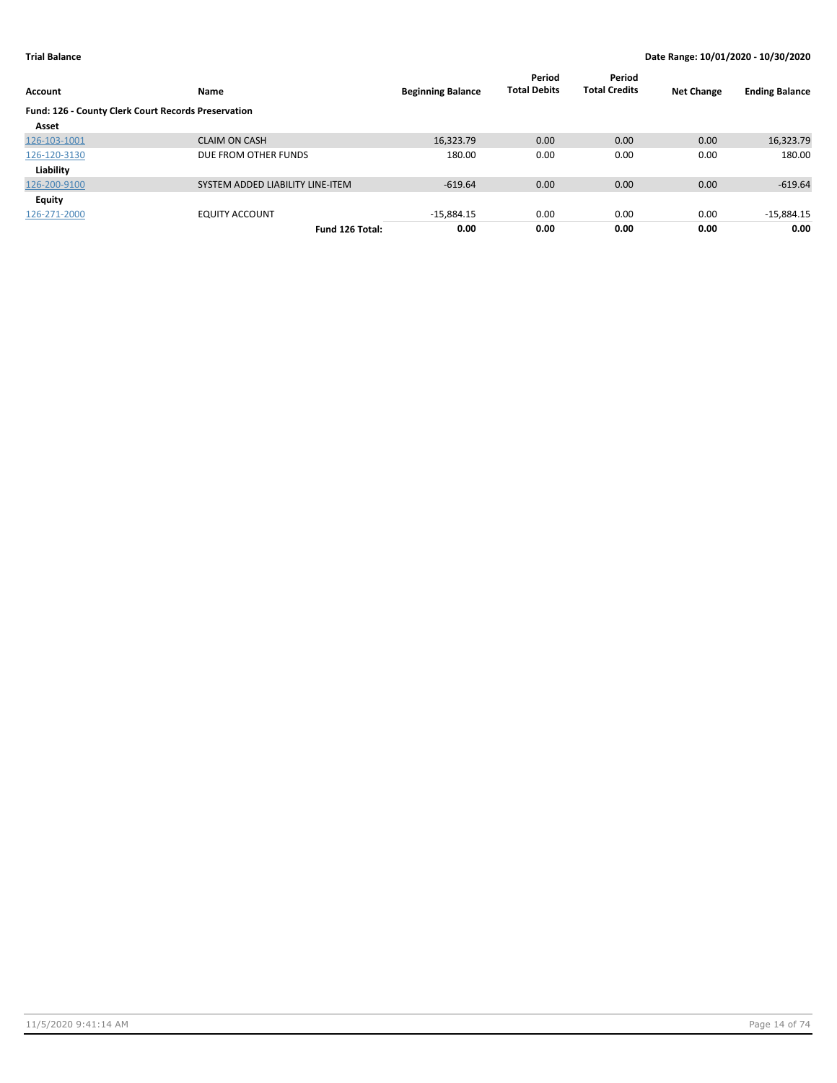| Account                                             | Name                             | <b>Beginning Balance</b> | Period<br><b>Total Debits</b> | Period<br><b>Total Credits</b> | <b>Net Change</b> | <b>Ending Balance</b> |
|-----------------------------------------------------|----------------------------------|--------------------------|-------------------------------|--------------------------------|-------------------|-----------------------|
|                                                     |                                  |                          |                               |                                |                   |                       |
| Fund: 126 - County Clerk Court Records Preservation |                                  |                          |                               |                                |                   |                       |
| Asset                                               |                                  |                          |                               |                                |                   |                       |
| 126-103-1001                                        | <b>CLAIM ON CASH</b>             | 16,323.79                | 0.00                          | 0.00                           | 0.00              | 16,323.79             |
| 126-120-3130                                        | DUE FROM OTHER FUNDS             | 180.00                   | 0.00                          | 0.00                           | 0.00              | 180.00                |
| Liability                                           |                                  |                          |                               |                                |                   |                       |
| 126-200-9100                                        | SYSTEM ADDED LIABILITY LINE-ITEM | $-619.64$                | 0.00                          | 0.00                           | 0.00              | $-619.64$             |
| Equity                                              |                                  |                          |                               |                                |                   |                       |
| 126-271-2000                                        | <b>EQUITY ACCOUNT</b>            | $-15,884.15$             | 0.00                          | 0.00                           | 0.00              | $-15,884.15$          |
|                                                     | Fund 126 Total:                  | 0.00                     | 0.00                          | 0.00                           | 0.00              | 0.00                  |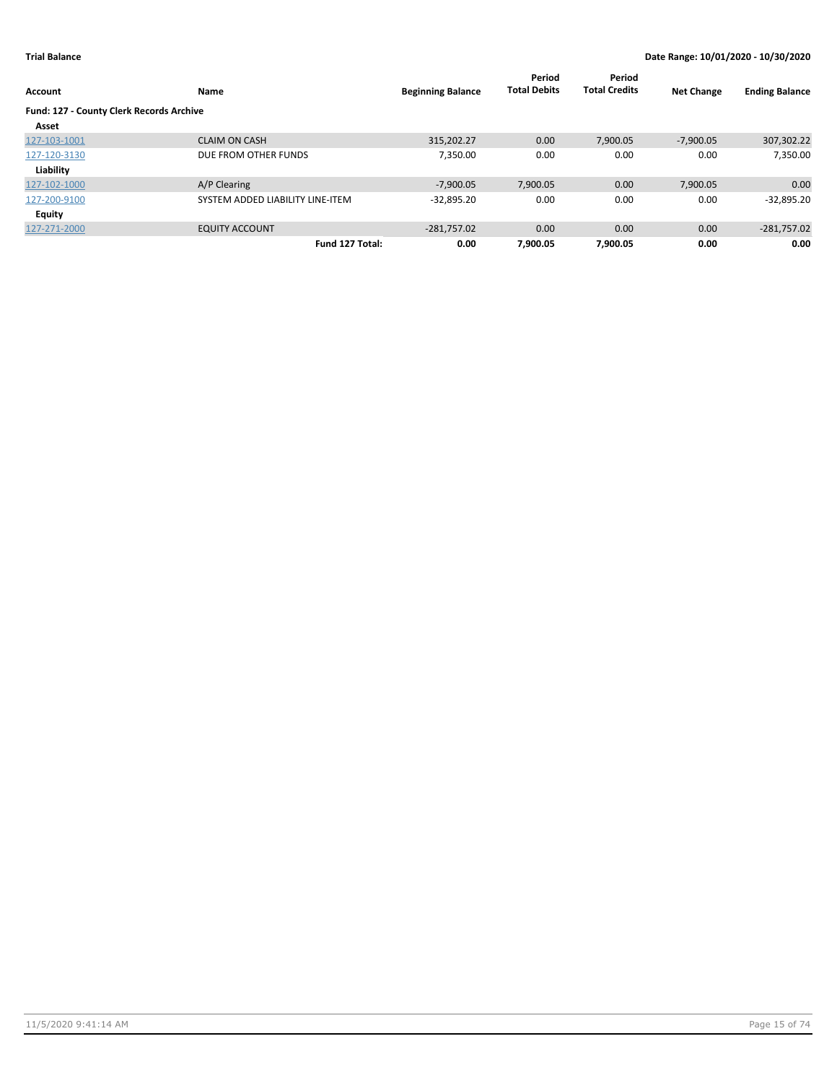| Account                                  | Name                             | <b>Beginning Balance</b> | Period<br><b>Total Debits</b> | Period<br><b>Total Credits</b> | <b>Net Change</b> | <b>Ending Balance</b> |
|------------------------------------------|----------------------------------|--------------------------|-------------------------------|--------------------------------|-------------------|-----------------------|
| Fund: 127 - County Clerk Records Archive |                                  |                          |                               |                                |                   |                       |
| Asset                                    |                                  |                          |                               |                                |                   |                       |
| 127-103-1001                             | <b>CLAIM ON CASH</b>             | 315,202.27               | 0.00                          | 7,900.05                       | $-7,900.05$       | 307,302.22            |
| 127-120-3130                             | DUE FROM OTHER FUNDS             | 7,350.00                 | 0.00                          | 0.00                           | 0.00              | 7,350.00              |
| Liability                                |                                  |                          |                               |                                |                   |                       |
| 127-102-1000                             | A/P Clearing                     | $-7,900.05$              | 7,900.05                      | 0.00                           | 7,900.05          | 0.00                  |
| 127-200-9100                             | SYSTEM ADDED LIABILITY LINE-ITEM | $-32,895.20$             | 0.00                          | 0.00                           | 0.00              | $-32,895.20$          |
| Equity                                   |                                  |                          |                               |                                |                   |                       |
| 127-271-2000                             | <b>EQUITY ACCOUNT</b>            | $-281,757.02$            | 0.00                          | 0.00                           | 0.00              | $-281,757.02$         |
|                                          | Fund 127 Total:                  | 0.00                     | 7,900.05                      | 7.900.05                       | 0.00              | 0.00                  |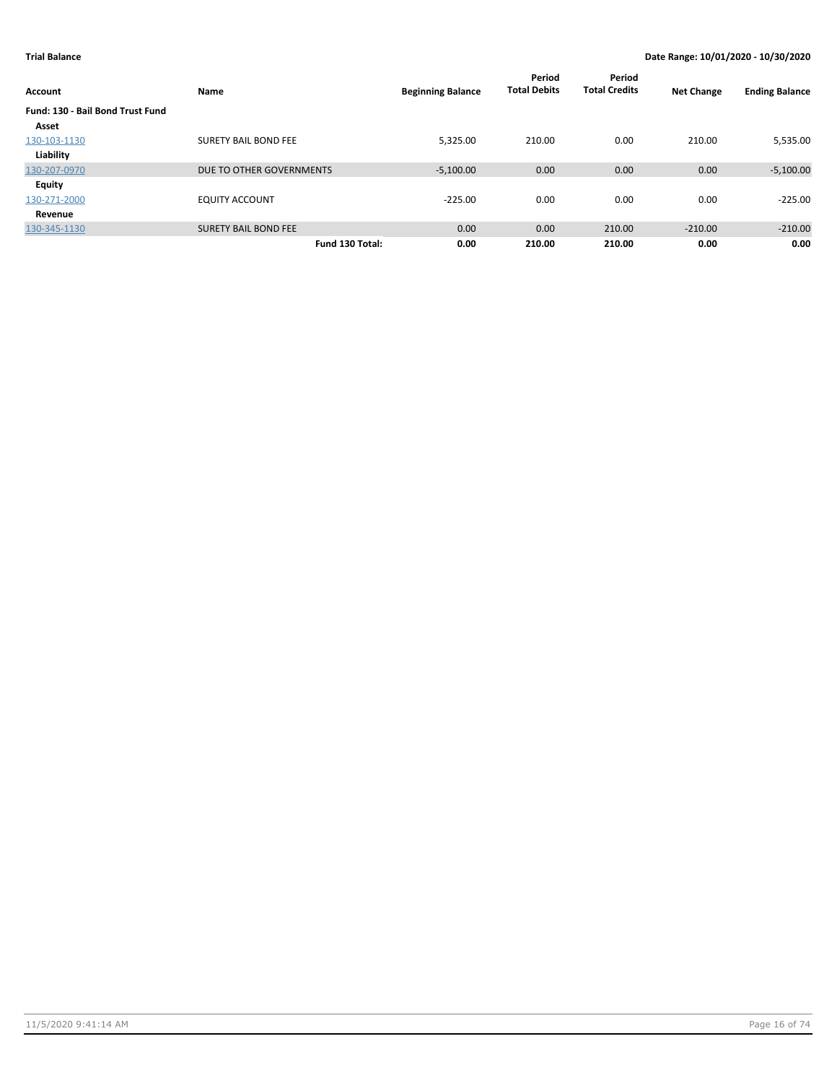| Account                          | Name                        | <b>Beginning Balance</b> | Period<br><b>Total Debits</b> | Period<br><b>Total Credits</b> | <b>Net Change</b> | <b>Ending Balance</b> |
|----------------------------------|-----------------------------|--------------------------|-------------------------------|--------------------------------|-------------------|-----------------------|
| Fund: 130 - Bail Bond Trust Fund |                             |                          |                               |                                |                   |                       |
| Asset                            |                             |                          |                               |                                |                   |                       |
| 130-103-1130                     | <b>SURETY BAIL BOND FEE</b> | 5.325.00                 | 210.00                        | 0.00                           | 210.00            | 5,535.00              |
| Liability                        |                             |                          |                               |                                |                   |                       |
| 130-207-0970                     | DUE TO OTHER GOVERNMENTS    | $-5,100.00$              | 0.00                          | 0.00                           | 0.00              | $-5,100.00$           |
| <b>Equity</b>                    |                             |                          |                               |                                |                   |                       |
| 130-271-2000                     | <b>EQUITY ACCOUNT</b>       | $-225.00$                | 0.00                          | 0.00                           | 0.00              | $-225.00$             |
| Revenue                          |                             |                          |                               |                                |                   |                       |
| 130-345-1130                     | <b>SURETY BAIL BOND FEE</b> | 0.00                     | 0.00                          | 210.00                         | $-210.00$         | $-210.00$             |
|                                  | Fund 130 Total:             | 0.00                     | 210.00                        | 210.00                         | 0.00              | 0.00                  |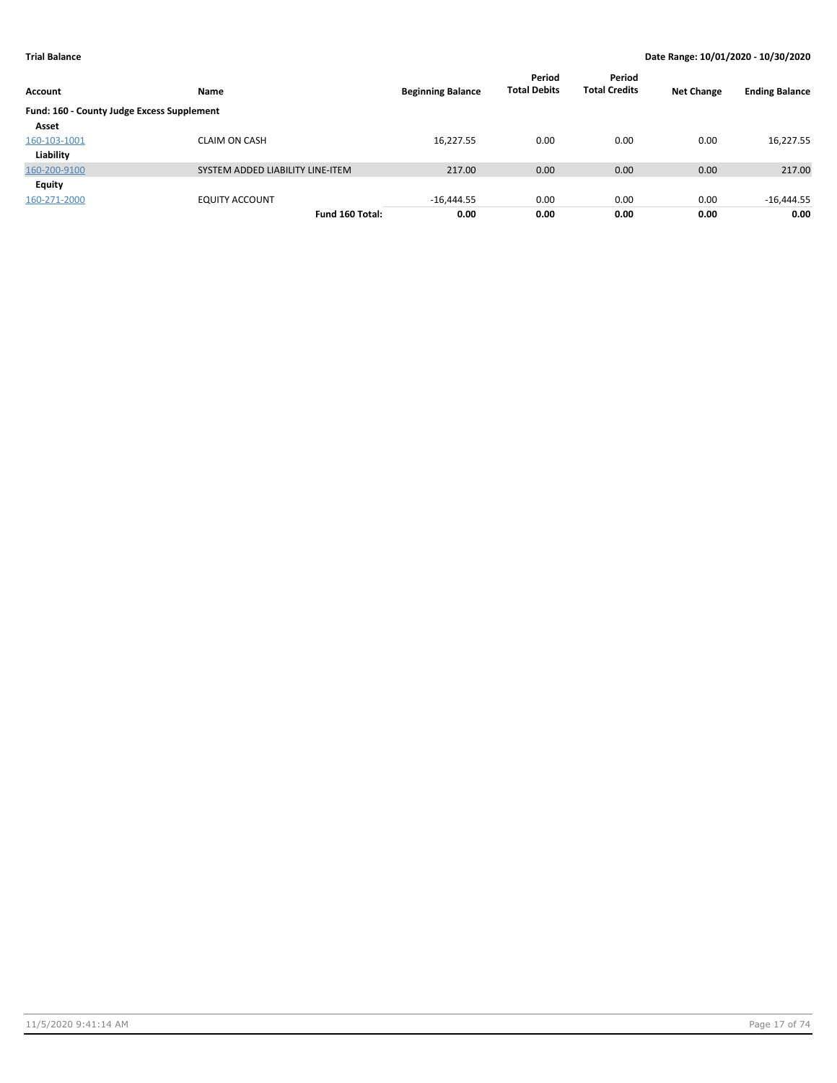| Account                                    | Name                             | <b>Beginning Balance</b> | Period<br><b>Total Debits</b> | Period<br><b>Total Credits</b> | <b>Net Change</b> | <b>Ending Balance</b> |
|--------------------------------------------|----------------------------------|--------------------------|-------------------------------|--------------------------------|-------------------|-----------------------|
| Fund: 160 - County Judge Excess Supplement |                                  |                          |                               |                                |                   |                       |
| Asset                                      |                                  |                          |                               |                                |                   |                       |
| 160-103-1001                               | <b>CLAIM ON CASH</b>             | 16,227.55                | 0.00                          | 0.00                           | 0.00              | 16,227.55             |
| Liability                                  |                                  |                          |                               |                                |                   |                       |
| 160-200-9100                               | SYSTEM ADDED LIABILITY LINE-ITEM | 217.00                   | 0.00                          | 0.00                           | 0.00              | 217.00                |
| Equity                                     |                                  |                          |                               |                                |                   |                       |
| 160-271-2000                               | <b>EQUITY ACCOUNT</b>            | $-16,444.55$             | 0.00                          | 0.00                           | 0.00              | $-16,444.55$          |
|                                            | Fund 160 Total:                  | 0.00                     | 0.00                          | 0.00                           | 0.00              | 0.00                  |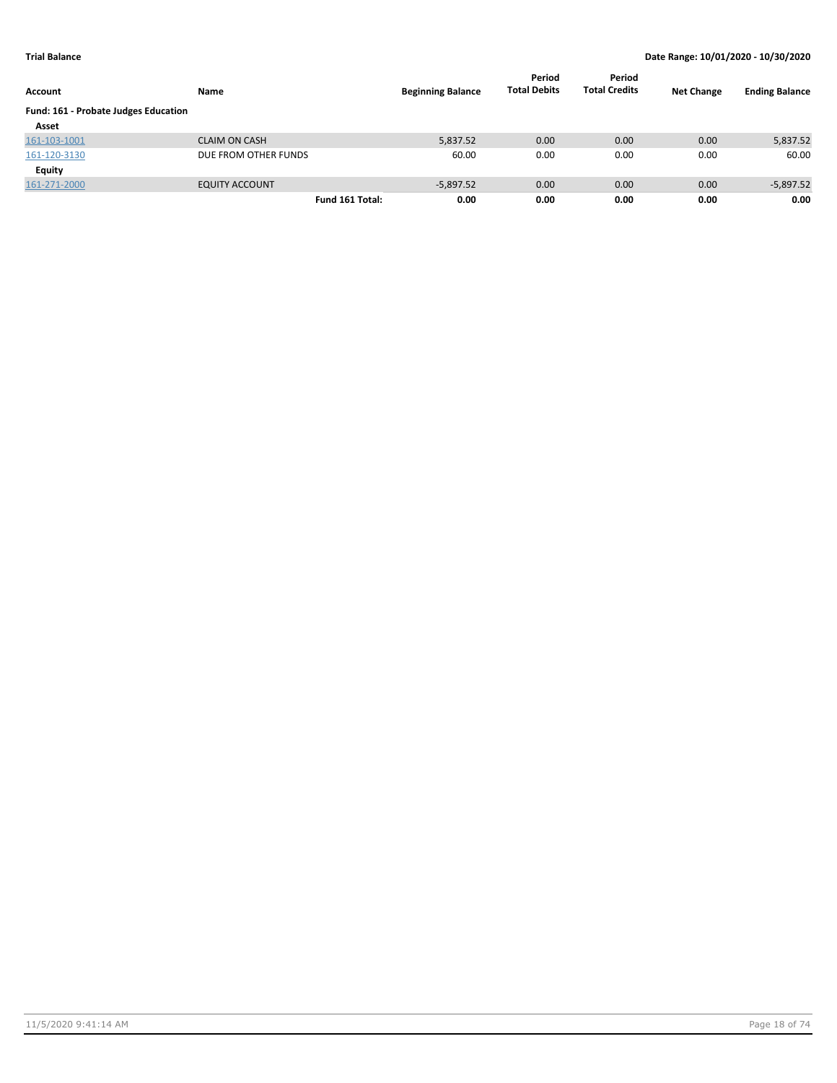| Account                              | Name                  | <b>Beginning Balance</b> | Period<br><b>Total Debits</b> | Period<br><b>Total Credits</b> | <b>Net Change</b> | <b>Ending Balance</b> |
|--------------------------------------|-----------------------|--------------------------|-------------------------------|--------------------------------|-------------------|-----------------------|
| Fund: 161 - Probate Judges Education |                       |                          |                               |                                |                   |                       |
| Asset                                |                       |                          |                               |                                |                   |                       |
| 161-103-1001                         | <b>CLAIM ON CASH</b>  | 5,837.52                 | 0.00                          | 0.00                           | 0.00              | 5,837.52              |
| 161-120-3130                         | DUE FROM OTHER FUNDS  | 60.00                    | 0.00                          | 0.00                           | 0.00              | 60.00                 |
| Equity                               |                       |                          |                               |                                |                   |                       |
| 161-271-2000                         | <b>EQUITY ACCOUNT</b> | $-5,897.52$              | 0.00                          | 0.00                           | 0.00              | $-5,897.52$           |
|                                      | Fund 161 Total:       | 0.00                     | 0.00                          | 0.00                           | 0.00              | 0.00                  |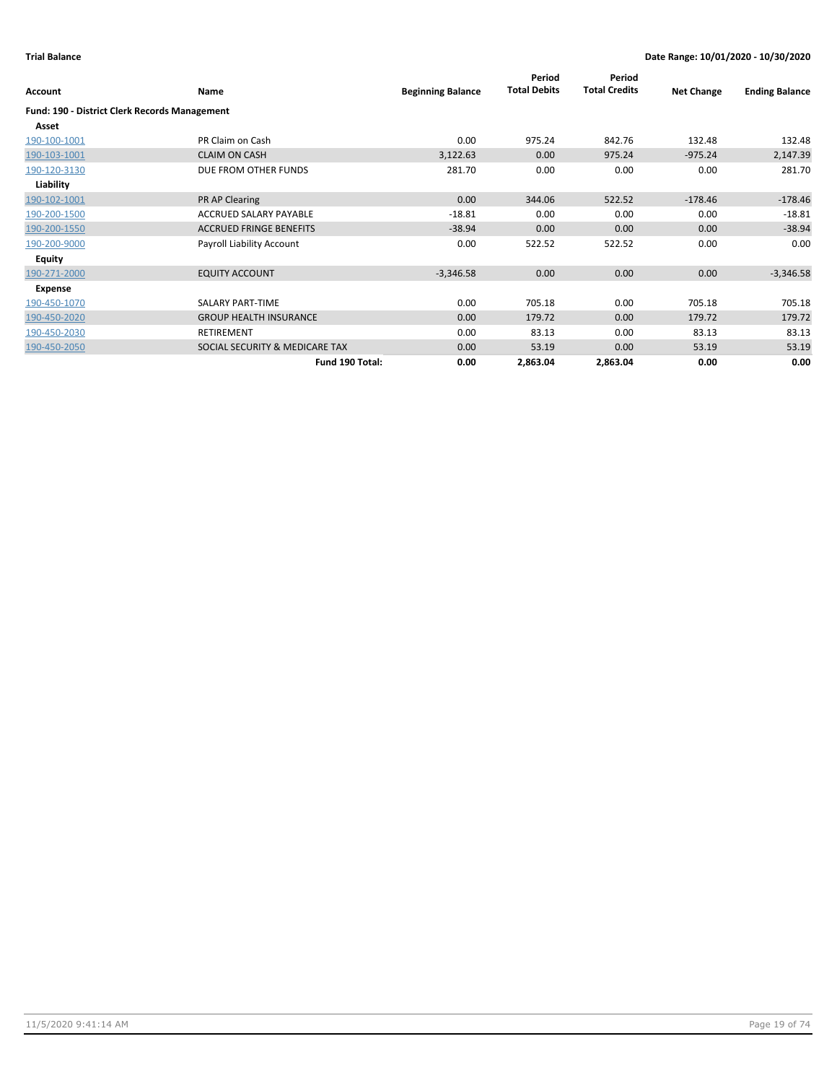|                                                      |                                |                          | Period              | Period               |                   |                       |
|------------------------------------------------------|--------------------------------|--------------------------|---------------------|----------------------|-------------------|-----------------------|
| Account                                              | Name                           | <b>Beginning Balance</b> | <b>Total Debits</b> | <b>Total Credits</b> | <b>Net Change</b> | <b>Ending Balance</b> |
| <b>Fund: 190 - District Clerk Records Management</b> |                                |                          |                     |                      |                   |                       |
| Asset                                                |                                |                          |                     |                      |                   |                       |
| 190-100-1001                                         | PR Claim on Cash               | 0.00                     | 975.24              | 842.76               | 132.48            | 132.48                |
| 190-103-1001                                         | <b>CLAIM ON CASH</b>           | 3,122.63                 | 0.00                | 975.24               | $-975.24$         | 2,147.39              |
| 190-120-3130                                         | DUE FROM OTHER FUNDS           | 281.70                   | 0.00                | 0.00                 | 0.00              | 281.70                |
| Liability                                            |                                |                          |                     |                      |                   |                       |
| 190-102-1001                                         | PR AP Clearing                 | 0.00                     | 344.06              | 522.52               | $-178.46$         | $-178.46$             |
| 190-200-1500                                         | ACCRUED SALARY PAYABLE         | $-18.81$                 | 0.00                | 0.00                 | 0.00              | $-18.81$              |
| 190-200-1550                                         | <b>ACCRUED FRINGE BENEFITS</b> | $-38.94$                 | 0.00                | 0.00                 | 0.00              | $-38.94$              |
| 190-200-9000                                         | Payroll Liability Account      | 0.00                     | 522.52              | 522.52               | 0.00              | 0.00                  |
| <b>Equity</b>                                        |                                |                          |                     |                      |                   |                       |
| 190-271-2000                                         | <b>EQUITY ACCOUNT</b>          | $-3,346.58$              | 0.00                | 0.00                 | 0.00              | $-3,346.58$           |
| Expense                                              |                                |                          |                     |                      |                   |                       |
| 190-450-1070                                         | SALARY PART-TIME               | 0.00                     | 705.18              | 0.00                 | 705.18            | 705.18                |
| 190-450-2020                                         | <b>GROUP HEALTH INSURANCE</b>  | 0.00                     | 179.72              | 0.00                 | 179.72            | 179.72                |
| 190-450-2030                                         | <b>RETIREMENT</b>              | 0.00                     | 83.13               | 0.00                 | 83.13             | 83.13                 |
| 190-450-2050                                         | SOCIAL SECURITY & MEDICARE TAX | 0.00                     | 53.19               | 0.00                 | 53.19             | 53.19                 |
|                                                      | Fund 190 Total:                | 0.00                     | 2,863.04            | 2,863.04             | 0.00              | 0.00                  |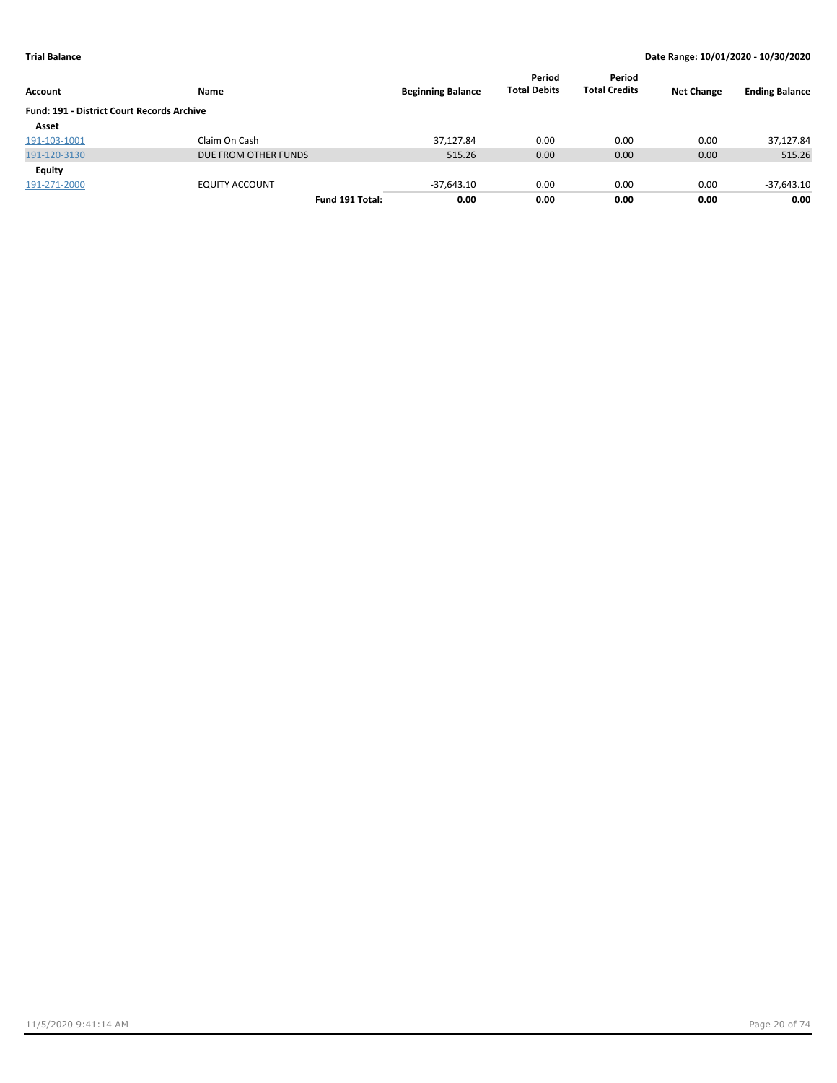| Account                                           | Name                  | <b>Beginning Balance</b> | Period<br><b>Total Debits</b> | Period<br><b>Total Credits</b> | <b>Net Change</b> | <b>Ending Balance</b> |
|---------------------------------------------------|-----------------------|--------------------------|-------------------------------|--------------------------------|-------------------|-----------------------|
| <b>Fund: 191 - District Court Records Archive</b> |                       |                          |                               |                                |                   |                       |
| Asset                                             |                       |                          |                               |                                |                   |                       |
| 191-103-1001                                      | Claim On Cash         | 37.127.84                | 0.00                          | 0.00                           | 0.00              | 37,127.84             |
| 191-120-3130                                      | DUE FROM OTHER FUNDS  | 515.26                   | 0.00                          | 0.00                           | 0.00              | 515.26                |
| Equity                                            |                       |                          |                               |                                |                   |                       |
| 191-271-2000                                      | <b>EQUITY ACCOUNT</b> | $-37,643.10$             | 0.00                          | 0.00                           | 0.00              | $-37,643.10$          |
|                                                   | Fund 191 Total:       | 0.00                     | 0.00                          | 0.00                           | 0.00              | 0.00                  |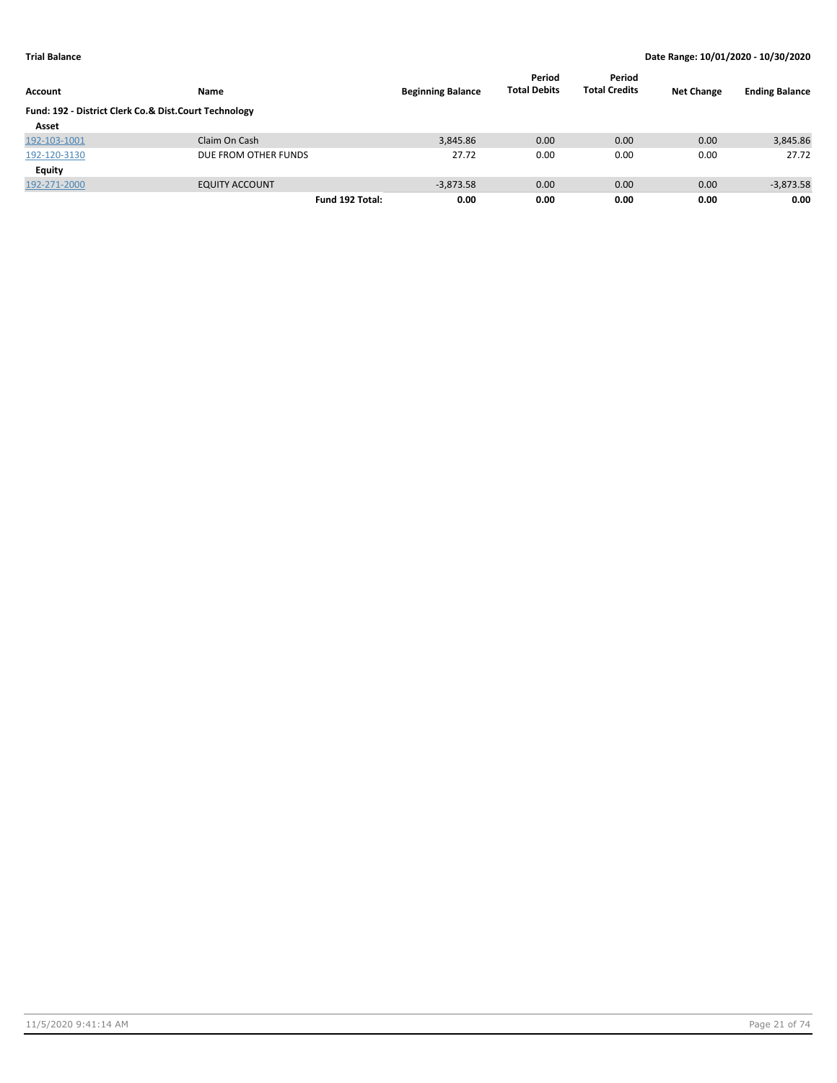| Account                                               | Name                  | <b>Beginning Balance</b> | Period<br><b>Total Debits</b> | Period<br><b>Total Credits</b> | <b>Net Change</b> | <b>Ending Balance</b> |
|-------------------------------------------------------|-----------------------|--------------------------|-------------------------------|--------------------------------|-------------------|-----------------------|
| Fund: 192 - District Clerk Co.& Dist.Court Technology |                       |                          |                               |                                |                   |                       |
| Asset                                                 |                       |                          |                               |                                |                   |                       |
| 192-103-1001                                          | Claim On Cash         | 3,845.86                 | 0.00                          | 0.00                           | 0.00              | 3,845.86              |
| 192-120-3130                                          | DUE FROM OTHER FUNDS  | 27.72                    | 0.00                          | 0.00                           | 0.00              | 27.72                 |
| Equity                                                |                       |                          |                               |                                |                   |                       |
| 192-271-2000                                          | <b>EQUITY ACCOUNT</b> | $-3.873.58$              | 0.00                          | 0.00                           | 0.00              | $-3,873.58$           |
|                                                       | Fund 192 Total:       | 0.00                     | 0.00                          | 0.00                           | 0.00              | 0.00                  |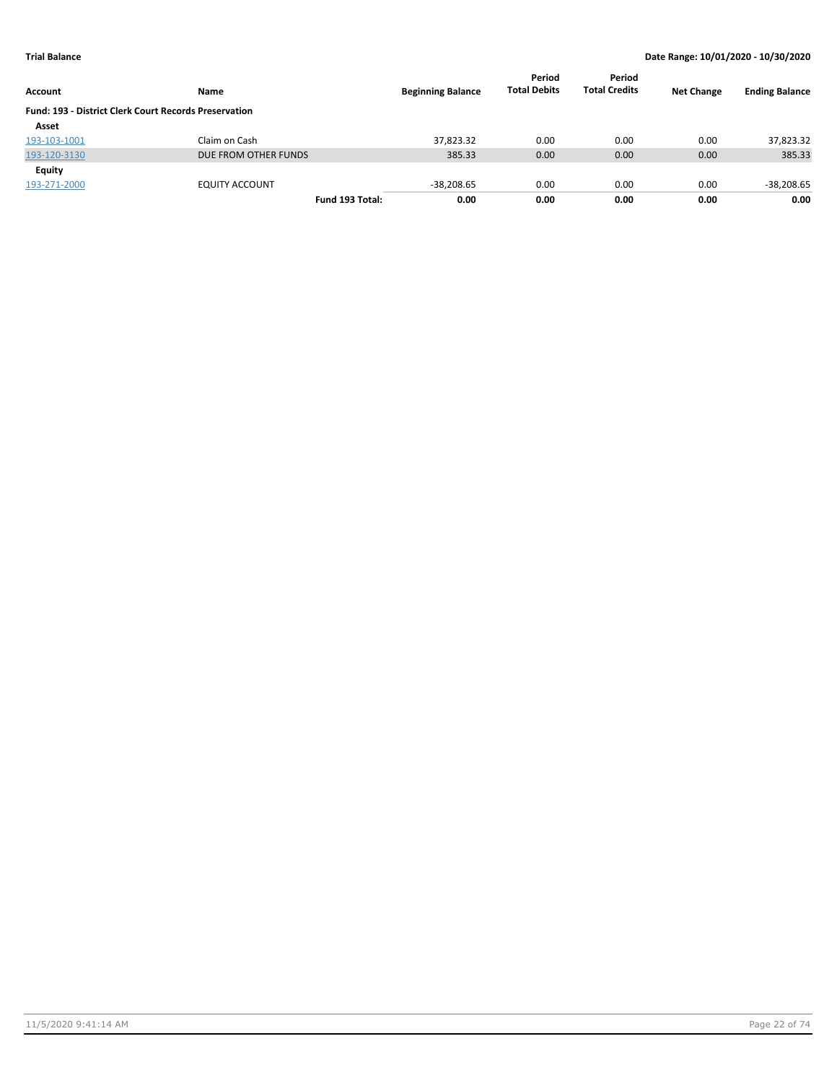|                                                              |                      |                          | Period<br><b>Total Debits</b> | Period<br><b>Total Credits</b> | <b>Net Change</b> |                       |
|--------------------------------------------------------------|----------------------|--------------------------|-------------------------------|--------------------------------|-------------------|-----------------------|
| Account                                                      | Name                 | <b>Beginning Balance</b> |                               |                                |                   | <b>Ending Balance</b> |
| <b>Fund: 193 - District Clerk Court Records Preservation</b> |                      |                          |                               |                                |                   |                       |
| Asset                                                        |                      |                          |                               |                                |                   |                       |
| 193-103-1001                                                 | Claim on Cash        | 37.823.32                | 0.00                          | 0.00                           | 0.00              | 37,823.32             |
| 193-120-3130                                                 | DUE FROM OTHER FUNDS | 385.33                   | 0.00                          | 0.00                           | 0.00              | 385.33                |
| Equity                                                       |                      |                          |                               |                                |                   |                       |
| 193-271-2000                                                 | EQUITY ACCOUNT       | $-38,208.65$             | 0.00                          | 0.00                           | 0.00              | $-38,208.65$          |
|                                                              | Fund 193 Total:      | 0.00                     | 0.00                          | 0.00                           | 0.00              | 0.00                  |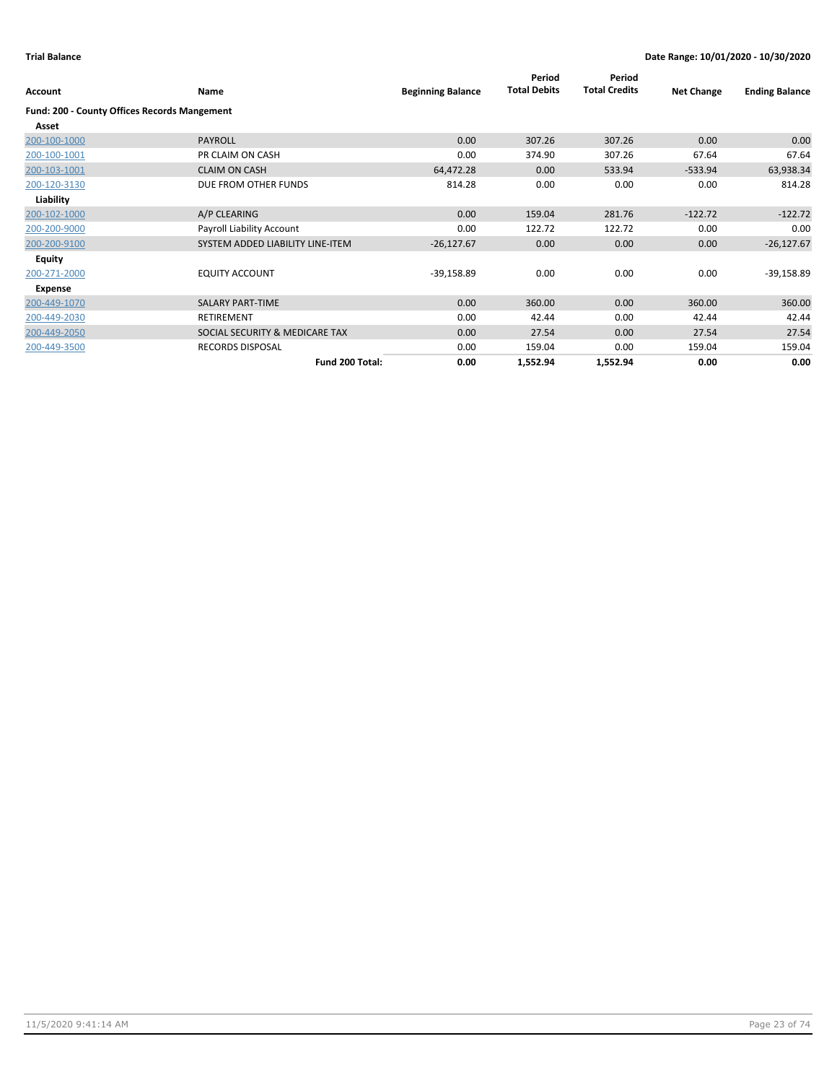| Account                                             | <b>Name</b>                      | <b>Beginning Balance</b> | Period<br><b>Total Debits</b> | Period<br><b>Total Credits</b> | <b>Net Change</b> | <b>Ending Balance</b> |
|-----------------------------------------------------|----------------------------------|--------------------------|-------------------------------|--------------------------------|-------------------|-----------------------|
| <b>Fund: 200 - County Offices Records Mangement</b> |                                  |                          |                               |                                |                   |                       |
| Asset                                               |                                  |                          |                               |                                |                   |                       |
| 200-100-1000                                        | <b>PAYROLL</b>                   | 0.00                     | 307.26                        | 307.26                         | 0.00              | 0.00                  |
| 200-100-1001                                        | PR CLAIM ON CASH                 | 0.00                     | 374.90                        | 307.26                         | 67.64             | 67.64                 |
| 200-103-1001                                        | <b>CLAIM ON CASH</b>             | 64,472.28                | 0.00                          | 533.94                         | $-533.94$         | 63,938.34             |
| 200-120-3130                                        | DUE FROM OTHER FUNDS             | 814.28                   | 0.00                          | 0.00                           | 0.00              | 814.28                |
| Liability                                           |                                  |                          |                               |                                |                   |                       |
| 200-102-1000                                        | A/P CLEARING                     | 0.00                     | 159.04                        | 281.76                         | $-122.72$         | $-122.72$             |
| 200-200-9000                                        | Payroll Liability Account        | 0.00                     | 122.72                        | 122.72                         | 0.00              | 0.00                  |
| 200-200-9100                                        | SYSTEM ADDED LIABILITY LINE-ITEM | $-26,127.67$             | 0.00                          | 0.00                           | 0.00              | $-26,127.67$          |
| Equity                                              |                                  |                          |                               |                                |                   |                       |
| 200-271-2000                                        | <b>EQUITY ACCOUNT</b>            | $-39,158.89$             | 0.00                          | 0.00                           | 0.00              | $-39,158.89$          |
| Expense                                             |                                  |                          |                               |                                |                   |                       |
| 200-449-1070                                        | <b>SALARY PART-TIME</b>          | 0.00                     | 360.00                        | 0.00                           | 360.00            | 360.00                |
| 200-449-2030                                        | RETIREMENT                       | 0.00                     | 42.44                         | 0.00                           | 42.44             | 42.44                 |
| 200-449-2050                                        | SOCIAL SECURITY & MEDICARE TAX   | 0.00                     | 27.54                         | 0.00                           | 27.54             | 27.54                 |
| 200-449-3500                                        | <b>RECORDS DISPOSAL</b>          | 0.00                     | 159.04                        | 0.00                           | 159.04            | 159.04                |
|                                                     | Fund 200 Total:                  | 0.00                     | 1,552.94                      | 1,552.94                       | 0.00              | 0.00                  |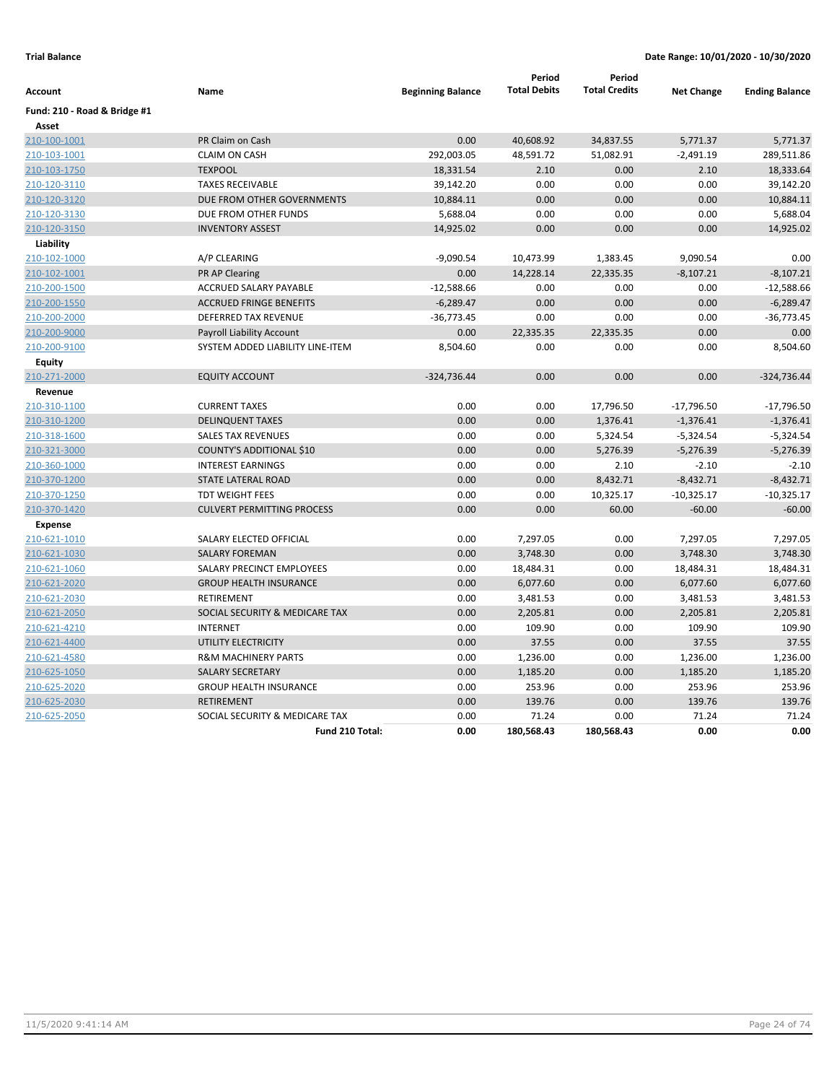| Account                      | Name                              | <b>Beginning Balance</b> | Period<br><b>Total Debits</b> | Period<br><b>Total Credits</b> | <b>Net Change</b> | <b>Ending Balance</b> |
|------------------------------|-----------------------------------|--------------------------|-------------------------------|--------------------------------|-------------------|-----------------------|
| Fund: 210 - Road & Bridge #1 |                                   |                          |                               |                                |                   |                       |
| Asset                        |                                   |                          |                               |                                |                   |                       |
| 210-100-1001                 | PR Claim on Cash                  | 0.00                     | 40,608.92                     | 34,837.55                      | 5,771.37          | 5,771.37              |
| 210-103-1001                 | <b>CLAIM ON CASH</b>              | 292,003.05               | 48,591.72                     | 51,082.91                      | $-2,491.19$       | 289,511.86            |
| 210-103-1750                 | <b>TEXPOOL</b>                    | 18,331.54                | 2.10                          | 0.00                           | 2.10              | 18,333.64             |
| 210-120-3110                 | <b>TAXES RECEIVABLE</b>           | 39,142.20                | 0.00                          | 0.00                           | 0.00              | 39,142.20             |
| 210-120-3120                 | DUE FROM OTHER GOVERNMENTS        | 10,884.11                | 0.00                          | 0.00                           | 0.00              | 10,884.11             |
| 210-120-3130                 | DUE FROM OTHER FUNDS              | 5,688.04                 | 0.00                          | 0.00                           | 0.00              | 5,688.04              |
| 210-120-3150                 | <b>INVENTORY ASSEST</b>           | 14,925.02                | 0.00                          | 0.00                           | 0.00              | 14,925.02             |
| Liability                    |                                   |                          |                               |                                |                   |                       |
| 210-102-1000                 | A/P CLEARING                      | $-9,090.54$              | 10,473.99                     | 1,383.45                       | 9,090.54          | 0.00                  |
| 210-102-1001                 | <b>PR AP Clearing</b>             | 0.00                     | 14,228.14                     | 22,335.35                      | $-8,107.21$       | $-8,107.21$           |
| 210-200-1500                 | ACCRUED SALARY PAYABLE            | $-12,588.66$             | 0.00                          | 0.00                           | 0.00              | $-12,588.66$          |
| 210-200-1550                 | <b>ACCRUED FRINGE BENEFITS</b>    | $-6,289.47$              | 0.00                          | 0.00                           | 0.00              | $-6,289.47$           |
| 210-200-2000                 | DEFERRED TAX REVENUE              | $-36,773.45$             | 0.00                          | 0.00                           | 0.00              | $-36,773.45$          |
| 210-200-9000                 | <b>Payroll Liability Account</b>  | 0.00                     | 22,335.35                     | 22,335.35                      | 0.00              | 0.00                  |
| 210-200-9100                 | SYSTEM ADDED LIABILITY LINE-ITEM  | 8,504.60                 | 0.00                          | 0.00                           | 0.00              | 8,504.60              |
| <b>Equity</b>                |                                   |                          |                               |                                |                   |                       |
| 210-271-2000                 | <b>EQUITY ACCOUNT</b>             | $-324,736.44$            | 0.00                          | 0.00                           | 0.00              | $-324,736.44$         |
| Revenue                      |                                   |                          |                               |                                |                   |                       |
| 210-310-1100                 | <b>CURRENT TAXES</b>              | 0.00                     | 0.00                          | 17,796.50                      | $-17,796.50$      | $-17,796.50$          |
| 210-310-1200                 | <b>DELINQUENT TAXES</b>           | 0.00                     | 0.00                          | 1,376.41                       | $-1,376.41$       | $-1,376.41$           |
| 210-318-1600                 | <b>SALES TAX REVENUES</b>         | 0.00                     | 0.00                          | 5,324.54                       | $-5,324.54$       | $-5,324.54$           |
| 210-321-3000                 | COUNTY'S ADDITIONAL \$10          | 0.00                     | 0.00                          | 5,276.39                       | $-5,276.39$       | $-5,276.39$           |
| 210-360-1000                 | <b>INTEREST EARNINGS</b>          | 0.00                     | 0.00                          | 2.10                           | $-2.10$           | $-2.10$               |
| 210-370-1200                 | <b>STATE LATERAL ROAD</b>         | 0.00                     | 0.00                          | 8,432.71                       | $-8,432.71$       | $-8,432.71$           |
| 210-370-1250                 | <b>TDT WEIGHT FEES</b>            | 0.00                     | 0.00                          | 10,325.17                      | $-10,325.17$      | $-10,325.17$          |
| 210-370-1420                 | <b>CULVERT PERMITTING PROCESS</b> | 0.00                     | 0.00                          | 60.00                          | $-60.00$          | $-60.00$              |
| <b>Expense</b>               |                                   |                          |                               |                                |                   |                       |
| 210-621-1010                 | SALARY ELECTED OFFICIAL           | 0.00                     | 7,297.05                      | 0.00                           | 7,297.05          | 7,297.05              |
| 210-621-1030                 | <b>SALARY FOREMAN</b>             | 0.00                     | 3,748.30                      | 0.00                           | 3,748.30          | 3,748.30              |
| 210-621-1060                 | SALARY PRECINCT EMPLOYEES         | 0.00                     | 18,484.31                     | 0.00                           | 18,484.31         | 18,484.31             |
| 210-621-2020                 | <b>GROUP HEALTH INSURANCE</b>     | 0.00                     | 6,077.60                      | 0.00                           | 6,077.60          | 6,077.60              |
| 210-621-2030                 | <b>RETIREMENT</b>                 | 0.00                     | 3,481.53                      | 0.00                           | 3,481.53          | 3,481.53              |
| 210-621-2050                 | SOCIAL SECURITY & MEDICARE TAX    | 0.00                     | 2,205.81                      | 0.00                           | 2,205.81          | 2,205.81              |
| 210-621-4210                 | <b>INTERNET</b>                   | 0.00                     | 109.90                        | 0.00                           | 109.90            | 109.90                |
| 210-621-4400                 | UTILITY ELECTRICITY               | 0.00                     | 37.55                         | 0.00                           | 37.55             | 37.55                 |
| 210-621-4580                 | <b>R&amp;M MACHINERY PARTS</b>    | 0.00                     | 1,236.00                      | 0.00                           | 1,236.00          | 1,236.00              |
| 210-625-1050                 | <b>SALARY SECRETARY</b>           | 0.00                     | 1,185.20                      | 0.00                           | 1,185.20          | 1,185.20              |
| 210-625-2020                 | <b>GROUP HEALTH INSURANCE</b>     | 0.00                     | 253.96                        | 0.00                           | 253.96            | 253.96                |
| 210-625-2030                 | <b>RETIREMENT</b>                 | 0.00                     | 139.76                        | 0.00                           | 139.76            | 139.76                |
| 210-625-2050                 | SOCIAL SECURITY & MEDICARE TAX    | 0.00                     | 71.24                         | 0.00                           | 71.24             | 71.24                 |
|                              | Fund 210 Total:                   | 0.00                     | 180,568.43                    | 180,568.43                     | 0.00              | 0.00                  |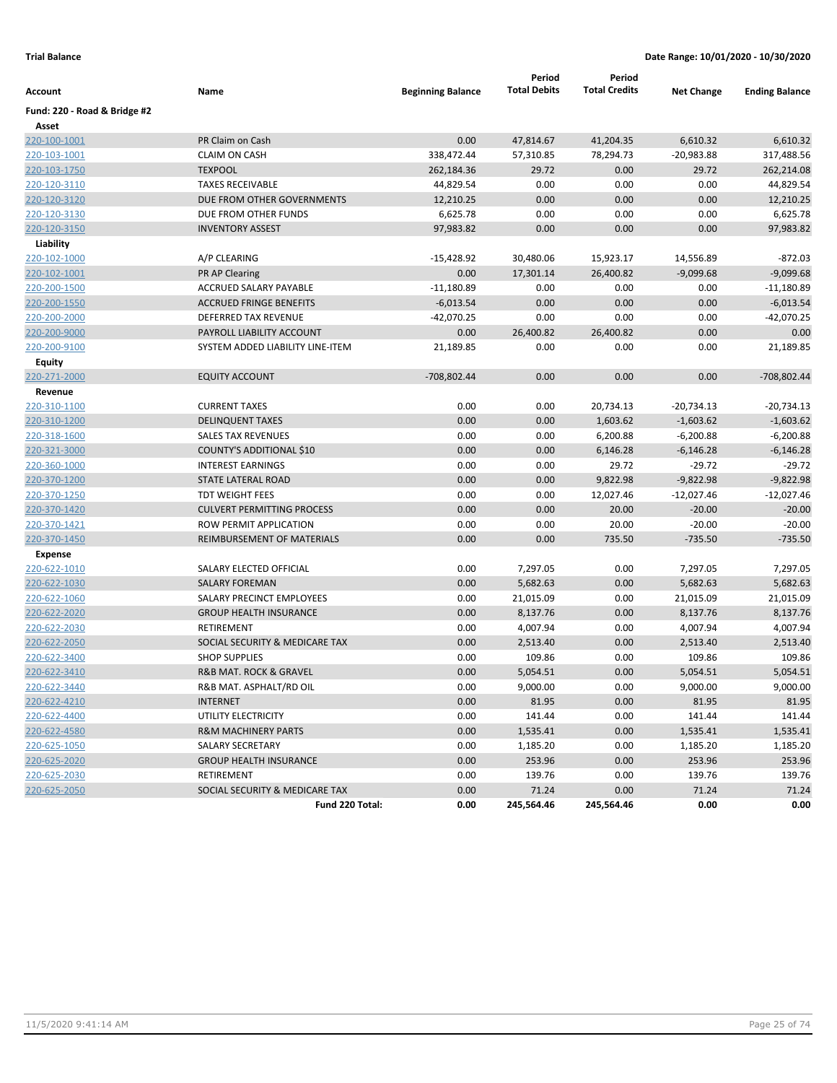|                              |                                   |                          | Period                 | Period               |                   |                       |
|------------------------------|-----------------------------------|--------------------------|------------------------|----------------------|-------------------|-----------------------|
| Account                      | Name                              | <b>Beginning Balance</b> | <b>Total Debits</b>    | <b>Total Credits</b> | <b>Net Change</b> | <b>Ending Balance</b> |
| Fund: 220 - Road & Bridge #2 |                                   |                          |                        |                      |                   |                       |
| Asset<br>220-100-1001        | PR Claim on Cash                  | 0.00                     |                        | 41,204.35            | 6,610.32          | 6,610.32              |
| 220-103-1001                 | <b>CLAIM ON CASH</b>              | 338,472.44               | 47,814.67<br>57,310.85 | 78,294.73            | $-20,983.88$      | 317,488.56            |
|                              | <b>TEXPOOL</b>                    |                          |                        | 0.00                 | 29.72             |                       |
| 220-103-1750                 |                                   | 262,184.36               | 29.72                  |                      |                   | 262,214.08            |
| 220-120-3110                 | <b>TAXES RECEIVABLE</b>           | 44,829.54                | 0.00                   | 0.00                 | 0.00              | 44,829.54             |
| 220-120-3120                 | DUE FROM OTHER GOVERNMENTS        | 12,210.25                | 0.00                   | 0.00                 | 0.00              | 12,210.25             |
| 220-120-3130                 | DUE FROM OTHER FUNDS              | 6,625.78                 | 0.00                   | 0.00                 | 0.00              | 6,625.78              |
| 220-120-3150                 | <b>INVENTORY ASSEST</b>           | 97,983.82                | 0.00                   | 0.00                 | 0.00              | 97,983.82             |
| Liability                    |                                   |                          |                        |                      |                   |                       |
| 220-102-1000                 | A/P CLEARING                      | -15,428.92               | 30,480.06              | 15,923.17            | 14,556.89         | $-872.03$             |
| 220-102-1001                 | <b>PR AP Clearing</b>             | 0.00                     | 17,301.14              | 26,400.82            | $-9,099.68$       | $-9,099.68$           |
| 220-200-1500                 | ACCRUED SALARY PAYABLE            | $-11,180.89$             | 0.00                   | 0.00                 | 0.00              | $-11,180.89$          |
| 220-200-1550                 | <b>ACCRUED FRINGE BENEFITS</b>    | $-6,013.54$              | 0.00                   | 0.00                 | 0.00              | $-6,013.54$           |
| 220-200-2000                 | DEFERRED TAX REVENUE              | $-42,070.25$             | 0.00                   | 0.00                 | 0.00              | $-42,070.25$          |
| 220-200-9000                 | PAYROLL LIABILITY ACCOUNT         | 0.00                     | 26,400.82              | 26,400.82            | 0.00              | 0.00                  |
| 220-200-9100                 | SYSTEM ADDED LIABILITY LINE-ITEM  | 21,189.85                | 0.00                   | 0.00                 | 0.00              | 21,189.85             |
| Equity                       |                                   |                          |                        |                      |                   |                       |
| 220-271-2000                 | <b>EQUITY ACCOUNT</b>             | -708,802.44              | 0.00                   | 0.00                 | 0.00              | -708,802.44           |
| Revenue                      |                                   |                          |                        |                      |                   |                       |
| 220-310-1100                 | <b>CURRENT TAXES</b>              | 0.00                     | 0.00                   | 20,734.13            | -20,734.13        | $-20,734.13$          |
| 220-310-1200                 | <b>DELINQUENT TAXES</b>           | 0.00                     | 0.00                   | 1,603.62             | $-1,603.62$       | $-1,603.62$           |
| 220-318-1600                 | <b>SALES TAX REVENUES</b>         | 0.00                     | 0.00                   | 6,200.88             | $-6,200.88$       | $-6,200.88$           |
| 220-321-3000                 | COUNTY'S ADDITIONAL \$10          | 0.00                     | 0.00                   | 6,146.28             | $-6,146.28$       | $-6,146.28$           |
| 220-360-1000                 | <b>INTEREST EARNINGS</b>          | 0.00                     | 0.00                   | 29.72                | $-29.72$          | $-29.72$              |
| 220-370-1200                 | STATE LATERAL ROAD                | 0.00                     | 0.00                   | 9,822.98             | $-9,822.98$       | $-9,822.98$           |
| 220-370-1250                 | TDT WEIGHT FEES                   | 0.00                     | 0.00                   | 12,027.46            | $-12,027.46$      | $-12,027.46$          |
| 220-370-1420                 | <b>CULVERT PERMITTING PROCESS</b> | 0.00                     | 0.00                   | 20.00                | $-20.00$          | $-20.00$              |
| 220-370-1421                 | ROW PERMIT APPLICATION            | 0.00                     | 0.00                   | 20.00                | $-20.00$          | $-20.00$              |
| 220-370-1450                 | REIMBURSEMENT OF MATERIALS        | 0.00                     | 0.00                   | 735.50               | $-735.50$         | $-735.50$             |
| Expense                      |                                   |                          |                        |                      |                   |                       |
| 220-622-1010                 | SALARY ELECTED OFFICIAL           | 0.00                     | 7,297.05               | 0.00                 | 7,297.05          | 7,297.05              |
| 220-622-1030                 | <b>SALARY FOREMAN</b>             | 0.00                     | 5,682.63               | 0.00                 | 5,682.63          | 5,682.63              |
| 220-622-1060                 | SALARY PRECINCT EMPLOYEES         | 0.00                     | 21,015.09              | 0.00                 | 21,015.09         | 21,015.09             |
| 220-622-2020                 | <b>GROUP HEALTH INSURANCE</b>     | 0.00                     | 8,137.76               | 0.00                 | 8,137.76          | 8,137.76              |
| 220-622-2030                 | RETIREMENT                        | 0.00                     | 4,007.94               | 0.00                 | 4,007.94          | 4,007.94              |
| 220-622-2050                 | SOCIAL SECURITY & MEDICARE TAX    | 0.00                     | 2,513.40               | 0.00                 | 2,513.40          | 2,513.40              |
| 220-622-3400                 | <b>SHOP SUPPLIES</b>              | 0.00                     | 109.86                 | 0.00                 | 109.86            | 109.86                |
| 220-622-3410                 | R&B MAT. ROCK & GRAVEL            | 0.00                     | 5,054.51               | 0.00                 | 5,054.51          | 5,054.51              |
| 220-622-3440                 | R&B MAT. ASPHALT/RD OIL           | 0.00                     | 9,000.00               | 0.00                 | 9,000.00          | 9,000.00              |
| 220-622-4210                 | <b>INTERNET</b>                   | 0.00                     | 81.95                  | 0.00                 | 81.95             | 81.95                 |
| 220-622-4400                 | UTILITY ELECTRICITY               | 0.00                     | 141.44                 | 0.00                 | 141.44            | 141.44                |
| 220-622-4580                 | <b>R&amp;M MACHINERY PARTS</b>    | 0.00                     | 1,535.41               | 0.00                 | 1,535.41          | 1,535.41              |
| 220-625-1050                 | <b>SALARY SECRETARY</b>           | 0.00                     | 1,185.20               | 0.00                 | 1,185.20          | 1,185.20              |
| 220-625-2020                 | <b>GROUP HEALTH INSURANCE</b>     | 0.00                     | 253.96                 | 0.00                 | 253.96            | 253.96                |
| 220-625-2030                 | RETIREMENT                        | 0.00                     | 139.76                 | 0.00                 | 139.76            | 139.76                |
| 220-625-2050                 | SOCIAL SECURITY & MEDICARE TAX    | 0.00                     | 71.24                  | 0.00                 | 71.24             | 71.24                 |
|                              | Fund 220 Total:                   | 0.00                     | 245,564.46             | 245,564.46           | 0.00              | 0.00                  |
|                              |                                   |                          |                        |                      |                   |                       |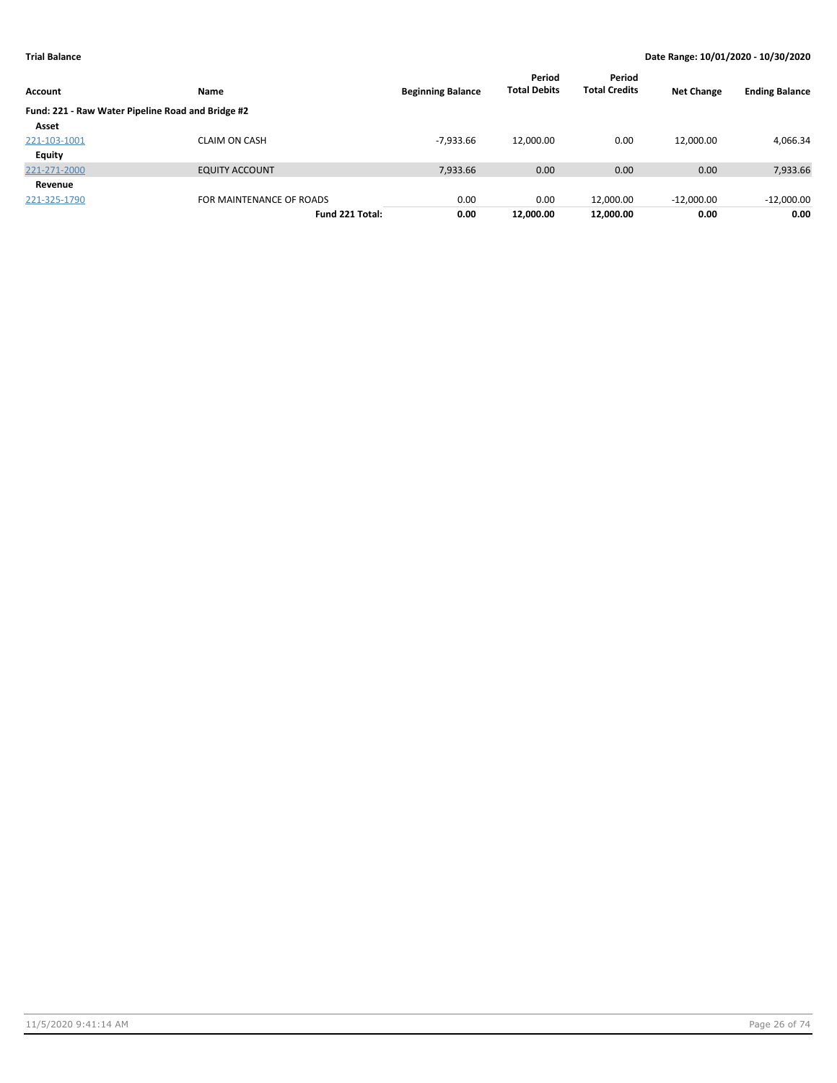| Account                                           | <b>Name</b>              | <b>Beginning Balance</b> | Period<br><b>Total Debits</b> | Period<br><b>Total Credits</b> | <b>Net Change</b> | <b>Ending Balance</b> |
|---------------------------------------------------|--------------------------|--------------------------|-------------------------------|--------------------------------|-------------------|-----------------------|
| Fund: 221 - Raw Water Pipeline Road and Bridge #2 |                          |                          |                               |                                |                   |                       |
| Asset                                             |                          |                          |                               |                                |                   |                       |
| 221-103-1001                                      | <b>CLAIM ON CASH</b>     | $-7.933.66$              | 12,000.00                     | 0.00                           | 12,000.00         | 4,066.34              |
| Equity                                            |                          |                          |                               |                                |                   |                       |
| 221-271-2000                                      | <b>EQUITY ACCOUNT</b>    | 7,933.66                 | 0.00                          | 0.00                           | 0.00              | 7,933.66              |
| Revenue                                           |                          |                          |                               |                                |                   |                       |
| 221-325-1790                                      | FOR MAINTENANCE OF ROADS | 0.00                     | 0.00                          | 12.000.00                      | $-12,000.00$      | $-12,000.00$          |
|                                                   | Fund 221 Total:          | 0.00                     | 12.000.00                     | 12,000.00                      | 0.00              | 0.00                  |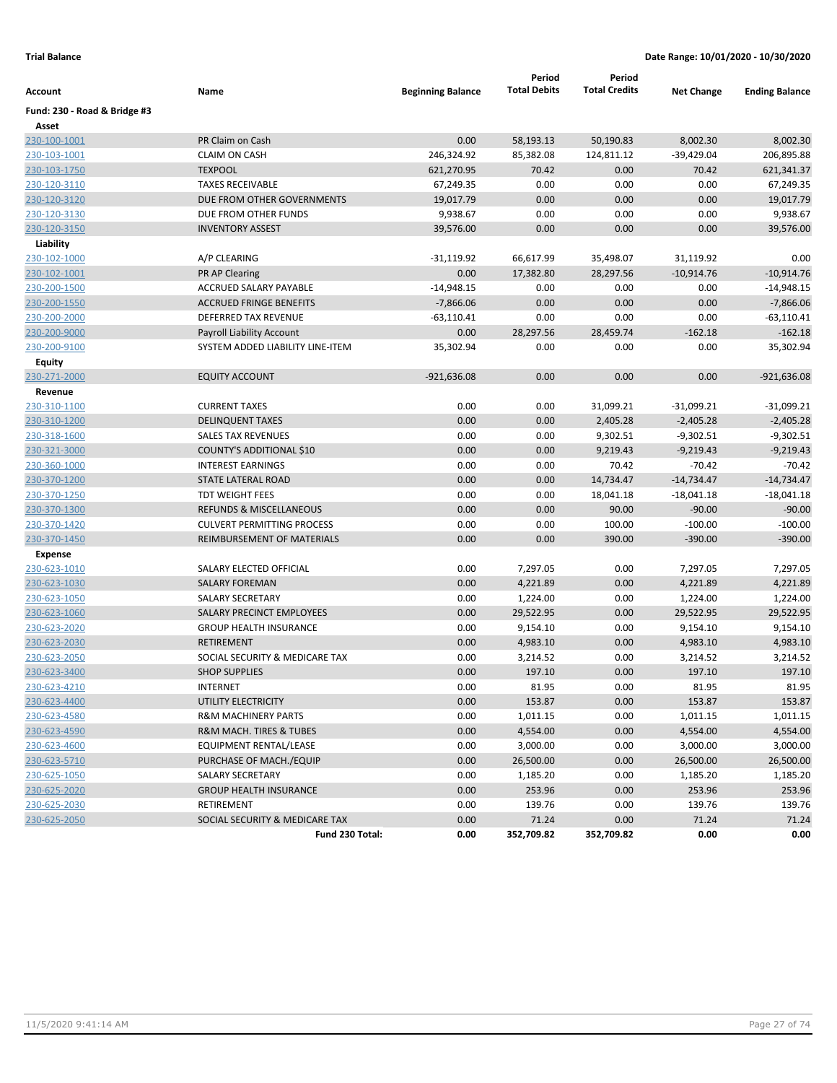| Account                      | Name                              | <b>Beginning Balance</b> | Period<br><b>Total Debits</b> | Period<br><b>Total Credits</b> | <b>Net Change</b> | <b>Ending Balance</b> |
|------------------------------|-----------------------------------|--------------------------|-------------------------------|--------------------------------|-------------------|-----------------------|
| Fund: 230 - Road & Bridge #3 |                                   |                          |                               |                                |                   |                       |
| Asset                        |                                   |                          |                               |                                |                   |                       |
| 230-100-1001                 | PR Claim on Cash                  | 0.00                     | 58,193.13                     | 50,190.83                      | 8,002.30          | 8,002.30              |
| 230-103-1001                 | <b>CLAIM ON CASH</b>              | 246,324.92               | 85,382.08                     | 124,811.12                     | $-39,429.04$      | 206,895.88            |
| 230-103-1750                 | <b>TEXPOOL</b>                    | 621,270.95               | 70.42                         | 0.00                           | 70.42             | 621,341.37            |
| 230-120-3110                 | <b>TAXES RECEIVABLE</b>           | 67,249.35                | 0.00                          | 0.00                           | 0.00              | 67,249.35             |
| 230-120-3120                 | DUE FROM OTHER GOVERNMENTS        | 19,017.79                | 0.00                          | 0.00                           | 0.00              | 19,017.79             |
| 230-120-3130                 | DUE FROM OTHER FUNDS              | 9,938.67                 | 0.00                          | 0.00                           | 0.00              | 9,938.67              |
| 230-120-3150                 | <b>INVENTORY ASSEST</b>           | 39,576.00                | 0.00                          | 0.00                           | 0.00              | 39,576.00             |
| Liability                    |                                   |                          |                               |                                |                   |                       |
| 230-102-1000                 | A/P CLEARING                      | $-31,119.92$             | 66,617.99                     | 35,498.07                      | 31,119.92         | 0.00                  |
| 230-102-1001                 | <b>PR AP Clearing</b>             | 0.00                     | 17,382.80                     | 28,297.56                      | $-10,914.76$      | $-10,914.76$          |
| 230-200-1500                 | ACCRUED SALARY PAYABLE            | $-14,948.15$             | 0.00                          | 0.00                           | 0.00              | $-14,948.15$          |
| 230-200-1550                 | <b>ACCRUED FRINGE BENEFITS</b>    | $-7,866.06$              | 0.00                          | 0.00                           | 0.00              | $-7,866.06$           |
| 230-200-2000                 | <b>DEFERRED TAX REVENUE</b>       | $-63,110.41$             | 0.00                          | 0.00                           | 0.00              | $-63,110.41$          |
| 230-200-9000                 | Payroll Liability Account         | 0.00                     | 28,297.56                     | 28,459.74                      | $-162.18$         | $-162.18$             |
| 230-200-9100                 | SYSTEM ADDED LIABILITY LINE-ITEM  | 35,302.94                | 0.00                          | 0.00                           | 0.00              | 35,302.94             |
| Equity                       |                                   |                          |                               |                                |                   |                       |
| 230-271-2000                 | <b>EQUITY ACCOUNT</b>             | $-921,636.08$            | 0.00                          | 0.00                           | 0.00              | $-921,636.08$         |
| Revenue                      |                                   |                          |                               |                                |                   |                       |
| 230-310-1100                 | <b>CURRENT TAXES</b>              | 0.00                     | 0.00                          | 31,099.21                      | $-31,099.21$      | $-31,099.21$          |
| 230-310-1200                 | <b>DELINQUENT TAXES</b>           | 0.00                     | 0.00                          | 2,405.28                       | $-2,405.28$       | $-2,405.28$           |
| 230-318-1600                 | <b>SALES TAX REVENUES</b>         | 0.00                     | 0.00                          | 9,302.51                       | $-9,302.51$       | $-9,302.51$           |
| 230-321-3000                 | COUNTY'S ADDITIONAL \$10          | 0.00                     | 0.00                          | 9,219.43                       | $-9,219.43$       | $-9,219.43$           |
| 230-360-1000                 | <b>INTEREST EARNINGS</b>          | 0.00                     | 0.00                          | 70.42                          | $-70.42$          | $-70.42$              |
| 230-370-1200                 | <b>STATE LATERAL ROAD</b>         | 0.00                     | 0.00                          | 14,734.47                      | $-14,734.47$      | $-14,734.47$          |
| 230-370-1250                 | <b>TDT WEIGHT FEES</b>            | 0.00                     | 0.00                          | 18,041.18                      | $-18,041.18$      | $-18,041.18$          |
| 230-370-1300                 | REFUNDS & MISCELLANEOUS           | 0.00                     | 0.00                          | 90.00                          | $-90.00$          | $-90.00$              |
| 230-370-1420                 | <b>CULVERT PERMITTING PROCESS</b> | 0.00                     | 0.00                          | 100.00                         | $-100.00$         | $-100.00$             |
| 230-370-1450                 | REIMBURSEMENT OF MATERIALS        | 0.00                     | 0.00                          | 390.00                         | $-390.00$         | $-390.00$             |
| <b>Expense</b>               |                                   |                          |                               |                                |                   |                       |
| 230-623-1010                 | SALARY ELECTED OFFICIAL           | 0.00                     | 7,297.05                      | 0.00                           | 7,297.05          | 7,297.05              |
| 230-623-1030                 | <b>SALARY FOREMAN</b>             | 0.00                     | 4,221.89                      | 0.00                           | 4,221.89          | 4,221.89              |
| 230-623-1050                 | <b>SALARY SECRETARY</b>           | 0.00                     | 1,224.00                      | 0.00                           | 1,224.00          | 1,224.00              |
| 230-623-1060                 | SALARY PRECINCT EMPLOYEES         | 0.00                     | 29,522.95                     | 0.00                           | 29,522.95         | 29,522.95             |
| 230-623-2020                 | <b>GROUP HEALTH INSURANCE</b>     | 0.00                     | 9,154.10                      | 0.00                           | 9,154.10          | 9,154.10              |
| 230-623-2030                 | <b>RETIREMENT</b>                 | 0.00                     | 4,983.10                      | 0.00                           | 4,983.10          | 4,983.10              |
| 230-623-2050                 | SOCIAL SECURITY & MEDICARE TAX    | 0.00                     | 3,214.52                      | 0.00                           | 3,214.52          | 3,214.52              |
| 230-623-3400                 | <b>SHOP SUPPLIES</b>              | 0.00                     | 197.10                        | 0.00                           | 197.10            | 197.10                |
| 230-623-4210                 | <b>INTERNET</b>                   | 0.00                     | 81.95                         | 0.00                           | 81.95             | 81.95                 |
| 230-623-4400                 | UTILITY ELECTRICITY               | 0.00                     | 153.87                        | 0.00                           | 153.87            | 153.87                |
| 230-623-4580                 | <b>R&amp;M MACHINERY PARTS</b>    | 0.00                     | 1,011.15                      | 0.00                           | 1,011.15          | 1,011.15              |
| 230-623-4590                 | R&M MACH. TIRES & TUBES           | 0.00                     | 4,554.00                      | 0.00                           | 4,554.00          | 4,554.00              |
| 230-623-4600                 | EQUIPMENT RENTAL/LEASE            | 0.00                     | 3,000.00                      | 0.00                           | 3,000.00          | 3,000.00              |
| 230-623-5710                 | PURCHASE OF MACH./EQUIP           | 0.00                     | 26,500.00                     | 0.00                           | 26,500.00         | 26,500.00             |
| 230-625-1050                 | SALARY SECRETARY                  | 0.00                     | 1,185.20                      | 0.00                           | 1,185.20          | 1,185.20              |
| 230-625-2020                 | <b>GROUP HEALTH INSURANCE</b>     | 0.00                     | 253.96                        | 0.00                           | 253.96            | 253.96                |
| 230-625-2030                 | RETIREMENT                        | 0.00                     | 139.76                        | 0.00                           | 139.76            | 139.76                |
| 230-625-2050                 | SOCIAL SECURITY & MEDICARE TAX    | 0.00                     | 71.24                         | 0.00                           | 71.24             | 71.24                 |
|                              | Fund 230 Total:                   | 0.00                     | 352,709.82                    | 352,709.82                     | 0.00              | 0.00                  |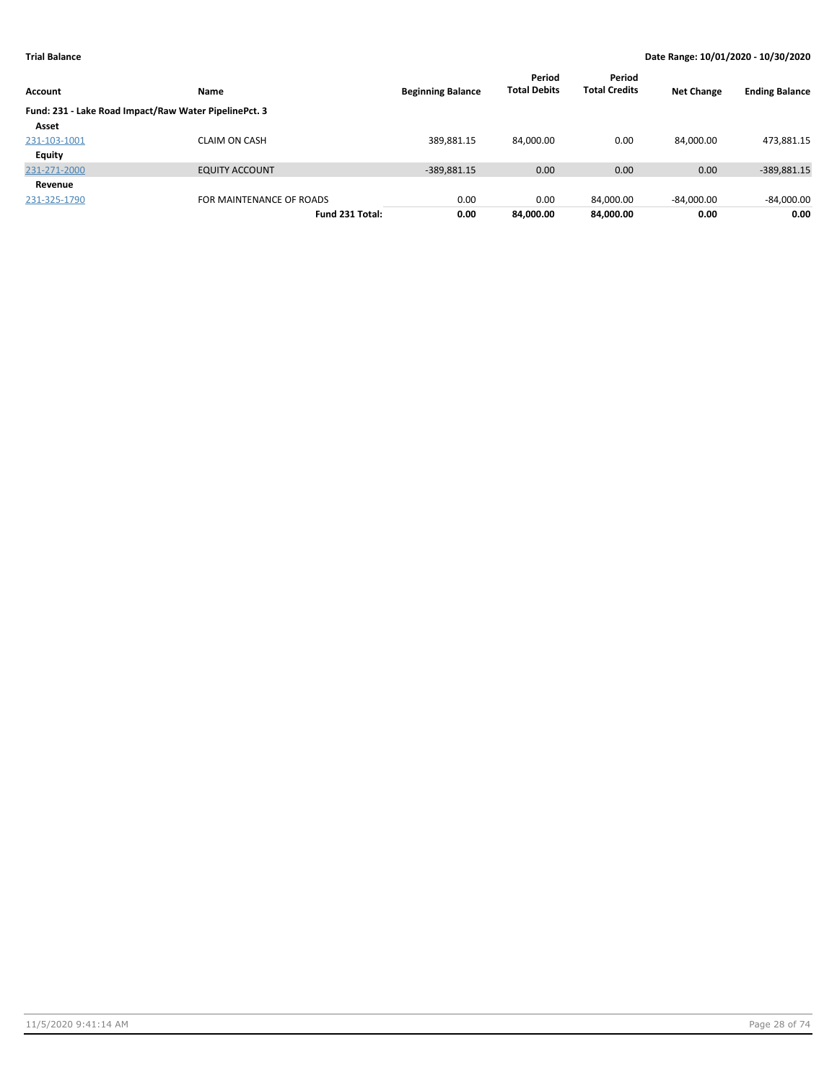| Account      | Name                                                  | <b>Beginning Balance</b> | Period<br><b>Total Debits</b> | Period<br><b>Total Credits</b> | <b>Net Change</b> | <b>Ending Balance</b> |
|--------------|-------------------------------------------------------|--------------------------|-------------------------------|--------------------------------|-------------------|-----------------------|
|              | Fund: 231 - Lake Road Impact/Raw Water PipelinePct. 3 |                          |                               |                                |                   |                       |
| Asset        |                                                       |                          |                               |                                |                   |                       |
| 231-103-1001 | <b>CLAIM ON CASH</b>                                  | 389,881.15               | 84,000.00                     | 0.00                           | 84.000.00         | 473,881.15            |
| Equity       |                                                       |                          |                               |                                |                   |                       |
| 231-271-2000 | <b>EQUITY ACCOUNT</b>                                 | $-389,881.15$            | 0.00                          | 0.00                           | 0.00              | -389,881.15           |
| Revenue      |                                                       |                          |                               |                                |                   |                       |
| 231-325-1790 | FOR MAINTENANCE OF ROADS                              | 0.00                     | 0.00                          | 84.000.00                      | $-84,000.00$      | $-84,000.00$          |
|              | Fund 231 Total:                                       | 0.00                     | 84.000.00                     | 84,000.00                      | 0.00              | 0.00                  |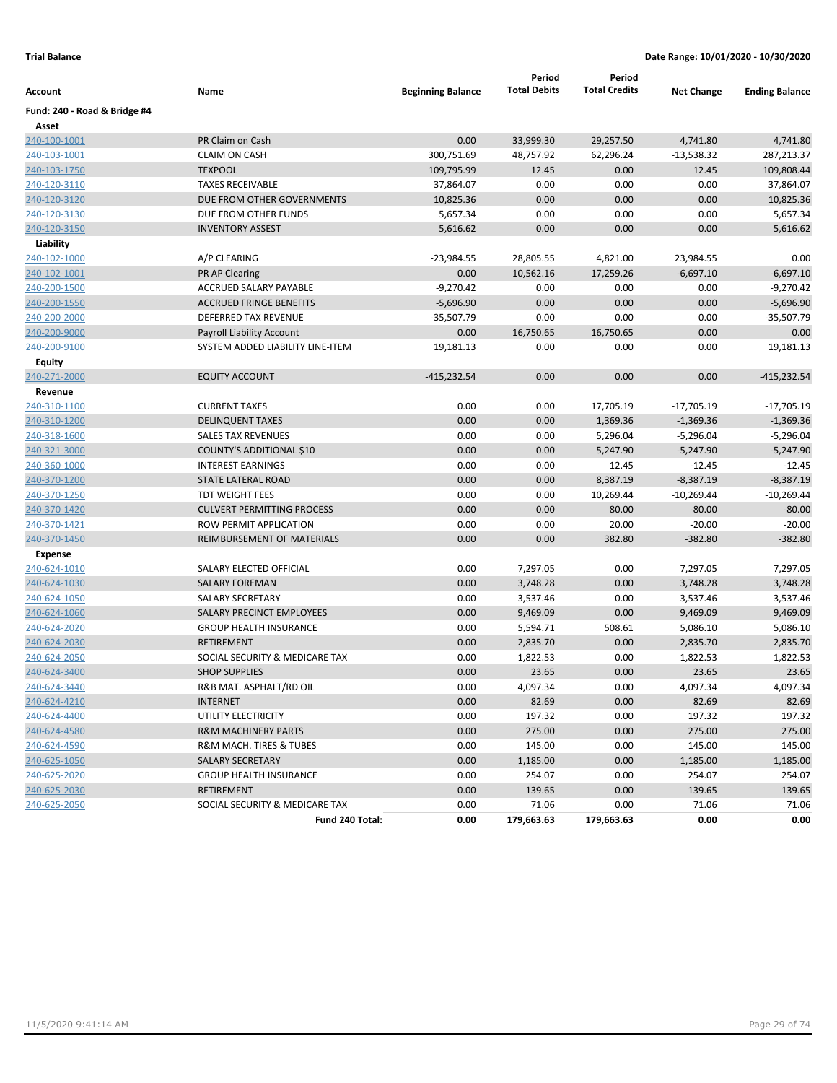| <b>Total Debits</b><br><b>Total Credits</b><br>Name<br><b>Beginning Balance</b><br>Account<br>Fund: 240 - Road & Bridge #4<br>Asset<br>240-100-1001<br>PR Claim on Cash<br>0.00<br>33,999.30<br>29,257.50 | <b>Net Change</b><br>4,741.80<br>$-13,538.32$<br>12.45 | <b>Ending Balance</b><br>4,741.80 |
|-----------------------------------------------------------------------------------------------------------------------------------------------------------------------------------------------------------|--------------------------------------------------------|-----------------------------------|
|                                                                                                                                                                                                           |                                                        |                                   |
|                                                                                                                                                                                                           |                                                        |                                   |
|                                                                                                                                                                                                           |                                                        |                                   |
| 240-103-1001<br><b>CLAIM ON CASH</b><br>300,751.69<br>48,757.92<br>62,296.24                                                                                                                              |                                                        | 287,213.37                        |
| 240-103-1750<br><b>TEXPOOL</b><br>109,795.99<br>0.00<br>12.45                                                                                                                                             |                                                        | 109,808.44                        |
| <b>TAXES RECEIVABLE</b><br>37,864.07<br>0.00<br>0.00<br>240-120-3110                                                                                                                                      | 0.00                                                   | 37,864.07                         |
| 240-120-3120<br>DUE FROM OTHER GOVERNMENTS<br>10,825.36<br>0.00<br>0.00                                                                                                                                   | 0.00                                                   | 10,825.36                         |
| 240-120-3130<br>DUE FROM OTHER FUNDS<br>5,657.34<br>0.00<br>0.00                                                                                                                                          | 0.00                                                   | 5,657.34                          |
| 240-120-3150<br><b>INVENTORY ASSEST</b><br>5,616.62<br>0.00<br>0.00                                                                                                                                       | 0.00                                                   | 5,616.62                          |
| Liability                                                                                                                                                                                                 |                                                        |                                   |
| 240-102-1000<br>A/P CLEARING<br>$-23,984.55$<br>28,805.55<br>4,821.00                                                                                                                                     | 23,984.55                                              | 0.00                              |
| 240-102-1001<br><b>PR AP Clearing</b><br>0.00<br>10,562.16<br>17,259.26                                                                                                                                   | $-6,697.10$                                            | $-6,697.10$                       |
| 240-200-1500<br>ACCRUED SALARY PAYABLE<br>$-9,270.42$<br>0.00<br>0.00                                                                                                                                     | 0.00                                                   | $-9,270.42$                       |
| 240-200-1550<br><b>ACCRUED FRINGE BENEFITS</b><br>$-5,696.90$<br>0.00<br>0.00                                                                                                                             | 0.00                                                   | $-5,696.90$                       |
| 0.00<br>240-200-2000<br><b>DEFERRED TAX REVENUE</b><br>$-35,507.79$<br>0.00                                                                                                                               | 0.00                                                   | $-35,507.79$                      |
| 240-200-9000<br>0.00<br>16,750.65<br>16,750.65<br>Payroll Liability Account                                                                                                                               | 0.00                                                   | 0.00                              |
| 240-200-9100<br>SYSTEM ADDED LIABILITY LINE-ITEM<br>19,181.13<br>0.00<br>0.00                                                                                                                             | 0.00                                                   | 19,181.13                         |
| Equity                                                                                                                                                                                                    |                                                        |                                   |
| 0.00<br>0.00<br>240-271-2000<br><b>EQUITY ACCOUNT</b><br>$-415,232.54$                                                                                                                                    | 0.00                                                   | $-415,232.54$                     |
| Revenue                                                                                                                                                                                                   |                                                        |                                   |
| 240-310-1100<br>0.00<br><b>CURRENT TAXES</b><br>0.00<br>17,705.19                                                                                                                                         | -17,705.19                                             | $-17,705.19$                      |
| 240-310-1200<br><b>DELINQUENT TAXES</b><br>0.00<br>0.00<br>1,369.36                                                                                                                                       | $-1,369.36$                                            | $-1,369.36$                       |
| 240-318-1600<br><b>SALES TAX REVENUES</b><br>0.00<br>0.00<br>5,296.04                                                                                                                                     | $-5,296.04$                                            | $-5,296.04$                       |
| <b>COUNTY'S ADDITIONAL \$10</b><br>0.00<br>0.00<br>5,247.90<br>240-321-3000                                                                                                                               | $-5,247.90$                                            | $-5,247.90$                       |
| 0.00<br>0.00<br>240-360-1000<br><b>INTEREST EARNINGS</b><br>12.45                                                                                                                                         | $-12.45$                                               | $-12.45$                          |
| 240-370-1200<br>STATE LATERAL ROAD<br>0.00<br>0.00<br>8,387.19                                                                                                                                            | $-8,387.19$                                            | $-8,387.19$                       |
| <b>TDT WEIGHT FEES</b><br>0.00<br>0.00<br>10,269.44<br>240-370-1250                                                                                                                                       | $-10,269.44$                                           | $-10,269.44$                      |
| <b>CULVERT PERMITTING PROCESS</b><br>0.00<br>0.00<br>80.00<br>240-370-1420                                                                                                                                | $-80.00$                                               | $-80.00$                          |
| ROW PERMIT APPLICATION<br>0.00<br>0.00<br>20.00<br>240-370-1421                                                                                                                                           | $-20.00$                                               | $-20.00$                          |
| 240-370-1450<br>REIMBURSEMENT OF MATERIALS<br>0.00<br>0.00<br>382.80                                                                                                                                      | $-382.80$                                              | $-382.80$                         |
| Expense                                                                                                                                                                                                   |                                                        |                                   |
| 240-624-1010<br>SALARY ELECTED OFFICIAL<br>0.00<br>7,297.05<br>0.00                                                                                                                                       | 7,297.05                                               | 7,297.05                          |
| 240-624-1030<br><b>SALARY FOREMAN</b><br>0.00<br>3,748.28<br>0.00                                                                                                                                         | 3,748.28                                               | 3,748.28                          |
| <b>SALARY SECRETARY</b><br>0.00<br>0.00<br>240-624-1050<br>3,537.46                                                                                                                                       | 3,537.46                                               | 3,537.46                          |
| 0.00<br>240-624-1060<br>SALARY PRECINCT EMPLOYEES<br>0.00<br>9,469.09                                                                                                                                     | 9,469.09                                               | 9,469.09                          |
| 0.00<br>508.61<br>240-624-2020<br><b>GROUP HEALTH INSURANCE</b><br>5,594.71                                                                                                                               | 5,086.10                                               | 5,086.10                          |
| 240-624-2030<br><b>RETIREMENT</b><br>0.00<br>2,835.70<br>0.00                                                                                                                                             | 2,835.70                                               | 2,835.70                          |
| 240-624-2050<br>SOCIAL SECURITY & MEDICARE TAX<br>0.00<br>1,822.53<br>0.00                                                                                                                                | 1,822.53                                               | 1,822.53                          |
| 0.00<br>23.65<br>0.00<br>240-624-3400<br><b>SHOP SUPPLIES</b>                                                                                                                                             | 23.65                                                  | 23.65                             |
| 240-624-3440<br>R&B MAT. ASPHALT/RD OIL<br>0.00<br>4,097.34<br>0.00                                                                                                                                       | 4,097.34                                               | 4,097.34                          |
| 240-624-4210<br><b>INTERNET</b><br>0.00<br>82.69<br>0.00                                                                                                                                                  | 82.69                                                  | 82.69                             |
| 240-624-4400<br>UTILITY ELECTRICITY<br>0.00<br>197.32<br>0.00                                                                                                                                             | 197.32                                                 | 197.32                            |
| 240-624-4580<br>0.00<br>275.00<br>0.00<br><b>R&amp;M MACHINERY PARTS</b>                                                                                                                                  | 275.00                                                 | 275.00                            |
| 0.00<br>145.00<br>0.00<br>240-624-4590<br><b>R&amp;M MACH. TIRES &amp; TUBES</b>                                                                                                                          | 145.00                                                 | 145.00                            |
| 240-625-1050<br>0.00<br>1,185.00<br>0.00<br><b>SALARY SECRETARY</b>                                                                                                                                       | 1,185.00                                               | 1,185.00                          |
| 254.07<br>240-625-2020<br><b>GROUP HEALTH INSURANCE</b><br>0.00<br>0.00                                                                                                                                   | 254.07                                                 | 254.07                            |
| 240-625-2030<br><b>RETIREMENT</b><br>0.00<br>139.65<br>0.00                                                                                                                                               | 139.65                                                 | 139.65                            |
| 240-625-2050<br>SOCIAL SECURITY & MEDICARE TAX<br>0.00<br>71.06<br>0.00                                                                                                                                   | 71.06                                                  | 71.06                             |
| 0.00<br>179,663.63<br>179,663.63<br>Fund 240 Total:                                                                                                                                                       | 0.00                                                   | 0.00                              |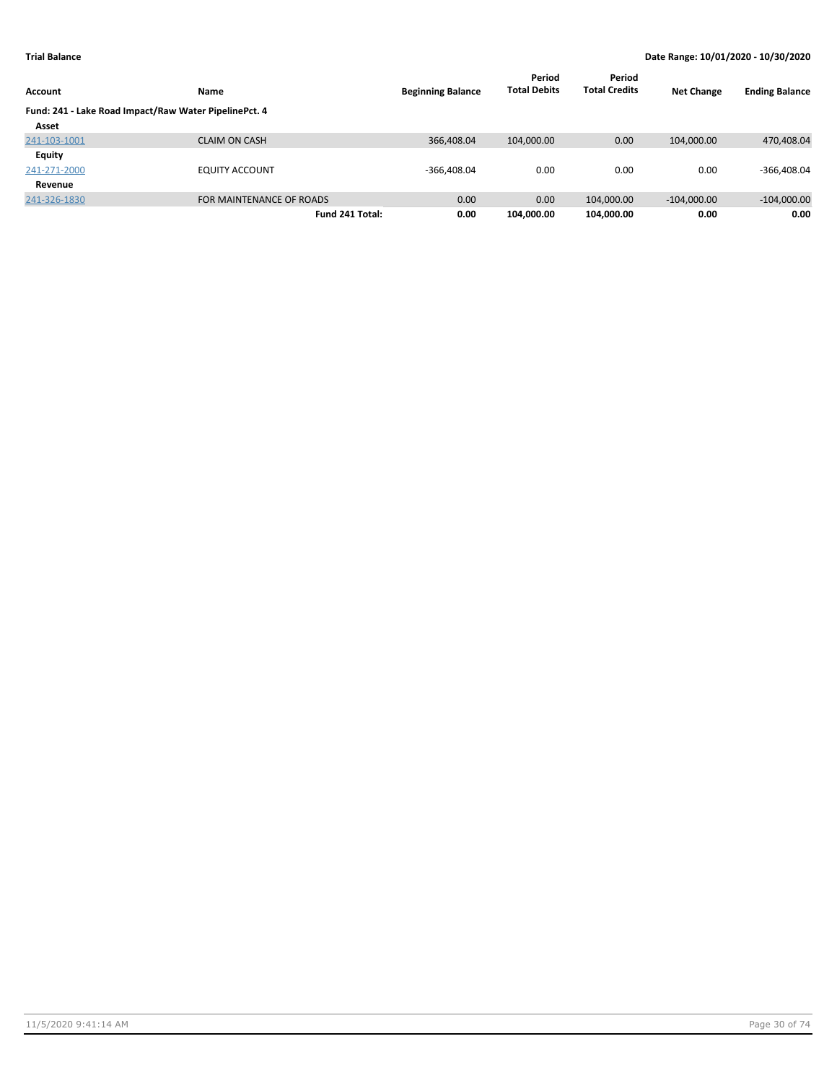| Account                                               | Name                     | <b>Beginning Balance</b> | Period<br><b>Total Debits</b> | Period<br><b>Total Credits</b> | <b>Net Change</b> | <b>Ending Balance</b> |
|-------------------------------------------------------|--------------------------|--------------------------|-------------------------------|--------------------------------|-------------------|-----------------------|
| Fund: 241 - Lake Road Impact/Raw Water PipelinePct. 4 |                          |                          |                               |                                |                   |                       |
| Asset                                                 |                          |                          |                               |                                |                   |                       |
| 241-103-1001                                          | <b>CLAIM ON CASH</b>     | 366,408.04               | 104,000.00                    | 0.00                           | 104,000.00        | 470,408.04            |
| <b>Equity</b>                                         |                          |                          |                               |                                |                   |                       |
| 241-271-2000                                          | <b>EQUITY ACCOUNT</b>    | $-366.408.04$            | 0.00                          | 0.00                           | 0.00              | $-366,408.04$         |
| Revenue                                               |                          |                          |                               |                                |                   |                       |
| 241-326-1830                                          | FOR MAINTENANCE OF ROADS | 0.00                     | 0.00                          | 104,000.00                     | $-104.000.00$     | $-104,000.00$         |
|                                                       | Fund 241 Total:          | 0.00                     | 104,000.00                    | 104,000.00                     | 0.00              | 0.00                  |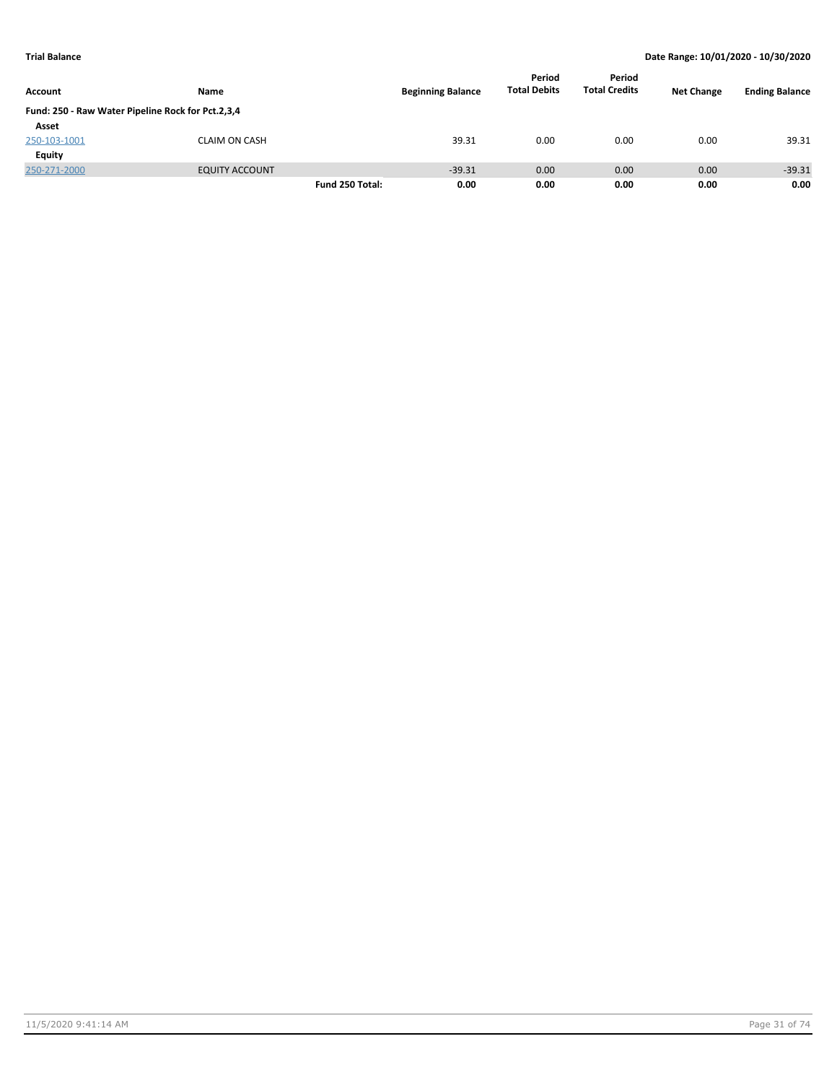| Account      | Name                                              |                 | <b>Beginning Balance</b> | Period<br><b>Total Debits</b> | Period<br><b>Total Credits</b> | <b>Net Change</b> | <b>Ending Balance</b> |
|--------------|---------------------------------------------------|-----------------|--------------------------|-------------------------------|--------------------------------|-------------------|-----------------------|
|              | Fund: 250 - Raw Water Pipeline Rock for Pct.2,3,4 |                 |                          |                               |                                |                   |                       |
| Asset        |                                                   |                 |                          |                               |                                |                   |                       |
| 250-103-1001 | <b>CLAIM ON CASH</b>                              |                 | 39.31                    | 0.00                          | 0.00                           | 0.00              | 39.31                 |
| Equity       |                                                   |                 |                          |                               |                                |                   |                       |
| 250-271-2000 | <b>EQUITY ACCOUNT</b>                             |                 | $-39.31$                 | 0.00                          | 0.00                           | 0.00              | $-39.31$              |
|              |                                                   | Fund 250 Total: | 0.00                     | 0.00                          | 0.00                           | 0.00              | 0.00                  |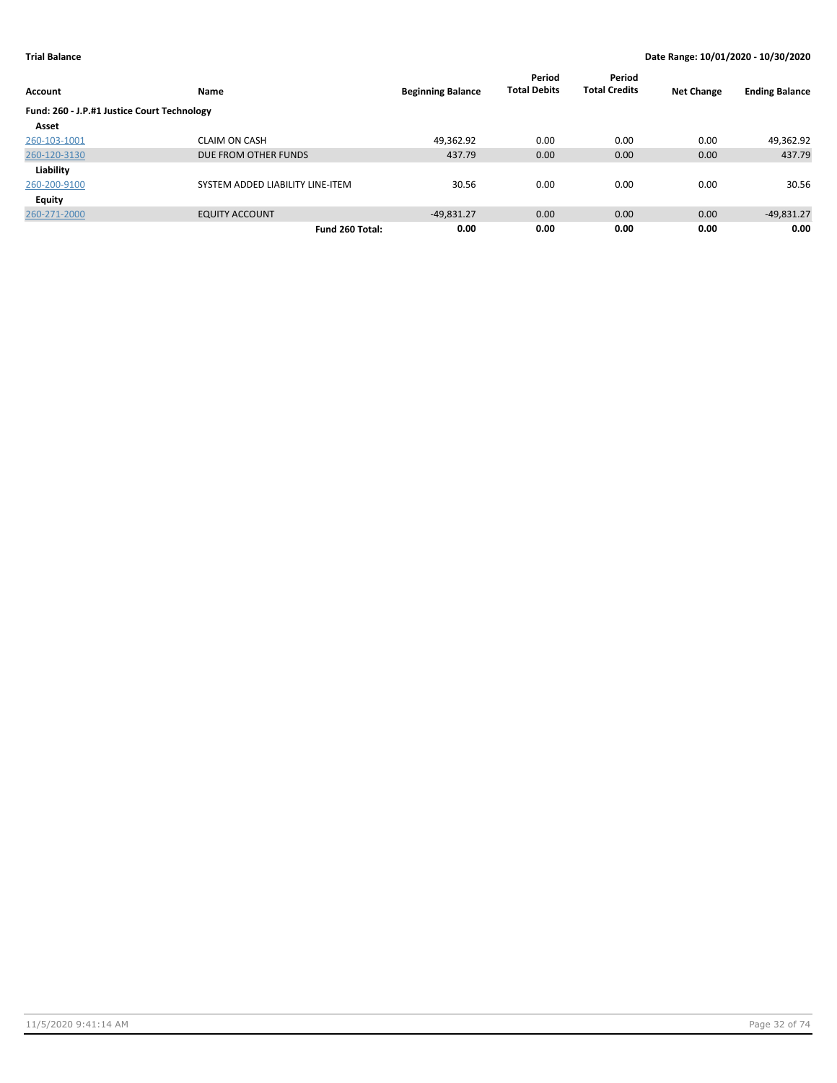| Account                                     | Name                             | <b>Beginning Balance</b> | Period<br><b>Total Debits</b> | Period<br><b>Total Credits</b> | <b>Net Change</b> | <b>Ending Balance</b> |
|---------------------------------------------|----------------------------------|--------------------------|-------------------------------|--------------------------------|-------------------|-----------------------|
| Fund: 260 - J.P.#1 Justice Court Technology |                                  |                          |                               |                                |                   |                       |
| Asset                                       |                                  |                          |                               |                                |                   |                       |
| 260-103-1001                                | <b>CLAIM ON CASH</b>             | 49,362.92                | 0.00                          | 0.00                           | 0.00              | 49,362.92             |
| 260-120-3130                                | DUE FROM OTHER FUNDS             | 437.79                   | 0.00                          | 0.00                           | 0.00              | 437.79                |
| Liability                                   |                                  |                          |                               |                                |                   |                       |
| 260-200-9100                                | SYSTEM ADDED LIABILITY LINE-ITEM | 30.56                    | 0.00                          | 0.00                           | 0.00              | 30.56                 |
| <b>Equity</b>                               |                                  |                          |                               |                                |                   |                       |
| 260-271-2000                                | <b>EQUITY ACCOUNT</b>            | $-49,831.27$             | 0.00                          | 0.00                           | 0.00              | $-49,831.27$          |
|                                             | Fund 260 Total:                  | 0.00                     | 0.00                          | 0.00                           | 0.00              | 0.00                  |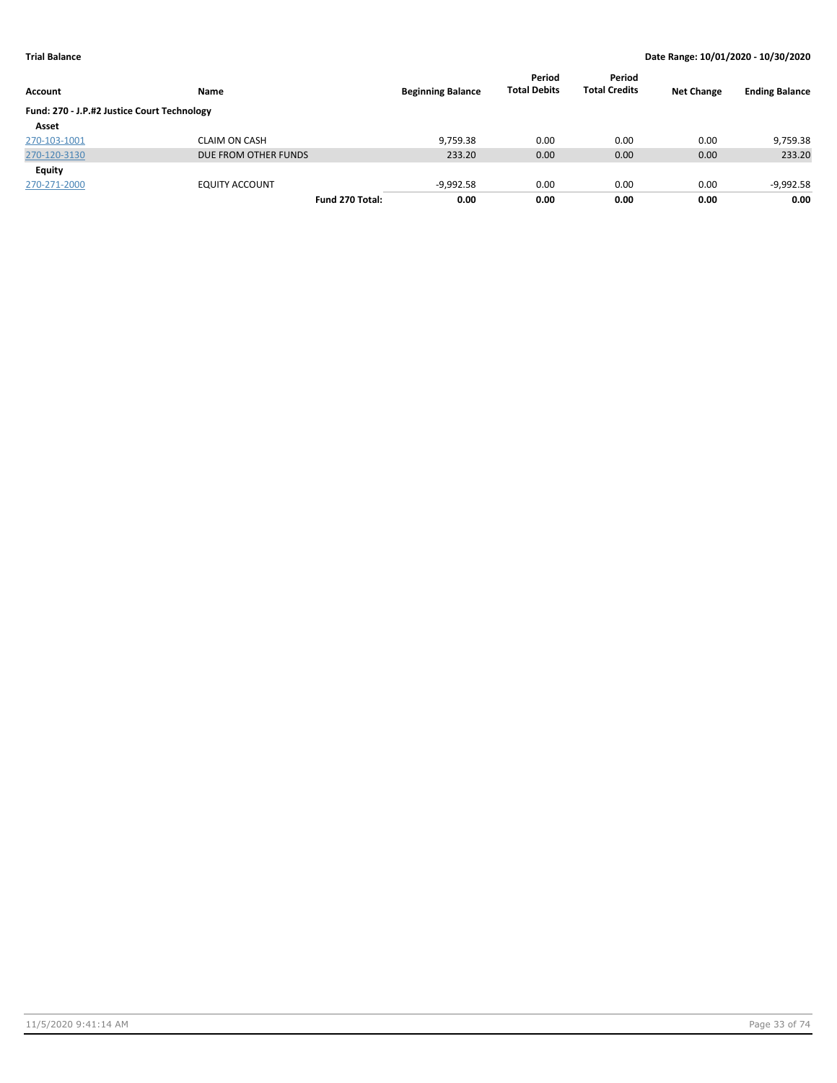| Account                                     | Name                  | <b>Beginning Balance</b> | Period<br><b>Total Debits</b> | Period<br><b>Total Credits</b> | <b>Net Change</b> | <b>Ending Balance</b> |
|---------------------------------------------|-----------------------|--------------------------|-------------------------------|--------------------------------|-------------------|-----------------------|
| Fund: 270 - J.P.#2 Justice Court Technology |                       |                          |                               |                                |                   |                       |
| Asset                                       |                       |                          |                               |                                |                   |                       |
| 270-103-1001                                | <b>CLAIM ON CASH</b>  | 9.759.38                 | 0.00                          | 0.00                           | 0.00              | 9,759.38              |
| 270-120-3130                                | DUE FROM OTHER FUNDS  | 233.20                   | 0.00                          | 0.00                           | 0.00              | 233.20                |
| Equity                                      |                       |                          |                               |                                |                   |                       |
| 270-271-2000                                | <b>EQUITY ACCOUNT</b> | $-9,992.58$              | 0.00                          | 0.00                           | 0.00              | $-9,992.58$           |
|                                             | Fund 270 Total:       | 0.00                     | 0.00                          | 0.00                           | 0.00              | 0.00                  |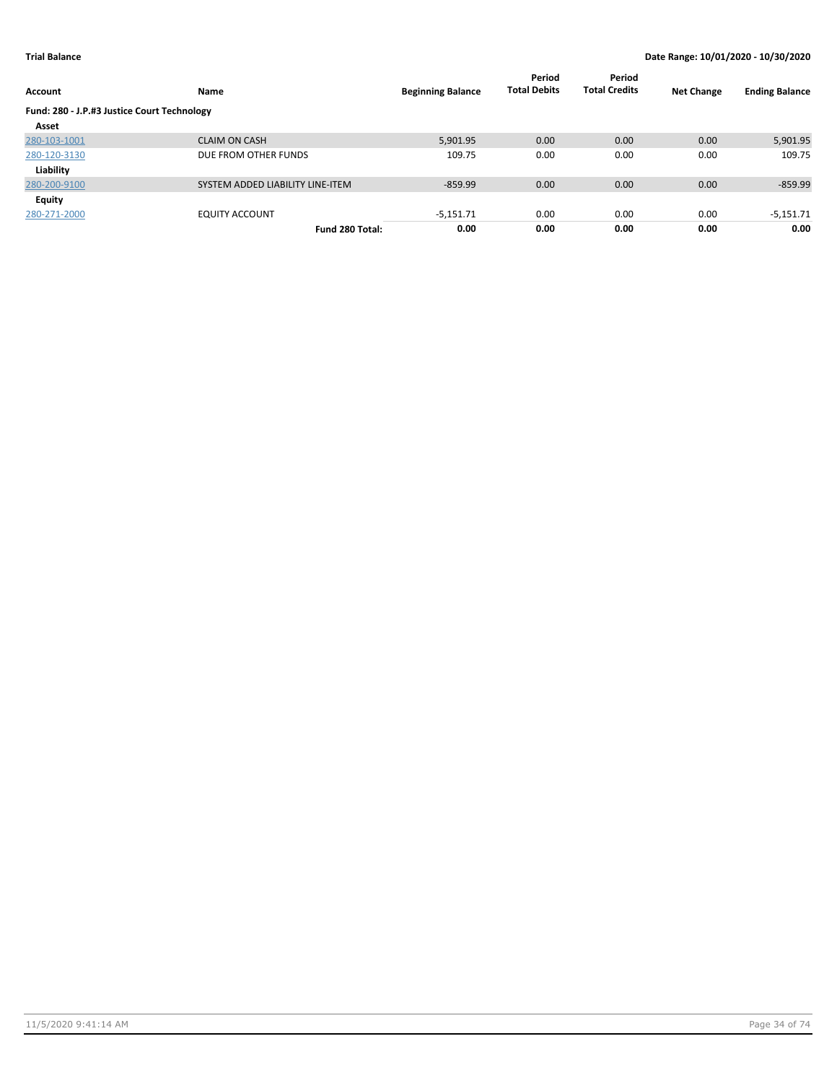| Account                                     | Name                             | <b>Beginning Balance</b> | Period<br><b>Total Debits</b> | Period<br><b>Total Credits</b> | <b>Net Change</b> | <b>Ending Balance</b> |
|---------------------------------------------|----------------------------------|--------------------------|-------------------------------|--------------------------------|-------------------|-----------------------|
| Fund: 280 - J.P.#3 Justice Court Technology |                                  |                          |                               |                                |                   |                       |
| Asset                                       |                                  |                          |                               |                                |                   |                       |
| 280-103-1001                                | <b>CLAIM ON CASH</b>             | 5,901.95                 | 0.00                          | 0.00                           | 0.00              | 5,901.95              |
| 280-120-3130                                | DUE FROM OTHER FUNDS             | 109.75                   | 0.00                          | 0.00                           | 0.00              | 109.75                |
| Liability                                   |                                  |                          |                               |                                |                   |                       |
| 280-200-9100                                | SYSTEM ADDED LIABILITY LINE-ITEM | $-859.99$                | 0.00                          | 0.00                           | 0.00              | $-859.99$             |
| Equity                                      |                                  |                          |                               |                                |                   |                       |
| 280-271-2000                                | <b>EQUITY ACCOUNT</b>            | $-5,151.71$              | 0.00                          | 0.00                           | 0.00              | $-5,151.71$           |
|                                             | Fund 280 Total:                  | 0.00                     | 0.00                          | 0.00                           | 0.00              | 0.00                  |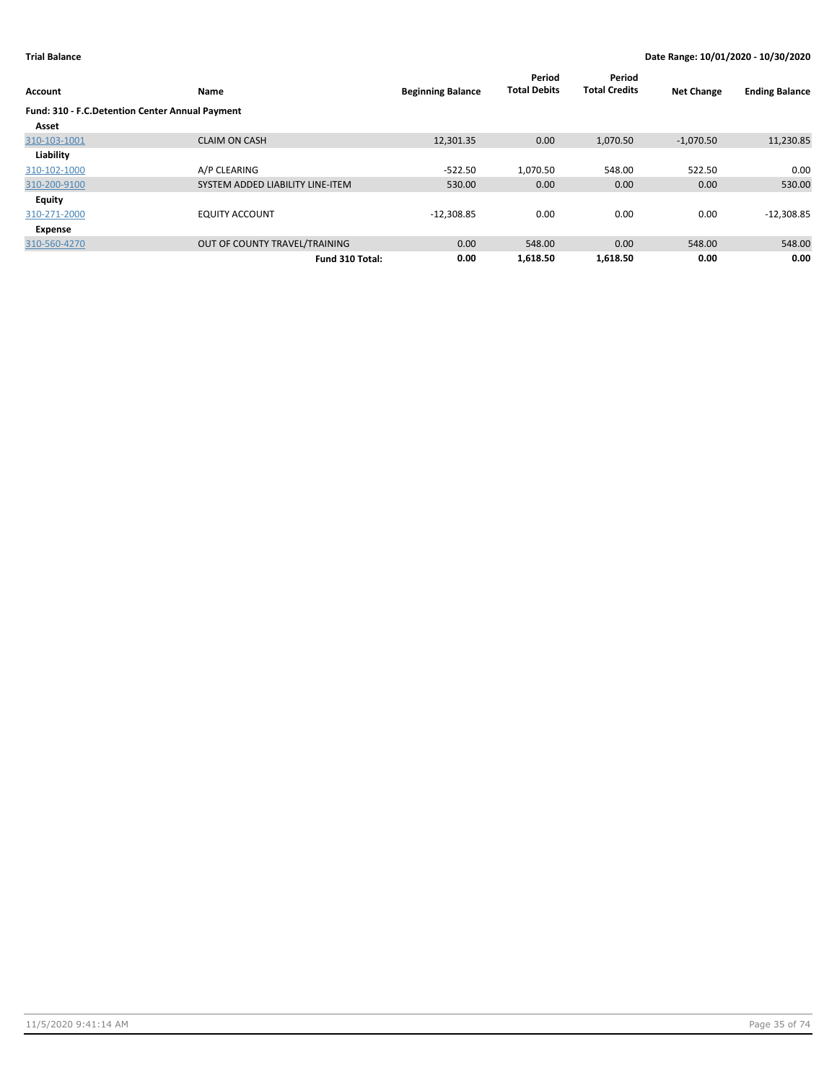| Account                                         | Name                             | <b>Beginning Balance</b> | Period<br><b>Total Debits</b> | Period<br><b>Total Credits</b> | <b>Net Change</b> | <b>Ending Balance</b> |
|-------------------------------------------------|----------------------------------|--------------------------|-------------------------------|--------------------------------|-------------------|-----------------------|
| Fund: 310 - F.C.Detention Center Annual Payment |                                  |                          |                               |                                |                   |                       |
| Asset                                           |                                  |                          |                               |                                |                   |                       |
| 310-103-1001                                    | <b>CLAIM ON CASH</b>             | 12,301.35                | 0.00                          | 1,070.50                       | $-1,070.50$       | 11,230.85             |
| Liability                                       |                                  |                          |                               |                                |                   |                       |
| 310-102-1000                                    | A/P CLEARING                     | $-522.50$                | 1,070.50                      | 548.00                         | 522.50            | 0.00                  |
| 310-200-9100                                    | SYSTEM ADDED LIABILITY LINE-ITEM | 530.00                   | 0.00                          | 0.00                           | 0.00              | 530.00                |
| <b>Equity</b>                                   |                                  |                          |                               |                                |                   |                       |
| 310-271-2000                                    | <b>EQUITY ACCOUNT</b>            | $-12,308.85$             | 0.00                          | 0.00                           | 0.00              | $-12,308.85$          |
| Expense                                         |                                  |                          |                               |                                |                   |                       |
| 310-560-4270                                    | OUT OF COUNTY TRAVEL/TRAINING    | 0.00                     | 548.00                        | 0.00                           | 548.00            | 548.00                |
|                                                 | Fund 310 Total:                  | 0.00                     | 1.618.50                      | 1.618.50                       | 0.00              | 0.00                  |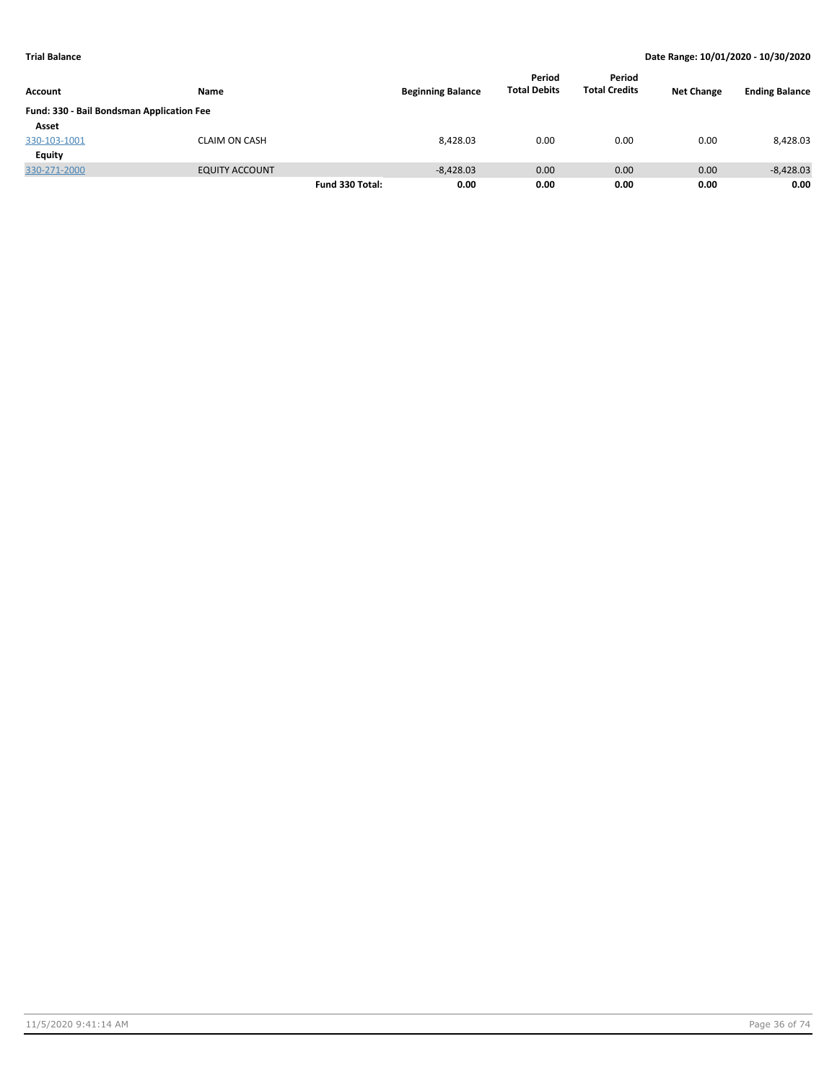| Account                                   | Name                  |                 | <b>Beginning Balance</b> | Period<br><b>Total Debits</b> | Period<br><b>Total Credits</b> | <b>Net Change</b> | <b>Ending Balance</b> |
|-------------------------------------------|-----------------------|-----------------|--------------------------|-------------------------------|--------------------------------|-------------------|-----------------------|
| Fund: 330 - Bail Bondsman Application Fee |                       |                 |                          |                               |                                |                   |                       |
| Asset                                     |                       |                 |                          |                               |                                |                   |                       |
| 330-103-1001                              | <b>CLAIM ON CASH</b>  |                 | 8.428.03                 | 0.00                          | 0.00                           | 0.00              | 8,428.03              |
| <b>Equity</b>                             |                       |                 |                          |                               |                                |                   |                       |
| 330-271-2000                              | <b>EQUITY ACCOUNT</b> |                 | $-8,428.03$              | 0.00                          | 0.00                           | 0.00              | $-8,428.03$           |
|                                           |                       | Fund 330 Total: | 0.00                     | 0.00                          | 0.00                           | 0.00              | 0.00                  |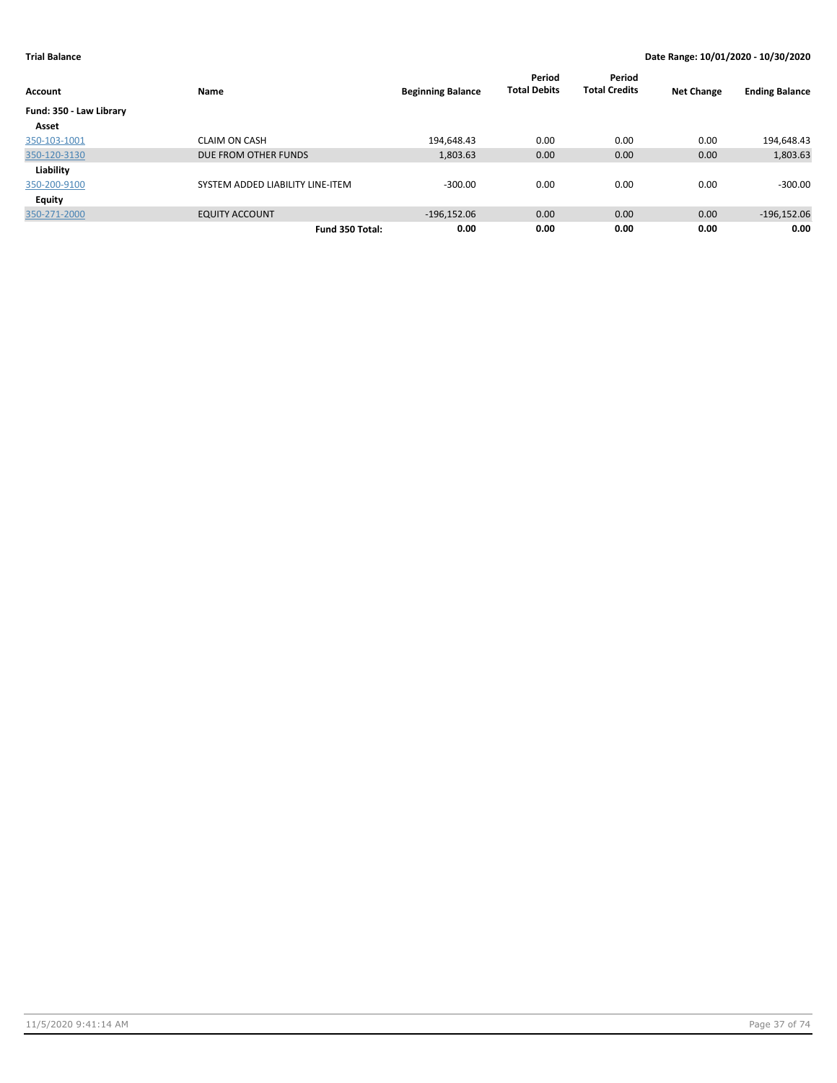| Account                 | Name                             | <b>Beginning Balance</b> | Period<br><b>Total Debits</b> | Period<br><b>Total Credits</b> | <b>Net Change</b> | <b>Ending Balance</b> |
|-------------------------|----------------------------------|--------------------------|-------------------------------|--------------------------------|-------------------|-----------------------|
| Fund: 350 - Law Library |                                  |                          |                               |                                |                   |                       |
| Asset                   |                                  |                          |                               |                                |                   |                       |
| 350-103-1001            | <b>CLAIM ON CASH</b>             | 194,648.43               | 0.00                          | 0.00                           | 0.00              | 194,648.43            |
| 350-120-3130            | DUE FROM OTHER FUNDS             | 1,803.63                 | 0.00                          | 0.00                           | 0.00              | 1,803.63              |
| Liability               |                                  |                          |                               |                                |                   |                       |
| 350-200-9100            | SYSTEM ADDED LIABILITY LINE-ITEM | $-300.00$                | 0.00                          | 0.00                           | 0.00              | $-300.00$             |
| <b>Equity</b>           |                                  |                          |                               |                                |                   |                       |
| 350-271-2000            | <b>EQUITY ACCOUNT</b>            | $-196.152.06$            | 0.00                          | 0.00                           | 0.00              | $-196, 152.06$        |
|                         | Fund 350 Total:                  | 0.00                     | 0.00                          | 0.00                           | 0.00              | 0.00                  |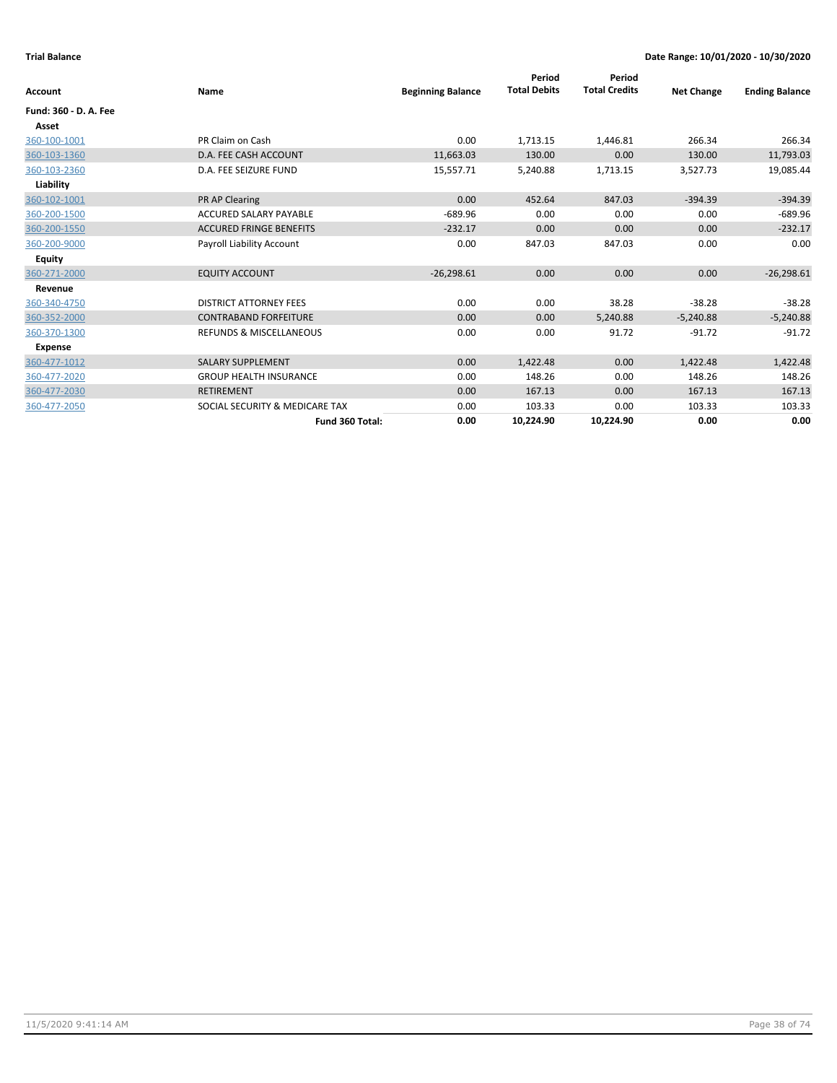|                       |                                    |                          | Period              | Period               |                   |                       |
|-----------------------|------------------------------------|--------------------------|---------------------|----------------------|-------------------|-----------------------|
| <b>Account</b>        | Name                               | <b>Beginning Balance</b> | <b>Total Debits</b> | <b>Total Credits</b> | <b>Net Change</b> | <b>Ending Balance</b> |
| Fund: 360 - D. A. Fee |                                    |                          |                     |                      |                   |                       |
| Asset                 |                                    |                          |                     |                      |                   |                       |
| 360-100-1001          | PR Claim on Cash                   | 0.00                     | 1,713.15            | 1,446.81             | 266.34            | 266.34                |
| 360-103-1360          | D.A. FEE CASH ACCOUNT              | 11,663.03                | 130.00              | 0.00                 | 130.00            | 11,793.03             |
| 360-103-2360          | D.A. FEE SEIZURE FUND              | 15,557.71                | 5,240.88            | 1,713.15             | 3,527.73          | 19,085.44             |
| Liability             |                                    |                          |                     |                      |                   |                       |
| 360-102-1001          | <b>PR AP Clearing</b>              | 0.00                     | 452.64              | 847.03               | $-394.39$         | $-394.39$             |
| 360-200-1500          | <b>ACCURED SALARY PAYABLE</b>      | $-689.96$                | 0.00                | 0.00                 | 0.00              | $-689.96$             |
| 360-200-1550          | <b>ACCURED FRINGE BENEFITS</b>     | $-232.17$                | 0.00                | 0.00                 | 0.00              | $-232.17$             |
| 360-200-9000          | <b>Payroll Liability Account</b>   | 0.00                     | 847.03              | 847.03               | 0.00              | 0.00                  |
| <b>Equity</b>         |                                    |                          |                     |                      |                   |                       |
| 360-271-2000          | <b>EQUITY ACCOUNT</b>              | $-26,298.61$             | 0.00                | 0.00                 | 0.00              | $-26,298.61$          |
| Revenue               |                                    |                          |                     |                      |                   |                       |
| 360-340-4750          | <b>DISTRICT ATTORNEY FEES</b>      | 0.00                     | 0.00                | 38.28                | $-38.28$          | $-38.28$              |
| 360-352-2000          | <b>CONTRABAND FORFEITURE</b>       | 0.00                     | 0.00                | 5,240.88             | $-5,240.88$       | $-5,240.88$           |
| 360-370-1300          | <b>REFUNDS &amp; MISCELLANEOUS</b> | 0.00                     | 0.00                | 91.72                | $-91.72$          | $-91.72$              |
| <b>Expense</b>        |                                    |                          |                     |                      |                   |                       |
| 360-477-1012          | <b>SALARY SUPPLEMENT</b>           | 0.00                     | 1,422.48            | 0.00                 | 1,422.48          | 1,422.48              |
| 360-477-2020          | <b>GROUP HEALTH INSURANCE</b>      | 0.00                     | 148.26              | 0.00                 | 148.26            | 148.26                |
| 360-477-2030          | <b>RETIREMENT</b>                  | 0.00                     | 167.13              | 0.00                 | 167.13            | 167.13                |
| 360-477-2050          | SOCIAL SECURITY & MEDICARE TAX     | 0.00                     | 103.33              | 0.00                 | 103.33            | 103.33                |
|                       | Fund 360 Total:                    | 0.00                     | 10,224.90           | 10,224.90            | 0.00              | 0.00                  |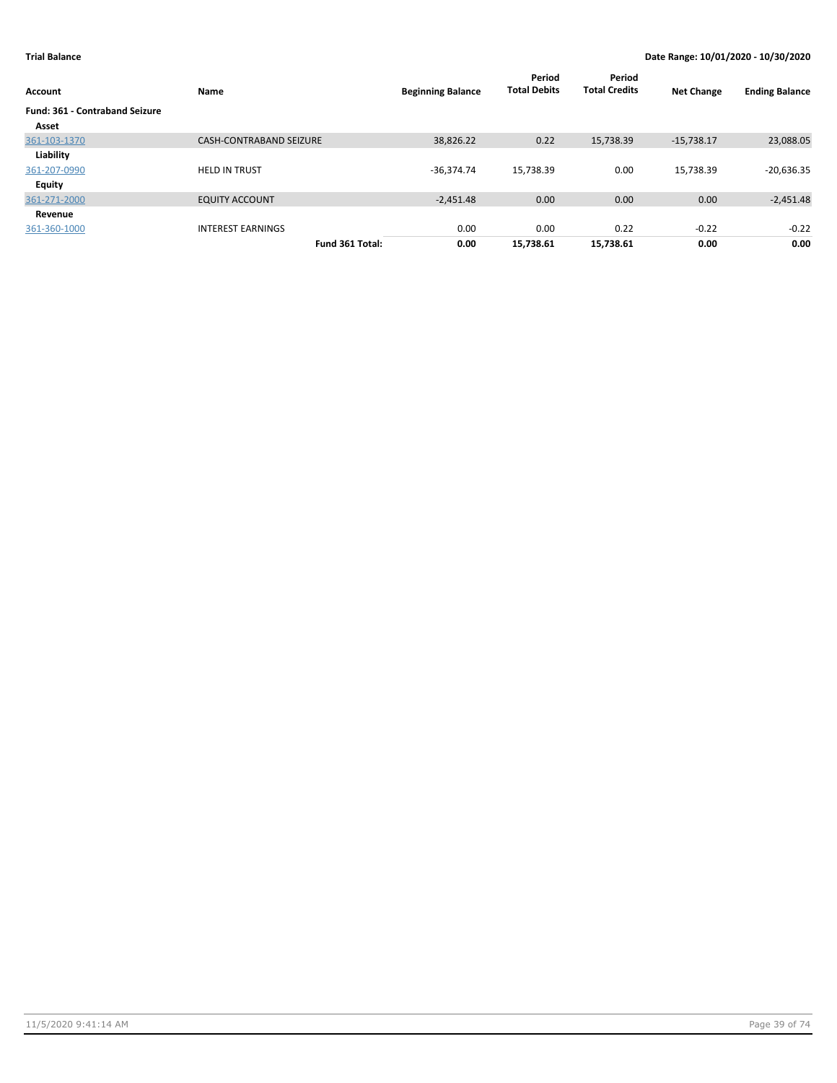| Account                               | Name                           | <b>Beginning Balance</b> | Period<br><b>Total Debits</b> | Period<br><b>Total Credits</b> | <b>Net Change</b> | <b>Ending Balance</b> |
|---------------------------------------|--------------------------------|--------------------------|-------------------------------|--------------------------------|-------------------|-----------------------|
| <b>Fund: 361 - Contraband Seizure</b> |                                |                          |                               |                                |                   |                       |
| Asset                                 |                                |                          |                               |                                |                   |                       |
| 361-103-1370                          | <b>CASH-CONTRABAND SEIZURE</b> | 38,826.22                | 0.22                          | 15,738.39                      | $-15,738.17$      | 23,088.05             |
| Liability                             |                                |                          |                               |                                |                   |                       |
| 361-207-0990                          | <b>HELD IN TRUST</b>           | $-36,374.74$             | 15,738.39                     | 0.00                           | 15,738.39         | $-20,636.35$          |
| <b>Equity</b>                         |                                |                          |                               |                                |                   |                       |
| 361-271-2000                          | <b>EQUITY ACCOUNT</b>          | $-2,451.48$              | 0.00                          | 0.00                           | 0.00              | $-2,451.48$           |
| Revenue                               |                                |                          |                               |                                |                   |                       |
| 361-360-1000                          | <b>INTEREST EARNINGS</b>       | 0.00                     | 0.00                          | 0.22                           | $-0.22$           | $-0.22$               |
|                                       | Fund 361 Total:                | 0.00                     | 15,738.61                     | 15,738.61                      | 0.00              | 0.00                  |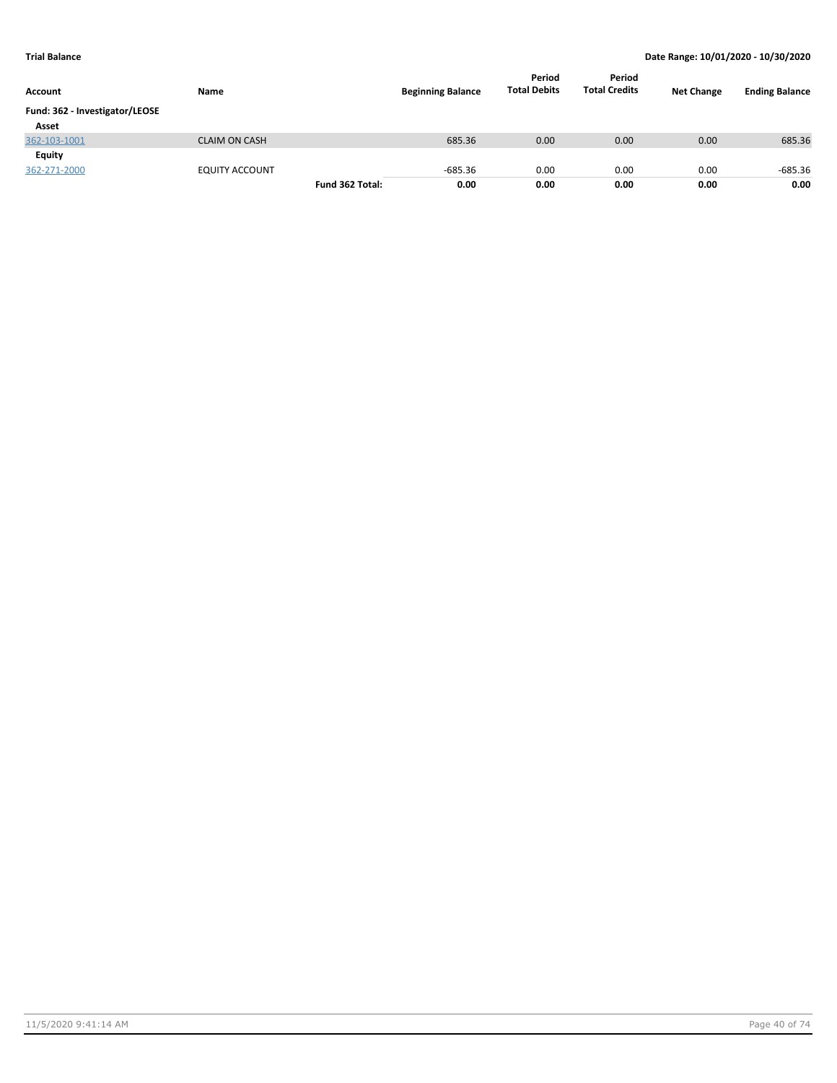| Account                        | Name                  |                 | <b>Beginning Balance</b> | Period<br><b>Total Debits</b> | Period<br><b>Total Credits</b> | <b>Net Change</b> | <b>Ending Balance</b> |
|--------------------------------|-----------------------|-----------------|--------------------------|-------------------------------|--------------------------------|-------------------|-----------------------|
| Fund: 362 - Investigator/LEOSE |                       |                 |                          |                               |                                |                   |                       |
| Asset                          |                       |                 |                          |                               |                                |                   |                       |
| 362-103-1001                   | <b>CLAIM ON CASH</b>  |                 | 685.36                   | 0.00                          | 0.00                           | 0.00              | 685.36                |
| Equity                         |                       |                 |                          |                               |                                |                   |                       |
| 362-271-2000                   | <b>EQUITY ACCOUNT</b> |                 | $-685.36$                | 0.00                          | 0.00                           | 0.00              | $-685.36$             |
|                                |                       | Fund 362 Total: | 0.00                     | 0.00                          | 0.00                           | 0.00              | 0.00                  |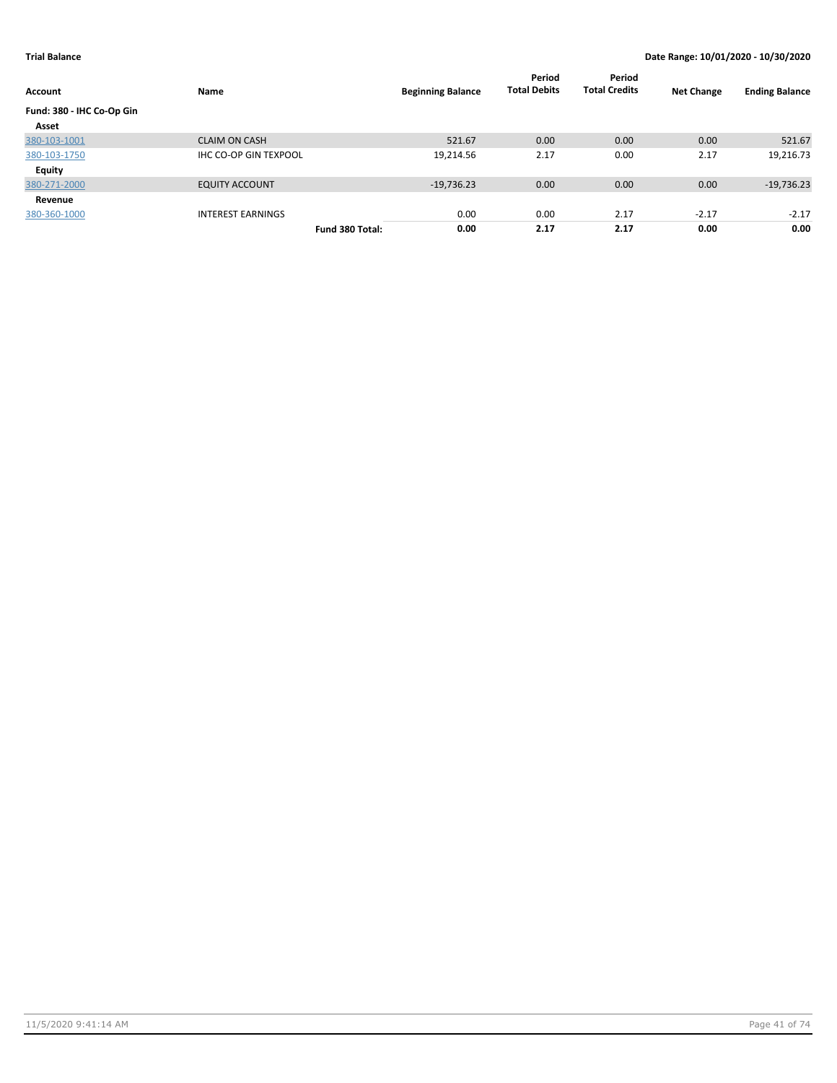| Account                   | Name                         |                 | <b>Beginning Balance</b> | Period<br><b>Total Debits</b> | Period<br><b>Total Credits</b> | <b>Net Change</b> | <b>Ending Balance</b> |
|---------------------------|------------------------------|-----------------|--------------------------|-------------------------------|--------------------------------|-------------------|-----------------------|
| Fund: 380 - IHC Co-Op Gin |                              |                 |                          |                               |                                |                   |                       |
| Asset                     |                              |                 |                          |                               |                                |                   |                       |
| 380-103-1001              | <b>CLAIM ON CASH</b>         |                 | 521.67                   | 0.00                          | 0.00                           | 0.00              | 521.67                |
| 380-103-1750              | <b>IHC CO-OP GIN TEXPOOL</b> |                 | 19,214.56                | 2.17                          | 0.00                           | 2.17              | 19,216.73             |
| Equity                    |                              |                 |                          |                               |                                |                   |                       |
| 380-271-2000              | <b>EQUITY ACCOUNT</b>        |                 | $-19,736.23$             | 0.00                          | 0.00                           | 0.00              | $-19,736.23$          |
| Revenue                   |                              |                 |                          |                               |                                |                   |                       |
| 380-360-1000              | <b>INTEREST EARNINGS</b>     |                 | 0.00                     | 0.00                          | 2.17                           | $-2.17$           | $-2.17$               |
|                           |                              | Fund 380 Total: | 0.00                     | 2.17                          | 2.17                           | 0.00              | 0.00                  |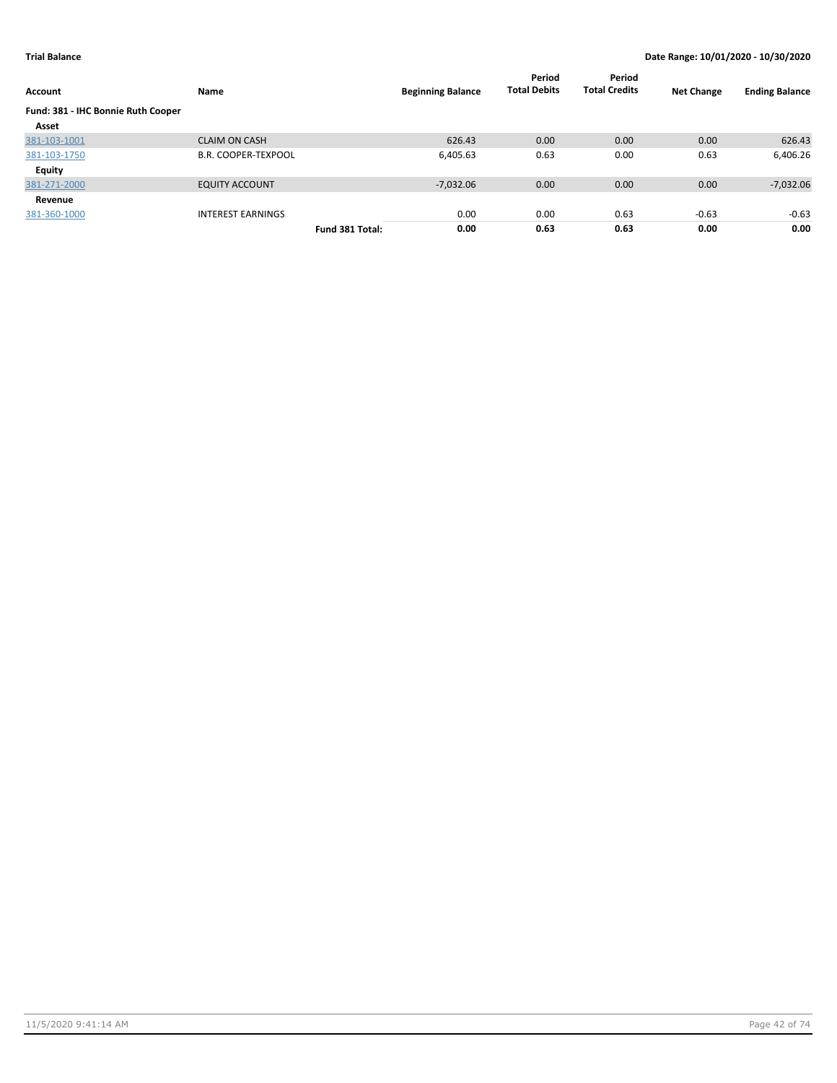| Account                            | Name                       |                 | <b>Beginning Balance</b> | Period<br><b>Total Debits</b> | Period<br><b>Total Credits</b> | <b>Net Change</b> | <b>Ending Balance</b> |
|------------------------------------|----------------------------|-----------------|--------------------------|-------------------------------|--------------------------------|-------------------|-----------------------|
| Fund: 381 - IHC Bonnie Ruth Cooper |                            |                 |                          |                               |                                |                   |                       |
| Asset                              |                            |                 |                          |                               |                                |                   |                       |
| 381-103-1001                       | <b>CLAIM ON CASH</b>       |                 | 626.43                   | 0.00                          | 0.00                           | 0.00              | 626.43                |
| 381-103-1750                       | <b>B.R. COOPER-TEXPOOL</b> |                 | 6,405.63                 | 0.63                          | 0.00                           | 0.63              | 6,406.26              |
| Equity                             |                            |                 |                          |                               |                                |                   |                       |
| 381-271-2000                       | <b>EQUITY ACCOUNT</b>      |                 | $-7,032.06$              | 0.00                          | 0.00                           | 0.00              | $-7,032.06$           |
| Revenue                            |                            |                 |                          |                               |                                |                   |                       |
| 381-360-1000                       | <b>INTEREST EARNINGS</b>   |                 | 0.00                     | 0.00                          | 0.63                           | $-0.63$           | $-0.63$               |
|                                    |                            | Fund 381 Total: | 0.00                     | 0.63                          | 0.63                           | 0.00              | 0.00                  |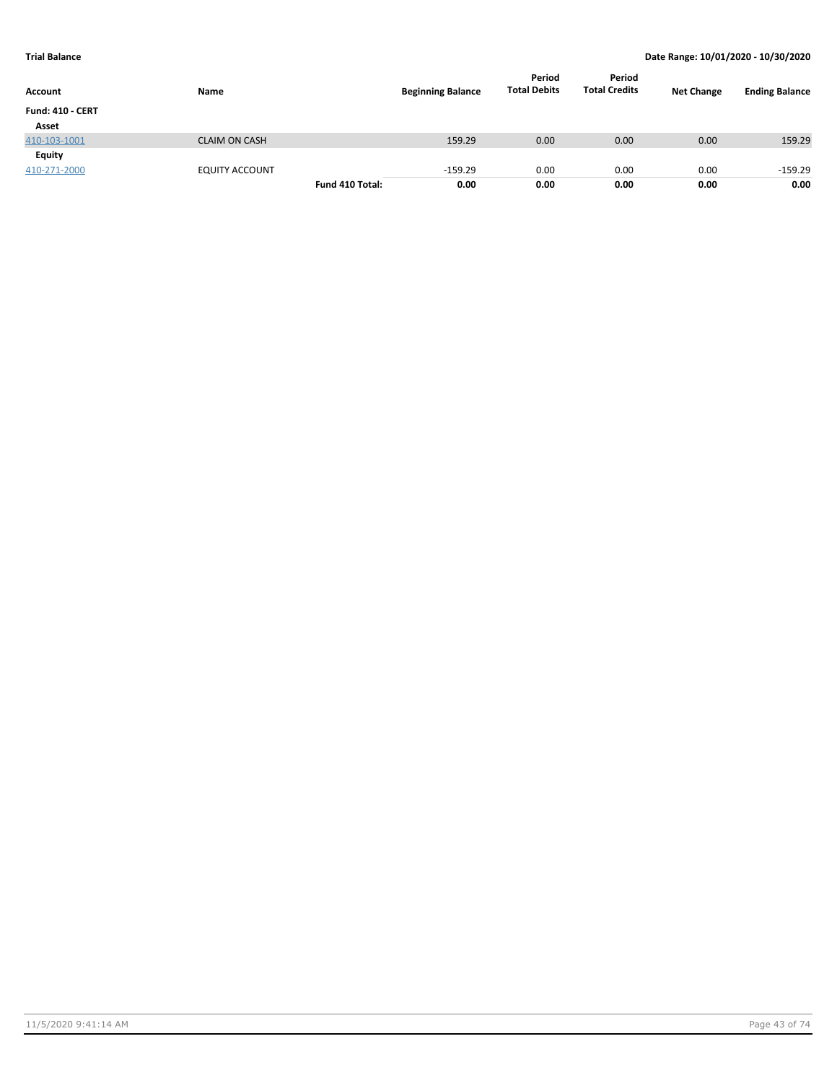| Account                 | Name                  |                 | <b>Beginning Balance</b> | Period<br><b>Total Debits</b> | Period<br><b>Total Credits</b> | <b>Net Change</b> | <b>Ending Balance</b> |
|-------------------------|-----------------------|-----------------|--------------------------|-------------------------------|--------------------------------|-------------------|-----------------------|
| <b>Fund: 410 - CERT</b> |                       |                 |                          |                               |                                |                   |                       |
| Asset                   |                       |                 |                          |                               |                                |                   |                       |
| 410-103-1001            | <b>CLAIM ON CASH</b>  |                 | 159.29                   | 0.00                          | 0.00                           | 0.00              | 159.29                |
| Equity                  |                       |                 |                          |                               |                                |                   |                       |
| 410-271-2000            | <b>EQUITY ACCOUNT</b> |                 | $-159.29$                | 0.00                          | 0.00                           | 0.00              | $-159.29$             |
|                         |                       | Fund 410 Total: | 0.00                     | 0.00                          | 0.00                           | 0.00              | 0.00                  |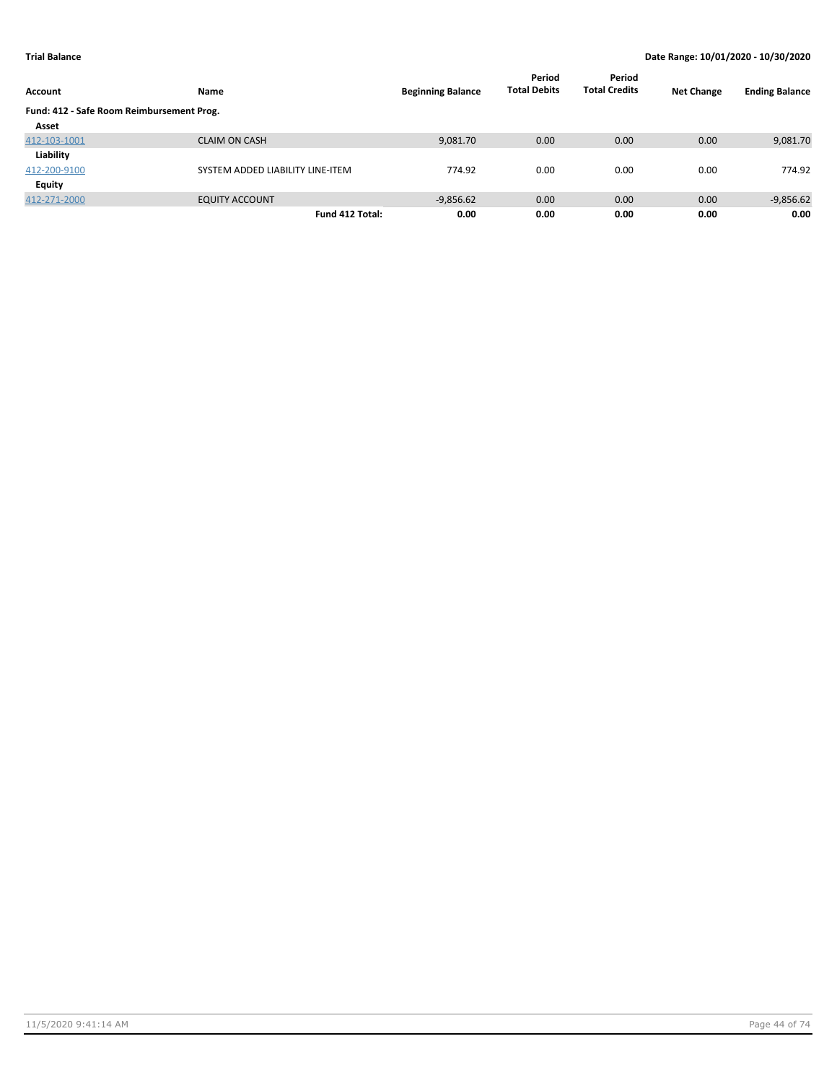| Account                                   | Name                             | <b>Beginning Balance</b> | Period<br><b>Total Debits</b> | Period<br><b>Total Credits</b> | <b>Net Change</b> | <b>Ending Balance</b> |
|-------------------------------------------|----------------------------------|--------------------------|-------------------------------|--------------------------------|-------------------|-----------------------|
| Fund: 412 - Safe Room Reimbursement Prog. |                                  |                          |                               |                                |                   |                       |
| Asset                                     |                                  |                          |                               |                                |                   |                       |
| 412-103-1001                              | <b>CLAIM ON CASH</b>             | 9,081.70                 | 0.00                          | 0.00                           | 0.00              | 9,081.70              |
| Liability                                 |                                  |                          |                               |                                |                   |                       |
| 412-200-9100                              | SYSTEM ADDED LIABILITY LINE-ITEM | 774.92                   | 0.00                          | 0.00                           | 0.00              | 774.92                |
| Equity                                    |                                  |                          |                               |                                |                   |                       |
| 412-271-2000                              | <b>EQUITY ACCOUNT</b>            | $-9,856.62$              | 0.00                          | 0.00                           | 0.00              | $-9,856.62$           |
|                                           | Fund 412 Total:                  | 0.00                     | 0.00                          | 0.00                           | 0.00              | 0.00                  |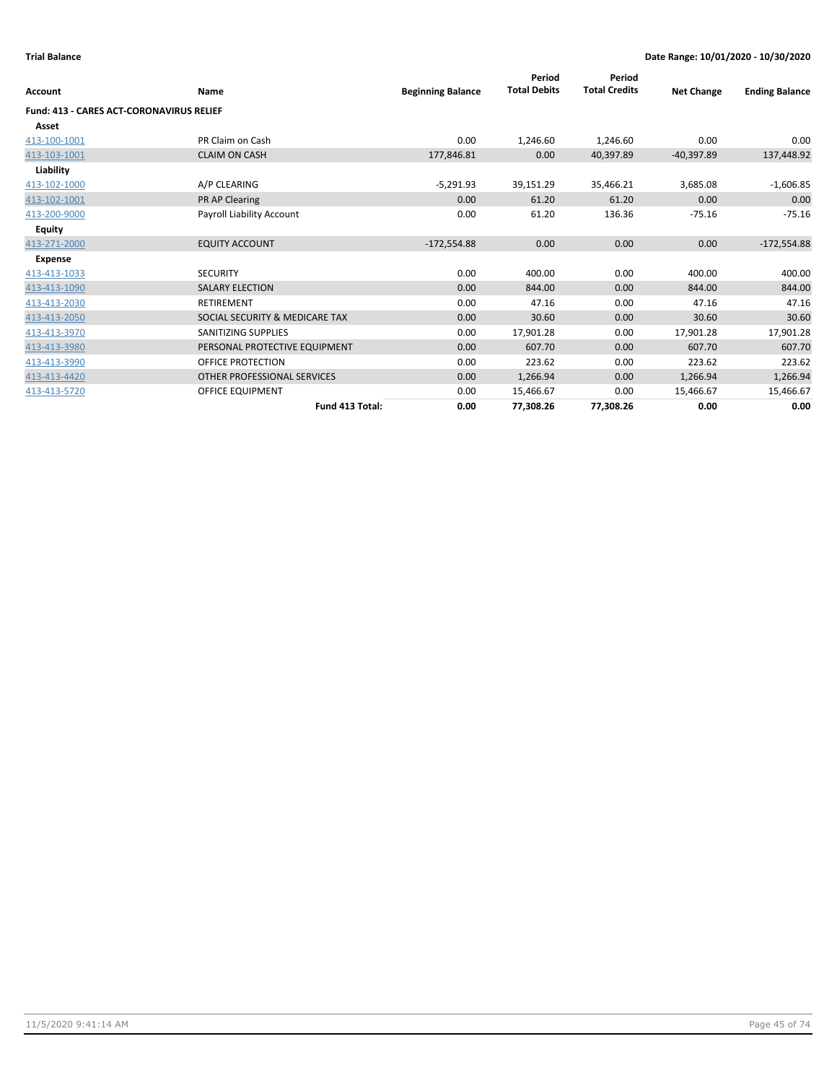| <b>Account</b>                                  | Name                           | <b>Beginning Balance</b> | Period<br><b>Total Debits</b> | Period<br><b>Total Credits</b> | <b>Net Change</b> | <b>Ending Balance</b> |
|-------------------------------------------------|--------------------------------|--------------------------|-------------------------------|--------------------------------|-------------------|-----------------------|
| <b>Fund: 413 - CARES ACT-CORONAVIRUS RELIEF</b> |                                |                          |                               |                                |                   |                       |
| Asset                                           |                                |                          |                               |                                |                   |                       |
| 413-100-1001                                    | PR Claim on Cash               | 0.00                     | 1,246.60                      | 1,246.60                       | 0.00              | 0.00                  |
| 413-103-1001                                    | <b>CLAIM ON CASH</b>           | 177,846.81               | 0.00                          | 40,397.89                      | $-40,397.89$      | 137,448.92            |
| Liability                                       |                                |                          |                               |                                |                   |                       |
| 413-102-1000                                    | A/P CLEARING                   | $-5,291.93$              | 39,151.29                     | 35,466.21                      | 3,685.08          | $-1,606.85$           |
| 413-102-1001                                    | PR AP Clearing                 | 0.00                     | 61.20                         | 61.20                          | 0.00              | 0.00                  |
| 413-200-9000                                    | Payroll Liability Account      | 0.00                     | 61.20                         | 136.36                         | $-75.16$          | $-75.16$              |
| Equity                                          |                                |                          |                               |                                |                   |                       |
| 413-271-2000                                    | <b>EQUITY ACCOUNT</b>          | $-172,554.88$            | 0.00                          | 0.00                           | 0.00              | $-172,554.88$         |
| <b>Expense</b>                                  |                                |                          |                               |                                |                   |                       |
| 413-413-1033                                    | <b>SECURITY</b>                | 0.00                     | 400.00                        | 0.00                           | 400.00            | 400.00                |
| 413-413-1090                                    | <b>SALARY ELECTION</b>         | 0.00                     | 844.00                        | 0.00                           | 844.00            | 844.00                |
| 413-413-2030                                    | <b>RETIREMENT</b>              | 0.00                     | 47.16                         | 0.00                           | 47.16             | 47.16                 |
| 413-413-2050                                    | SOCIAL SECURITY & MEDICARE TAX | 0.00                     | 30.60                         | 0.00                           | 30.60             | 30.60                 |
| 413-413-3970                                    | SANITIZING SUPPLIES            | 0.00                     | 17,901.28                     | 0.00                           | 17,901.28         | 17,901.28             |
| 413-413-3980                                    | PERSONAL PROTECTIVE EQUIPMENT  | 0.00                     | 607.70                        | 0.00                           | 607.70            | 607.70                |
| 413-413-3990                                    | OFFICE PROTECTION              | 0.00                     | 223.62                        | 0.00                           | 223.62            | 223.62                |
| 413-413-4420                                    | OTHER PROFESSIONAL SERVICES    | 0.00                     | 1,266.94                      | 0.00                           | 1,266.94          | 1,266.94              |
| 413-413-5720                                    | OFFICE EQUIPMENT               | 0.00                     | 15,466.67                     | 0.00                           | 15,466.67         | 15,466.67             |
|                                                 | Fund 413 Total:                | 0.00                     | 77,308.26                     | 77,308.26                      | 0.00              | 0.00                  |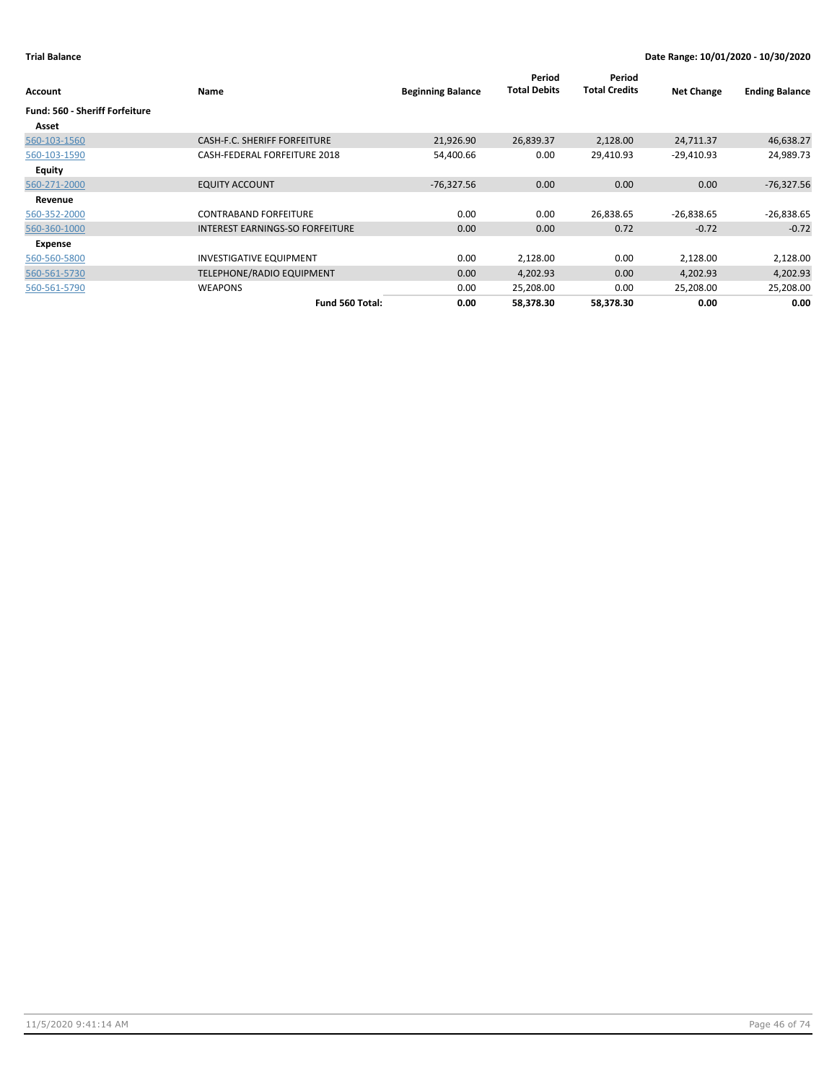| Account                        | Name                            | <b>Beginning Balance</b> | Period<br><b>Total Debits</b> | Period<br><b>Total Credits</b> | <b>Net Change</b> | <b>Ending Balance</b> |
|--------------------------------|---------------------------------|--------------------------|-------------------------------|--------------------------------|-------------------|-----------------------|
| Fund: 560 - Sheriff Forfeiture |                                 |                          |                               |                                |                   |                       |
| Asset                          |                                 |                          |                               |                                |                   |                       |
| 560-103-1560                   | CASH-F.C. SHERIFF FORFEITURE    | 21,926.90                | 26,839.37                     | 2,128.00                       | 24,711.37         | 46,638.27             |
| 560-103-1590                   | CASH-FEDERAL FORFEITURE 2018    | 54,400.66                | 0.00                          | 29,410.93                      | $-29,410.93$      | 24,989.73             |
| <b>Equity</b>                  |                                 |                          |                               |                                |                   |                       |
| 560-271-2000                   | <b>EQUITY ACCOUNT</b>           | $-76,327.56$             | 0.00                          | 0.00                           | 0.00              | $-76,327.56$          |
| Revenue                        |                                 |                          |                               |                                |                   |                       |
| 560-352-2000                   | <b>CONTRABAND FORFEITURE</b>    | 0.00                     | 0.00                          | 26,838.65                      | $-26,838.65$      | $-26,838.65$          |
| 560-360-1000                   | INTEREST EARNINGS-SO FORFEITURE | 0.00                     | 0.00                          | 0.72                           | $-0.72$           | $-0.72$               |
| Expense                        |                                 |                          |                               |                                |                   |                       |
| 560-560-5800                   | <b>INVESTIGATIVE EQUIPMENT</b>  | 0.00                     | 2,128.00                      | 0.00                           | 2,128.00          | 2,128.00              |
| 560-561-5730                   | TELEPHONE/RADIO EQUIPMENT       | 0.00                     | 4,202.93                      | 0.00                           | 4,202.93          | 4,202.93              |
| 560-561-5790                   | <b>WEAPONS</b>                  | 0.00                     | 25,208.00                     | 0.00                           | 25,208.00         | 25,208.00             |
|                                | Fund 560 Total:                 | 0.00                     | 58,378.30                     | 58,378.30                      | 0.00              | 0.00                  |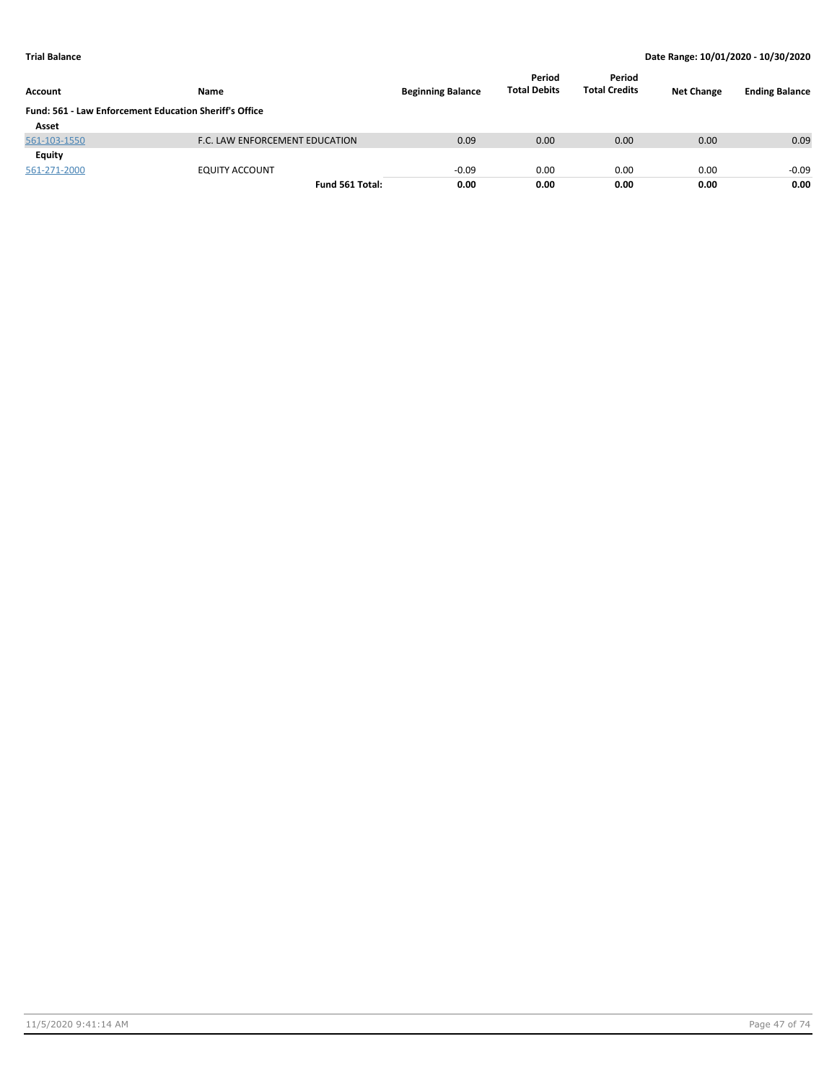| Account                                                       | Name                           | <b>Beginning Balance</b> | Period<br><b>Total Debits</b> | Period<br><b>Total Credits</b> | <b>Net Change</b> | <b>Ending Balance</b> |
|---------------------------------------------------------------|--------------------------------|--------------------------|-------------------------------|--------------------------------|-------------------|-----------------------|
| <b>Fund: 561 - Law Enforcement Education Sheriff's Office</b> |                                |                          |                               |                                |                   |                       |
| Asset                                                         |                                |                          |                               |                                |                   |                       |
| 561-103-1550                                                  | F.C. LAW ENFORCEMENT EDUCATION | 0.09                     | 0.00                          | 0.00                           | 0.00              | 0.09                  |
| Equity                                                        |                                |                          |                               |                                |                   |                       |
| 561-271-2000                                                  | <b>EQUITY ACCOUNT</b>          | $-0.09$                  | 0.00                          | 0.00                           | 0.00              | $-0.09$               |
|                                                               | Fund 561 Total:                | 0.00                     | 0.00                          | 0.00                           | 0.00              | 0.00                  |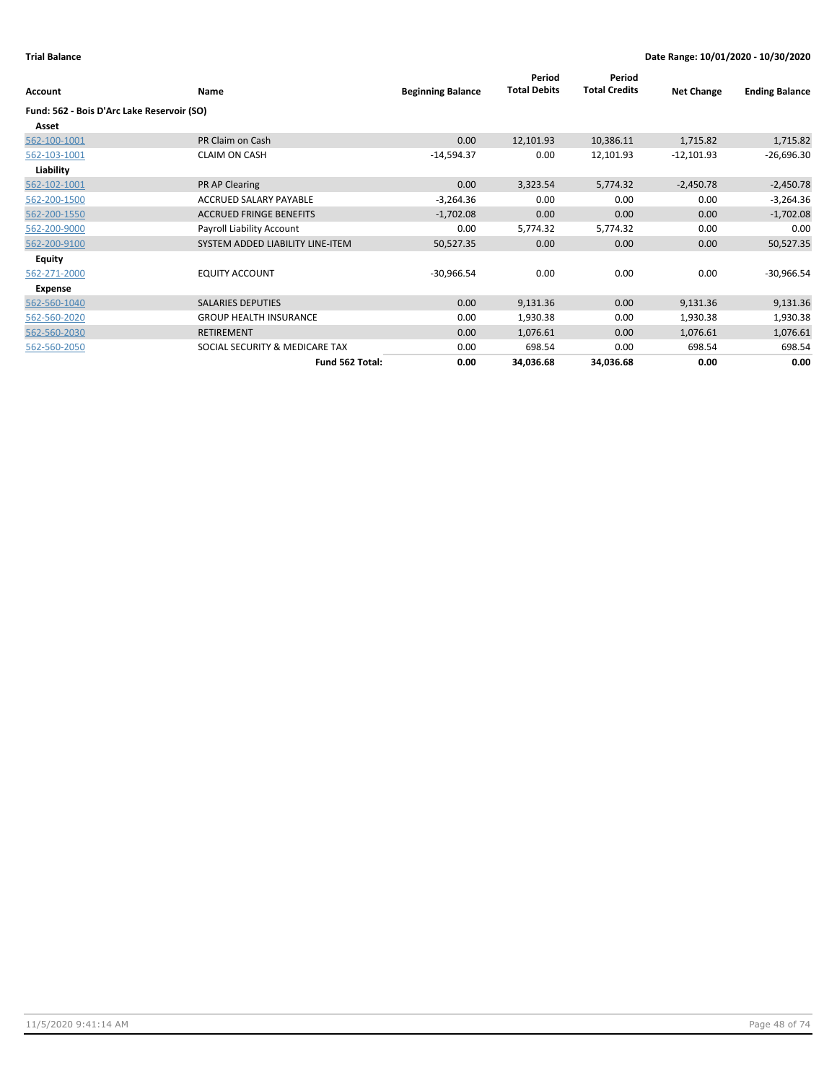| Account                                    | <b>Name</b>                      | <b>Beginning Balance</b> | Period<br><b>Total Debits</b> | Period<br><b>Total Credits</b> | <b>Net Change</b> | <b>Ending Balance</b> |
|--------------------------------------------|----------------------------------|--------------------------|-------------------------------|--------------------------------|-------------------|-----------------------|
| Fund: 562 - Bois D'Arc Lake Reservoir (SO) |                                  |                          |                               |                                |                   |                       |
| Asset                                      |                                  |                          |                               |                                |                   |                       |
| 562-100-1001                               | PR Claim on Cash                 | 0.00                     | 12,101.93                     | 10,386.11                      | 1,715.82          | 1,715.82              |
| 562-103-1001                               | <b>CLAIM ON CASH</b>             | $-14,594.37$             | 0.00                          | 12,101.93                      | $-12,101.93$      | $-26,696.30$          |
| Liability                                  |                                  |                          |                               |                                |                   |                       |
| 562-102-1001                               | PR AP Clearing                   | 0.00                     | 3,323.54                      | 5,774.32                       | $-2,450.78$       | $-2,450.78$           |
| 562-200-1500                               | ACCRUED SALARY PAYABLE           | $-3,264.36$              | 0.00                          | 0.00                           | 0.00              | $-3,264.36$           |
| 562-200-1550                               | <b>ACCRUED FRINGE BENEFITS</b>   | $-1,702.08$              | 0.00                          | 0.00                           | 0.00              | $-1,702.08$           |
| 562-200-9000                               | Payroll Liability Account        | 0.00                     | 5,774.32                      | 5,774.32                       | 0.00              | 0.00                  |
| 562-200-9100                               | SYSTEM ADDED LIABILITY LINE-ITEM | 50,527.35                | 0.00                          | 0.00                           | 0.00              | 50,527.35             |
| Equity                                     |                                  |                          |                               |                                |                   |                       |
| 562-271-2000                               | <b>EQUITY ACCOUNT</b>            | $-30,966.54$             | 0.00                          | 0.00                           | 0.00              | $-30,966.54$          |
| Expense                                    |                                  |                          |                               |                                |                   |                       |
| 562-560-1040                               | <b>SALARIES DEPUTIES</b>         | 0.00                     | 9,131.36                      | 0.00                           | 9,131.36          | 9,131.36              |
| 562-560-2020                               | <b>GROUP HEALTH INSURANCE</b>    | 0.00                     | 1,930.38                      | 0.00                           | 1,930.38          | 1,930.38              |
| 562-560-2030                               | <b>RETIREMENT</b>                | 0.00                     | 1,076.61                      | 0.00                           | 1,076.61          | 1,076.61              |
| 562-560-2050                               | SOCIAL SECURITY & MEDICARE TAX   | 0.00                     | 698.54                        | 0.00                           | 698.54            | 698.54                |
|                                            | Fund 562 Total:                  | 0.00                     | 34,036.68                     | 34,036.68                      | 0.00              | 0.00                  |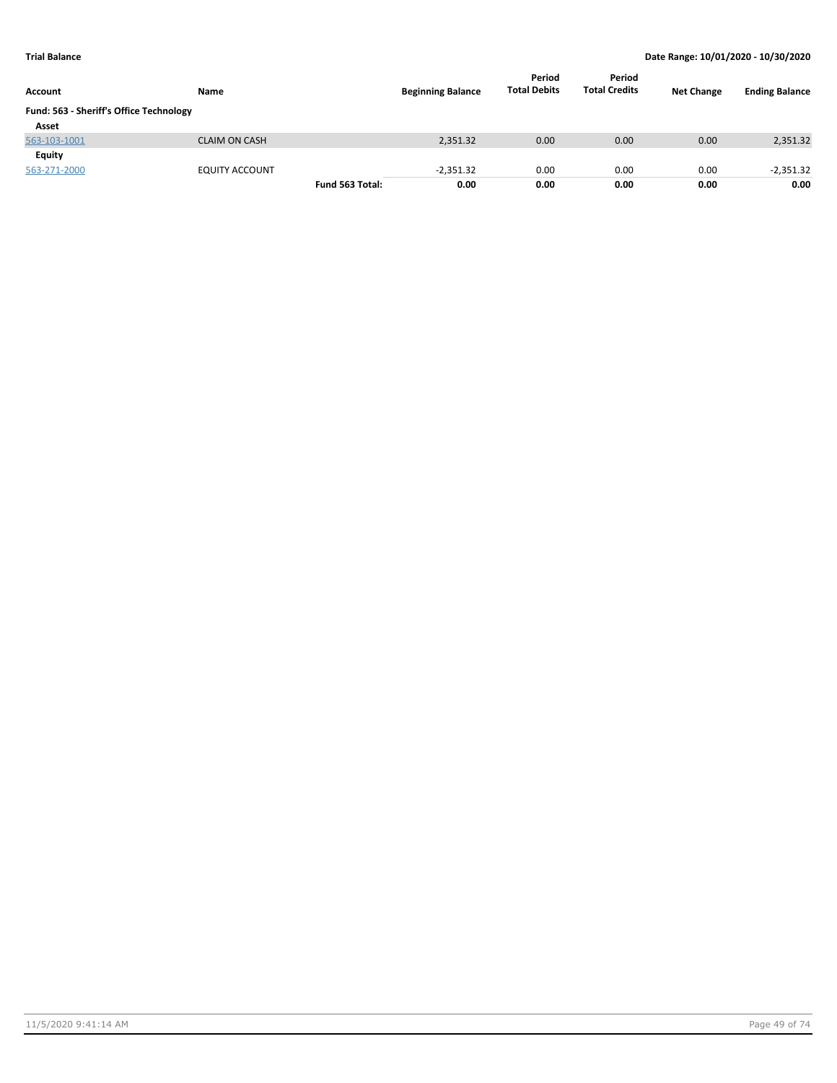| Account                                 | Name                  |                 | <b>Beginning Balance</b> | Period<br><b>Total Debits</b> | Period<br><b>Total Credits</b> | <b>Net Change</b> | <b>Ending Balance</b> |
|-----------------------------------------|-----------------------|-----------------|--------------------------|-------------------------------|--------------------------------|-------------------|-----------------------|
| Fund: 563 - Sheriff's Office Technology |                       |                 |                          |                               |                                |                   |                       |
| Asset                                   |                       |                 |                          |                               |                                |                   |                       |
| 563-103-1001                            | <b>CLAIM ON CASH</b>  |                 | 2,351.32                 | 0.00                          | 0.00                           | 0.00              | 2,351.32              |
| Equity                                  |                       |                 |                          |                               |                                |                   |                       |
| 563-271-2000                            | <b>EQUITY ACCOUNT</b> |                 | $-2,351.32$              | 0.00                          | 0.00                           | 0.00              | $-2,351.32$           |
|                                         |                       | Fund 563 Total: | 0.00                     | 0.00                          | 0.00                           | 0.00              | 0.00                  |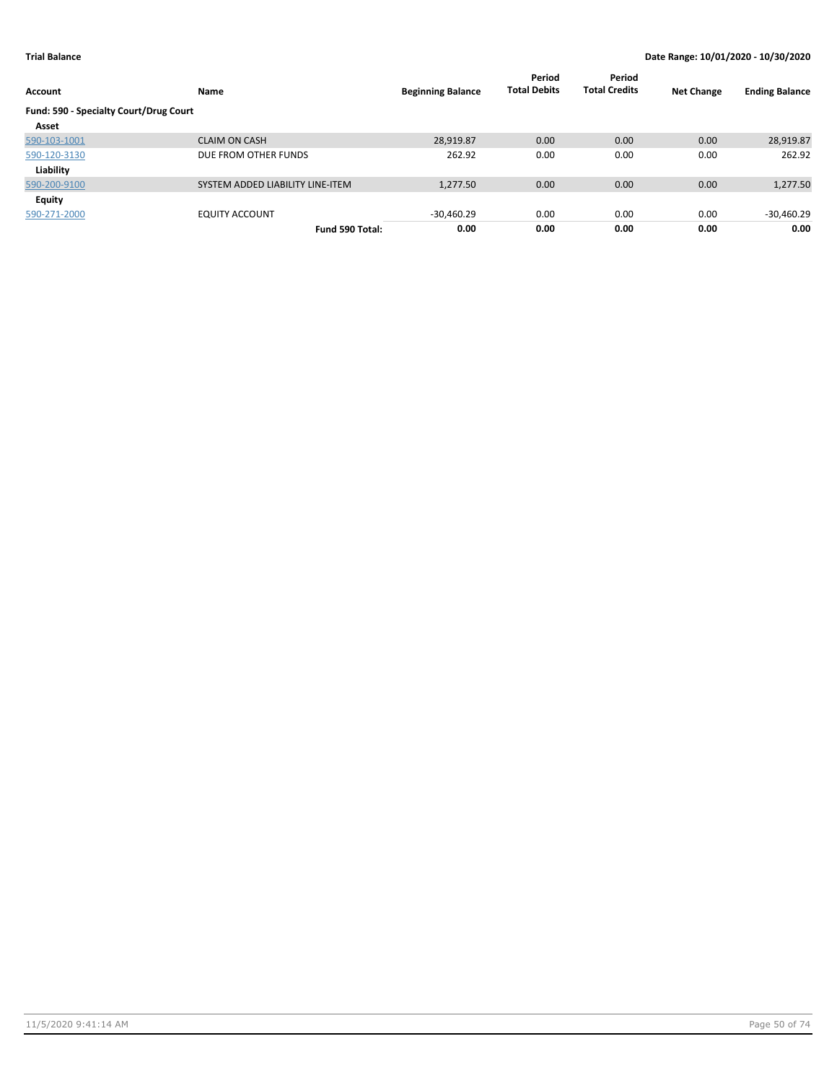| Account                                | Name                             | <b>Beginning Balance</b> | Period<br><b>Total Debits</b> | Period<br><b>Total Credits</b> | <b>Net Change</b> | <b>Ending Balance</b> |
|----------------------------------------|----------------------------------|--------------------------|-------------------------------|--------------------------------|-------------------|-----------------------|
| Fund: 590 - Specialty Court/Drug Court |                                  |                          |                               |                                |                   |                       |
| Asset                                  |                                  |                          |                               |                                |                   |                       |
| 590-103-1001                           | <b>CLAIM ON CASH</b>             | 28,919.87                | 0.00                          | 0.00                           | 0.00              | 28,919.87             |
| 590-120-3130                           | DUE FROM OTHER FUNDS             | 262.92                   | 0.00                          | 0.00                           | 0.00              | 262.92                |
| Liability                              |                                  |                          |                               |                                |                   |                       |
| 590-200-9100                           | SYSTEM ADDED LIABILITY LINE-ITEM | 1,277.50                 | 0.00                          | 0.00                           | 0.00              | 1,277.50              |
| Equity                                 |                                  |                          |                               |                                |                   |                       |
| 590-271-2000                           | <b>EQUITY ACCOUNT</b>            | $-30,460.29$             | 0.00                          | 0.00                           | 0.00              | -30,460.29            |
|                                        | Fund 590 Total:                  | 0.00                     | 0.00                          | 0.00                           | 0.00              | 0.00                  |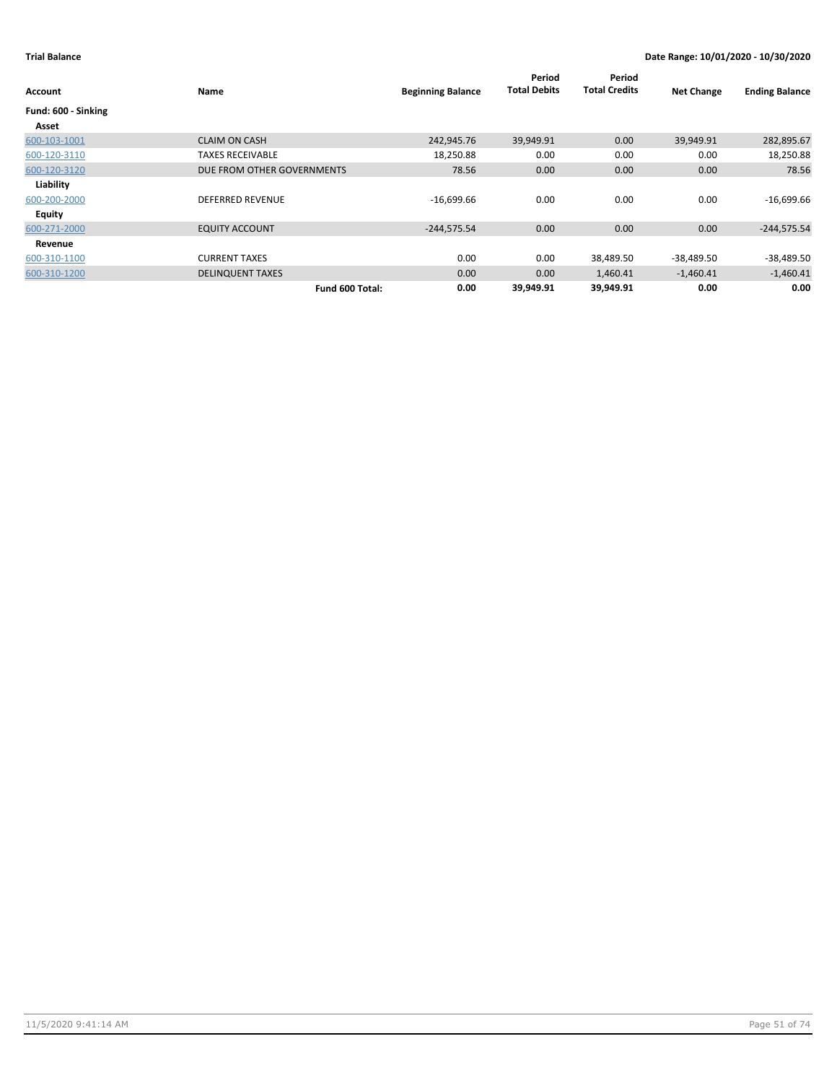| <b>Account</b>      | Name                       | <b>Beginning Balance</b> | Period<br><b>Total Debits</b> | Period<br><b>Total Credits</b> | <b>Net Change</b> | <b>Ending Balance</b> |
|---------------------|----------------------------|--------------------------|-------------------------------|--------------------------------|-------------------|-----------------------|
| Fund: 600 - Sinking |                            |                          |                               |                                |                   |                       |
| Asset               |                            |                          |                               |                                |                   |                       |
| 600-103-1001        | <b>CLAIM ON CASH</b>       | 242,945.76               | 39,949.91                     | 0.00                           | 39,949.91         | 282,895.67            |
| 600-120-3110        | <b>TAXES RECEIVABLE</b>    | 18,250.88                | 0.00                          | 0.00                           | 0.00              | 18,250.88             |
| 600-120-3120        | DUE FROM OTHER GOVERNMENTS | 78.56                    | 0.00                          | 0.00                           | 0.00              | 78.56                 |
| Liability           |                            |                          |                               |                                |                   |                       |
| 600-200-2000        | <b>DEFERRED REVENUE</b>    | $-16,699.66$             | 0.00                          | 0.00                           | 0.00              | $-16,699.66$          |
| Equity              |                            |                          |                               |                                |                   |                       |
| 600-271-2000        | <b>EQUITY ACCOUNT</b>      | $-244,575.54$            | 0.00                          | 0.00                           | 0.00              | $-244,575.54$         |
| Revenue             |                            |                          |                               |                                |                   |                       |
| 600-310-1100        | <b>CURRENT TAXES</b>       | 0.00                     | 0.00                          | 38,489.50                      | -38,489.50        | $-38,489.50$          |
| 600-310-1200        | <b>DELINQUENT TAXES</b>    | 0.00                     | 0.00                          | 1,460.41                       | $-1,460.41$       | $-1,460.41$           |
|                     | Fund 600 Total:            | 0.00                     | 39,949.91                     | 39,949.91                      | 0.00              | 0.00                  |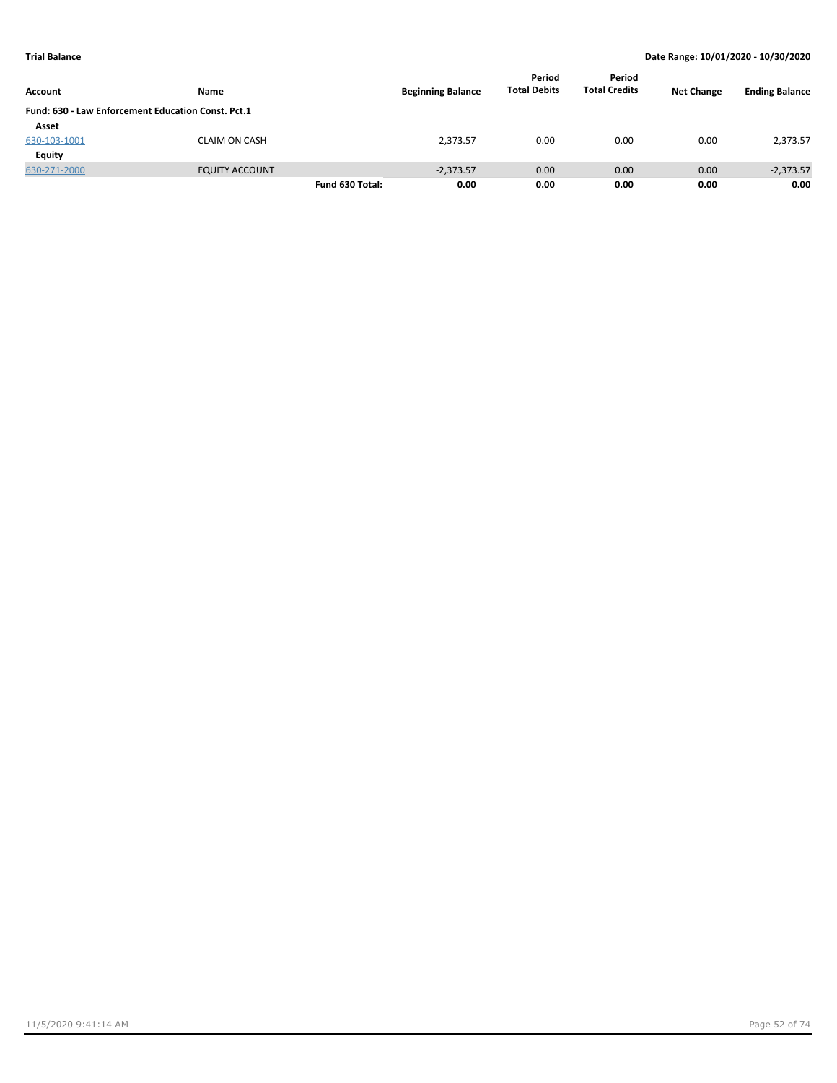|                                                    |                       |                 |                          | Period              | Period               |                   |                       |
|----------------------------------------------------|-----------------------|-----------------|--------------------------|---------------------|----------------------|-------------------|-----------------------|
| <b>Account</b>                                     | Name                  |                 | <b>Beginning Balance</b> | <b>Total Debits</b> | <b>Total Credits</b> | <b>Net Change</b> | <b>Ending Balance</b> |
| Fund: 630 - Law Enforcement Education Const. Pct.1 |                       |                 |                          |                     |                      |                   |                       |
| Asset                                              |                       |                 |                          |                     |                      |                   |                       |
| 630-103-1001                                       | <b>CLAIM ON CASH</b>  |                 | 2,373.57                 | 0.00                | 0.00                 | 0.00              | 2,373.57              |
| Equity                                             |                       |                 |                          |                     |                      |                   |                       |
| 630-271-2000                                       | <b>EQUITY ACCOUNT</b> |                 | $-2,373.57$              | 0.00                | 0.00                 | 0.00              | $-2,373.57$           |
|                                                    |                       | Fund 630 Total: | 0.00                     | 0.00                | 0.00                 | 0.00              | 0.00                  |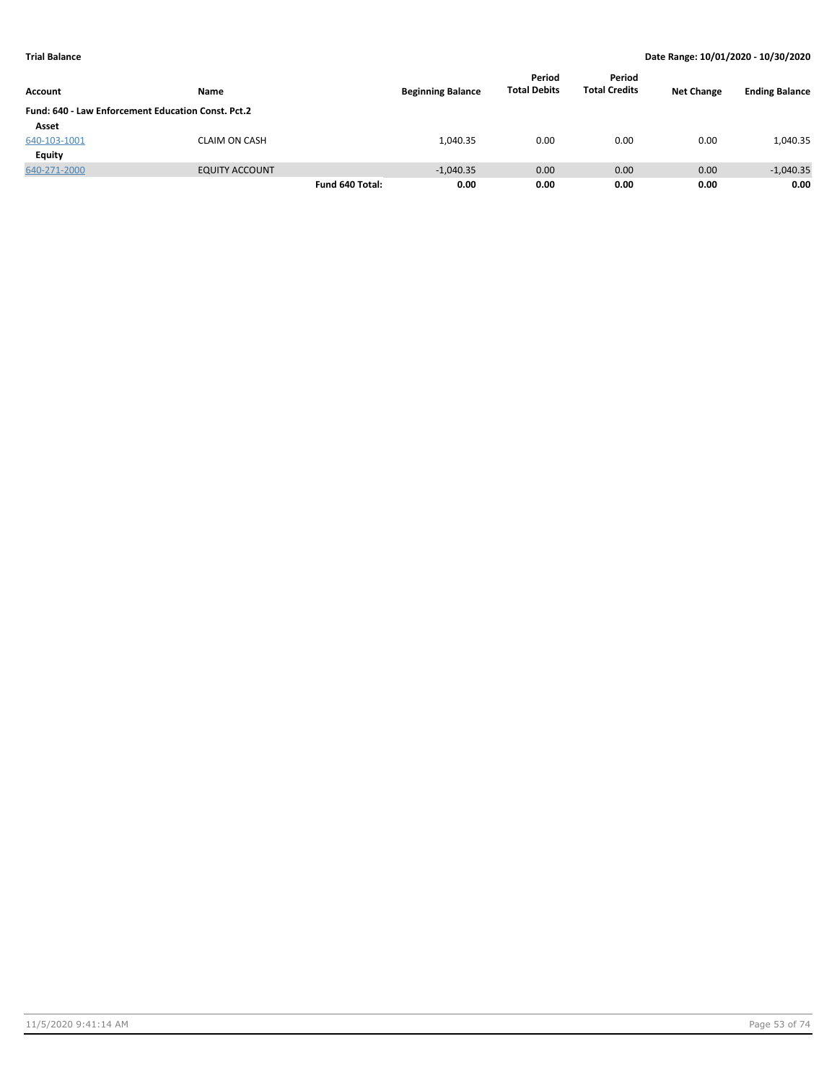| Account                                            | Name                  |                 | <b>Beginning Balance</b> | Period<br><b>Total Debits</b> | Period<br><b>Total Credits</b> | <b>Net Change</b> | <b>Ending Balance</b> |
|----------------------------------------------------|-----------------------|-----------------|--------------------------|-------------------------------|--------------------------------|-------------------|-----------------------|
| Fund: 640 - Law Enforcement Education Const. Pct.2 |                       |                 |                          |                               |                                |                   |                       |
| Asset                                              |                       |                 |                          |                               |                                |                   |                       |
| 640-103-1001                                       | <b>CLAIM ON CASH</b>  |                 | 1,040.35                 | 0.00                          | 0.00                           | 0.00              | 1,040.35              |
| Equity                                             |                       |                 |                          |                               |                                |                   |                       |
| 640-271-2000                                       | <b>EQUITY ACCOUNT</b> |                 | $-1,040.35$              | 0.00                          | 0.00                           | 0.00              | $-1,040.35$           |
|                                                    |                       | Fund 640 Total: | 0.00                     | 0.00                          | 0.00                           | 0.00              | 0.00                  |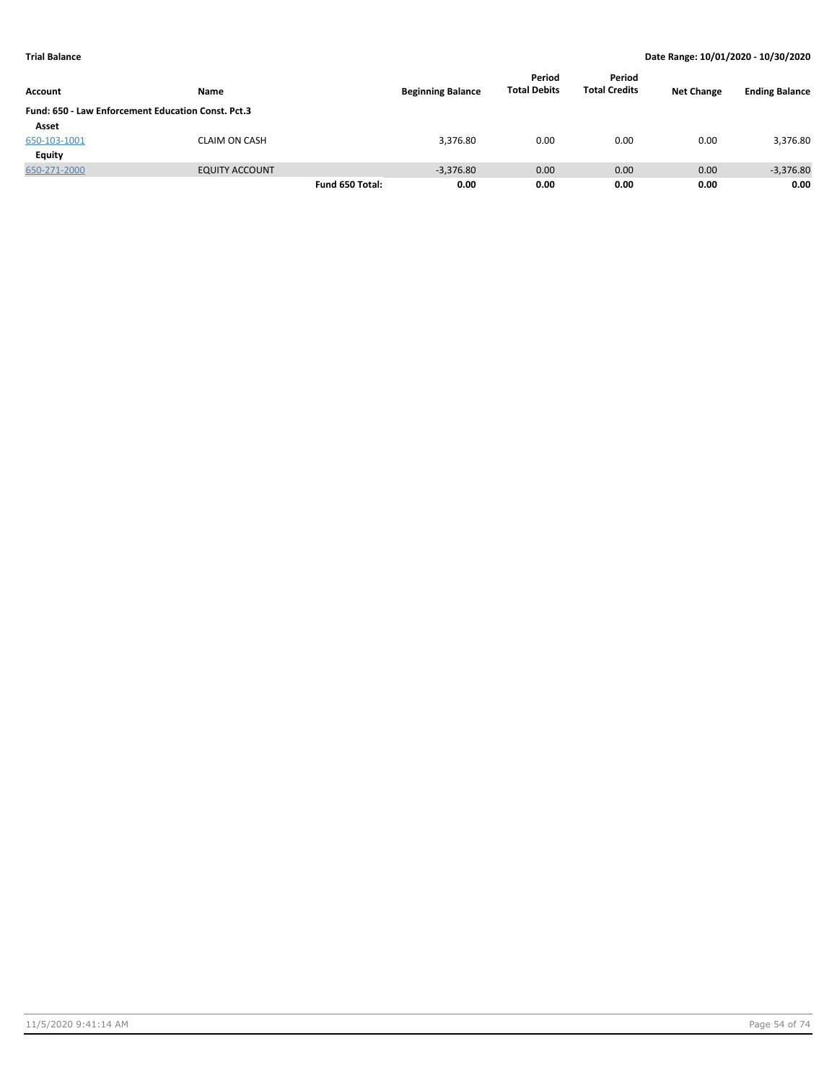| Account      | Name                                               |                 | <b>Beginning Balance</b> | Period<br><b>Total Debits</b> | Period<br><b>Total Credits</b> | <b>Net Change</b> | <b>Ending Balance</b> |
|--------------|----------------------------------------------------|-----------------|--------------------------|-------------------------------|--------------------------------|-------------------|-----------------------|
|              | Fund: 650 - Law Enforcement Education Const. Pct.3 |                 |                          |                               |                                |                   |                       |
| Asset        |                                                    |                 |                          |                               |                                |                   |                       |
| 650-103-1001 | CLAIM ON CASH                                      |                 | 3,376.80                 | 0.00                          | 0.00                           | 0.00              | 3,376.80              |
| Equity       |                                                    |                 |                          |                               |                                |                   |                       |
| 650-271-2000 | <b>EQUITY ACCOUNT</b>                              |                 | $-3,376.80$              | 0.00                          | 0.00                           | 0.00              | $-3,376.80$           |
|              |                                                    | Fund 650 Total: | 0.00                     | 0.00                          | 0.00                           | 0.00              | 0.00                  |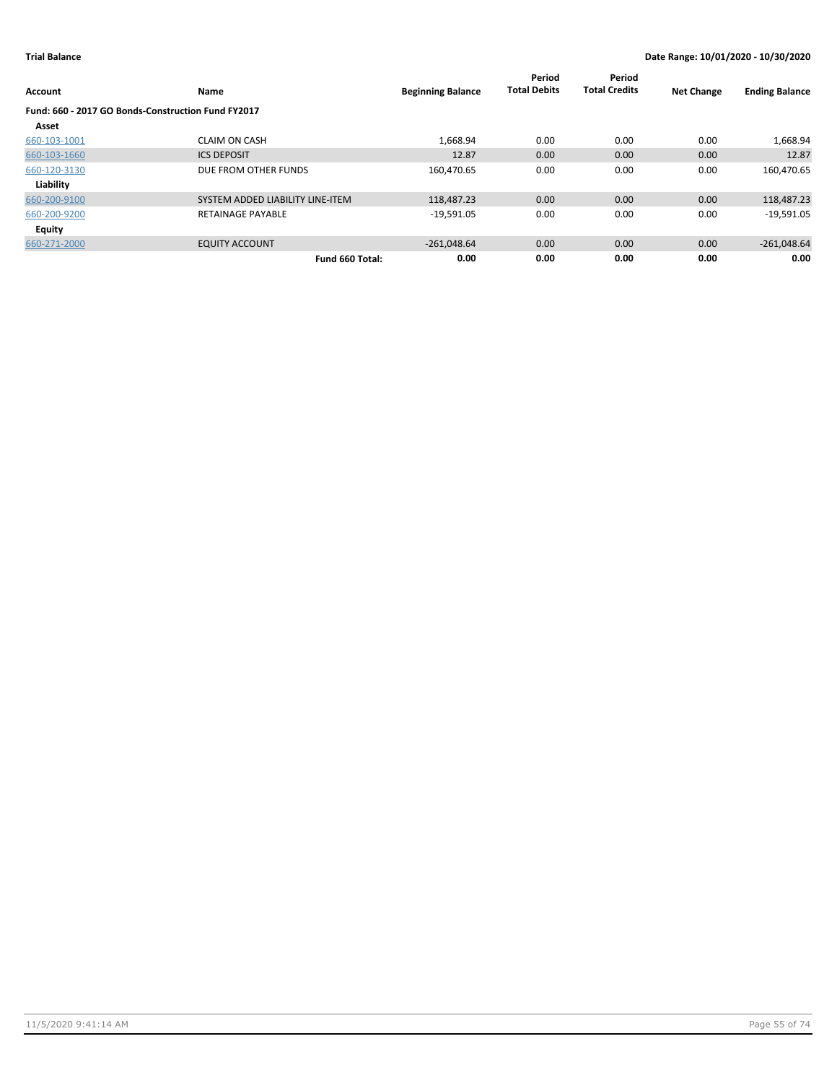| Account                                            | Name                             | <b>Beginning Balance</b> | Period<br><b>Total Debits</b> | Period<br><b>Total Credits</b> | <b>Net Change</b> | <b>Ending Balance</b> |
|----------------------------------------------------|----------------------------------|--------------------------|-------------------------------|--------------------------------|-------------------|-----------------------|
| Fund: 660 - 2017 GO Bonds-Construction Fund FY2017 |                                  |                          |                               |                                |                   |                       |
| Asset                                              |                                  |                          |                               |                                |                   |                       |
| 660-103-1001                                       | <b>CLAIM ON CASH</b>             | 1,668.94                 | 0.00                          | 0.00                           | 0.00              | 1,668.94              |
| 660-103-1660                                       | <b>ICS DEPOSIT</b>               | 12.87                    | 0.00                          | 0.00                           | 0.00              | 12.87                 |
| 660-120-3130                                       | DUE FROM OTHER FUNDS             | 160,470.65               | 0.00                          | 0.00                           | 0.00              | 160,470.65            |
| Liability                                          |                                  |                          |                               |                                |                   |                       |
| 660-200-9100                                       | SYSTEM ADDED LIABILITY LINE-ITEM | 118,487.23               | 0.00                          | 0.00                           | 0.00              | 118,487.23            |
| 660-200-9200                                       | <b>RETAINAGE PAYABLE</b>         | $-19,591.05$             | 0.00                          | 0.00                           | 0.00              | $-19,591.05$          |
| Equity                                             |                                  |                          |                               |                                |                   |                       |
| 660-271-2000                                       | <b>EQUITY ACCOUNT</b>            | $-261,048.64$            | 0.00                          | 0.00                           | 0.00              | $-261,048.64$         |
|                                                    | Fund 660 Total:                  | 0.00                     | 0.00                          | 0.00                           | 0.00              | 0.00                  |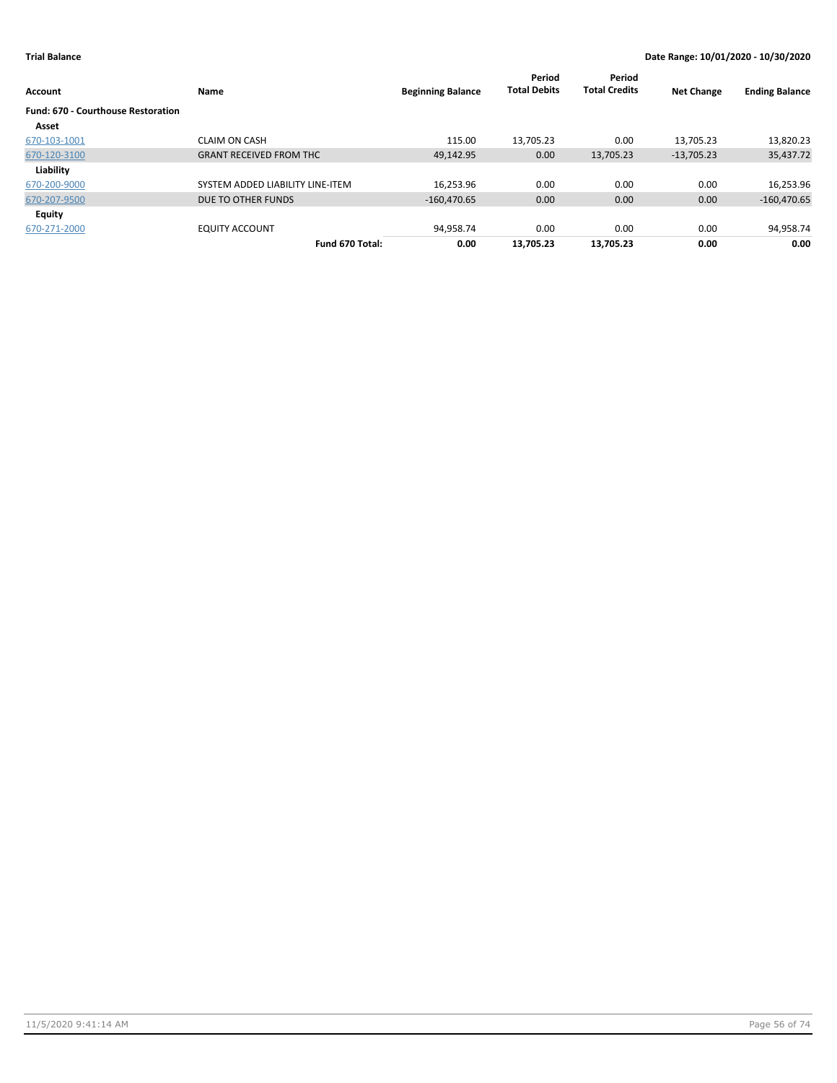| Account                                   | Name                             | <b>Beginning Balance</b> | Period<br><b>Total Debits</b> | Period<br><b>Total Credits</b> | <b>Net Change</b> | <b>Ending Balance</b> |
|-------------------------------------------|----------------------------------|--------------------------|-------------------------------|--------------------------------|-------------------|-----------------------|
| <b>Fund: 670 - Courthouse Restoration</b> |                                  |                          |                               |                                |                   |                       |
| Asset                                     |                                  |                          |                               |                                |                   |                       |
| 670-103-1001                              | <b>CLAIM ON CASH</b>             | 115.00                   | 13,705.23                     | 0.00                           | 13,705.23         | 13,820.23             |
| 670-120-3100                              | <b>GRANT RECEIVED FROM THC</b>   | 49,142.95                | 0.00                          | 13,705.23                      | $-13,705.23$      | 35,437.72             |
| Liability                                 |                                  |                          |                               |                                |                   |                       |
| 670-200-9000                              | SYSTEM ADDED LIABILITY LINE-ITEM | 16.253.96                | 0.00                          | 0.00                           | 0.00              | 16,253.96             |
| 670-207-9500                              | DUE TO OTHER FUNDS               | $-160,470.65$            | 0.00                          | 0.00                           | 0.00              | $-160,470.65$         |
| Equity                                    |                                  |                          |                               |                                |                   |                       |
| 670-271-2000                              | <b>EQUITY ACCOUNT</b>            | 94,958.74                | 0.00                          | 0.00                           | 0.00              | 94,958.74             |
|                                           | Fund 670 Total:                  | 0.00                     | 13,705.23                     | 13,705.23                      | 0.00              | 0.00                  |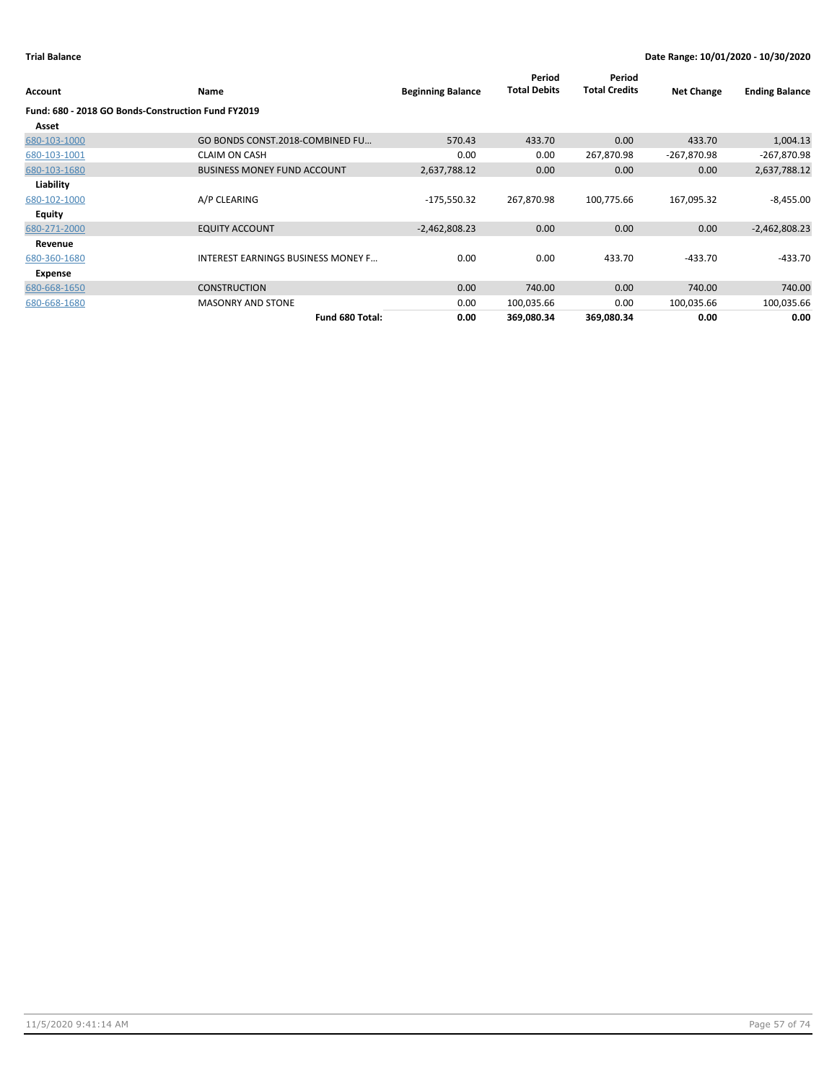| Account                                            | <b>Name</b>                               | <b>Beginning Balance</b> | Period<br><b>Total Debits</b> | Period<br><b>Total Credits</b> | <b>Net Change</b> | <b>Ending Balance</b> |
|----------------------------------------------------|-------------------------------------------|--------------------------|-------------------------------|--------------------------------|-------------------|-----------------------|
| Fund: 680 - 2018 GO Bonds-Construction Fund FY2019 |                                           |                          |                               |                                |                   |                       |
| Asset                                              |                                           |                          |                               |                                |                   |                       |
| 680-103-1000                                       | GO BONDS CONST.2018-COMBINED FU           | 570.43                   | 433.70                        | 0.00                           | 433.70            | 1,004.13              |
| 680-103-1001                                       | <b>CLAIM ON CASH</b>                      | 0.00                     | 0.00                          | 267,870.98                     | $-267,870.98$     | -267,870.98           |
| 680-103-1680                                       | <b>BUSINESS MONEY FUND ACCOUNT</b>        | 2,637,788.12             | 0.00                          | 0.00                           | 0.00              | 2,637,788.12          |
| Liability                                          |                                           |                          |                               |                                |                   |                       |
| 680-102-1000                                       | A/P CLEARING                              | -175,550.32              | 267,870.98                    | 100,775.66                     | 167,095.32        | $-8,455.00$           |
| Equity                                             |                                           |                          |                               |                                |                   |                       |
| 680-271-2000                                       | <b>EQUITY ACCOUNT</b>                     | $-2,462,808.23$          | 0.00                          | 0.00                           | 0.00              | $-2,462,808.23$       |
| Revenue                                            |                                           |                          |                               |                                |                   |                       |
| 680-360-1680                                       | <b>INTEREST EARNINGS BUSINESS MONEY F</b> | 0.00                     | 0.00                          | 433.70                         | $-433.70$         | -433.70               |
| Expense                                            |                                           |                          |                               |                                |                   |                       |
| 680-668-1650                                       | <b>CONSTRUCTION</b>                       | 0.00                     | 740.00                        | 0.00                           | 740.00            | 740.00                |
| 680-668-1680                                       | <b>MASONRY AND STONE</b>                  | 0.00                     | 100,035.66                    | 0.00                           | 100,035.66        | 100,035.66            |
|                                                    | Fund 680 Total:                           | 0.00                     | 369,080.34                    | 369,080.34                     | 0.00              | 0.00                  |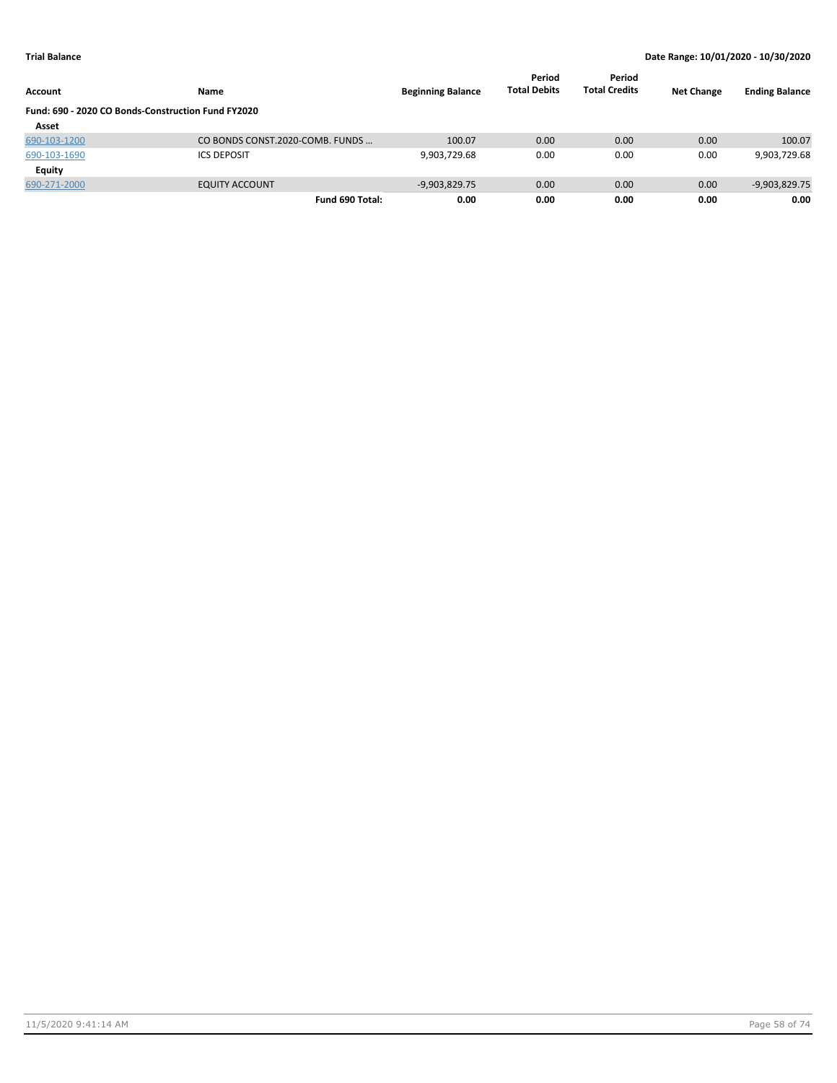| <b>Account</b>                                     | <b>Name</b>                     | <b>Beginning Balance</b> | Period<br><b>Total Debits</b> | Period<br><b>Total Credits</b> | <b>Net Change</b> | <b>Ending Balance</b> |
|----------------------------------------------------|---------------------------------|--------------------------|-------------------------------|--------------------------------|-------------------|-----------------------|
| Fund: 690 - 2020 CO Bonds-Construction Fund FY2020 |                                 |                          |                               |                                |                   |                       |
| Asset                                              |                                 |                          |                               |                                |                   |                       |
| 690-103-1200                                       | CO BONDS CONST.2020-COMB. FUNDS | 100.07                   | 0.00                          | 0.00                           | 0.00              | 100.07                |
| 690-103-1690                                       | <b>ICS DEPOSIT</b>              | 9,903,729.68             | 0.00                          | 0.00                           | 0.00              | 9,903,729.68          |
| Equity                                             |                                 |                          |                               |                                |                   |                       |
| 690-271-2000                                       | <b>EQUITY ACCOUNT</b>           | $-9,903,829.75$          | 0.00                          | 0.00                           | 0.00              | $-9,903,829.75$       |
|                                                    | Fund 690 Total:                 | 0.00                     | 0.00                          | 0.00                           | 0.00              | 0.00                  |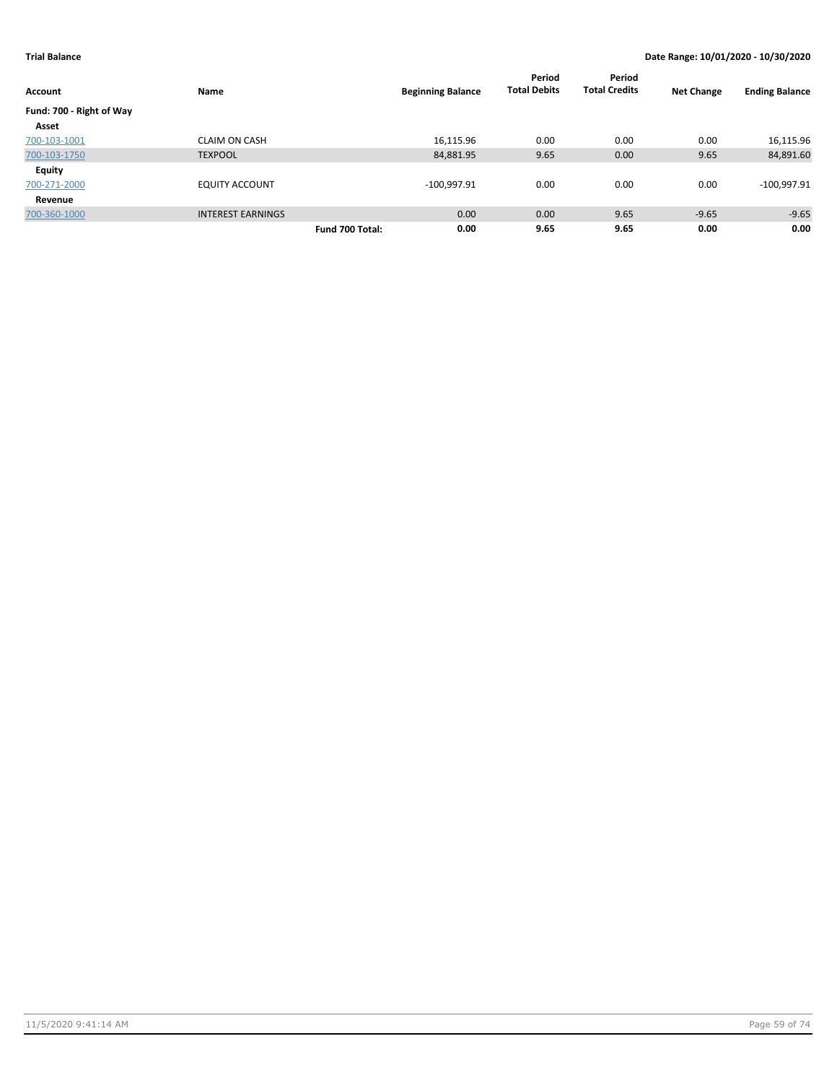|                          |                          |                 |                          | Period              | Period               |                   |                       |
|--------------------------|--------------------------|-----------------|--------------------------|---------------------|----------------------|-------------------|-----------------------|
| Account                  | Name                     |                 | <b>Beginning Balance</b> | <b>Total Debits</b> | <b>Total Credits</b> | <b>Net Change</b> | <b>Ending Balance</b> |
| Fund: 700 - Right of Way |                          |                 |                          |                     |                      |                   |                       |
| Asset                    |                          |                 |                          |                     |                      |                   |                       |
| 700-103-1001             | <b>CLAIM ON CASH</b>     |                 | 16,115.96                | 0.00                | 0.00                 | 0.00              | 16,115.96             |
| 700-103-1750             | <b>TEXPOOL</b>           |                 | 84,881.95                | 9.65                | 0.00                 | 9.65              | 84,891.60             |
| <b>Equity</b>            |                          |                 |                          |                     |                      |                   |                       |
| 700-271-2000             | <b>EQUITY ACCOUNT</b>    |                 | $-100,997.91$            | 0.00                | 0.00                 | 0.00              | $-100,997.91$         |
| Revenue                  |                          |                 |                          |                     |                      |                   |                       |
| 700-360-1000             | <b>INTEREST EARNINGS</b> |                 | 0.00                     | 0.00                | 9.65                 | $-9.65$           | $-9.65$               |
|                          |                          | Fund 700 Total: | 0.00                     | 9.65                | 9.65                 | 0.00              | 0.00                  |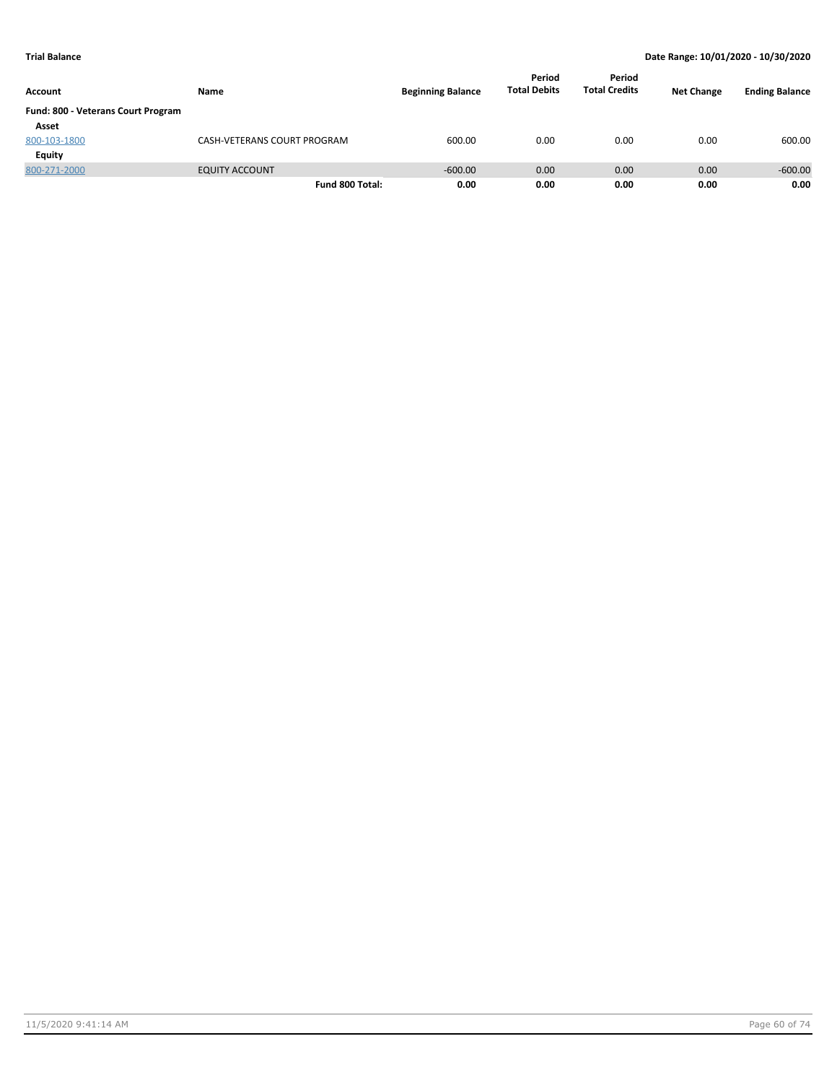| Account                            | Name                        | <b>Beginning Balance</b> | Period<br><b>Total Debits</b> | Period<br><b>Total Credits</b> | <b>Net Change</b> | <b>Ending Balance</b> |
|------------------------------------|-----------------------------|--------------------------|-------------------------------|--------------------------------|-------------------|-----------------------|
| Fund: 800 - Veterans Court Program |                             |                          |                               |                                |                   |                       |
| Asset                              |                             |                          |                               |                                |                   |                       |
| 800-103-1800                       | CASH-VETERANS COURT PROGRAM | 600.00                   | 0.00                          | 0.00                           | 0.00              | 600.00                |
| Equity                             |                             |                          |                               |                                |                   |                       |
| 800-271-2000                       | <b>EQUITY ACCOUNT</b>       | $-600.00$                | 0.00                          | 0.00                           | 0.00              | $-600.00$             |
|                                    | Fund 800 Total:             | 0.00                     | 0.00                          | 0.00                           | 0.00              | 0.00                  |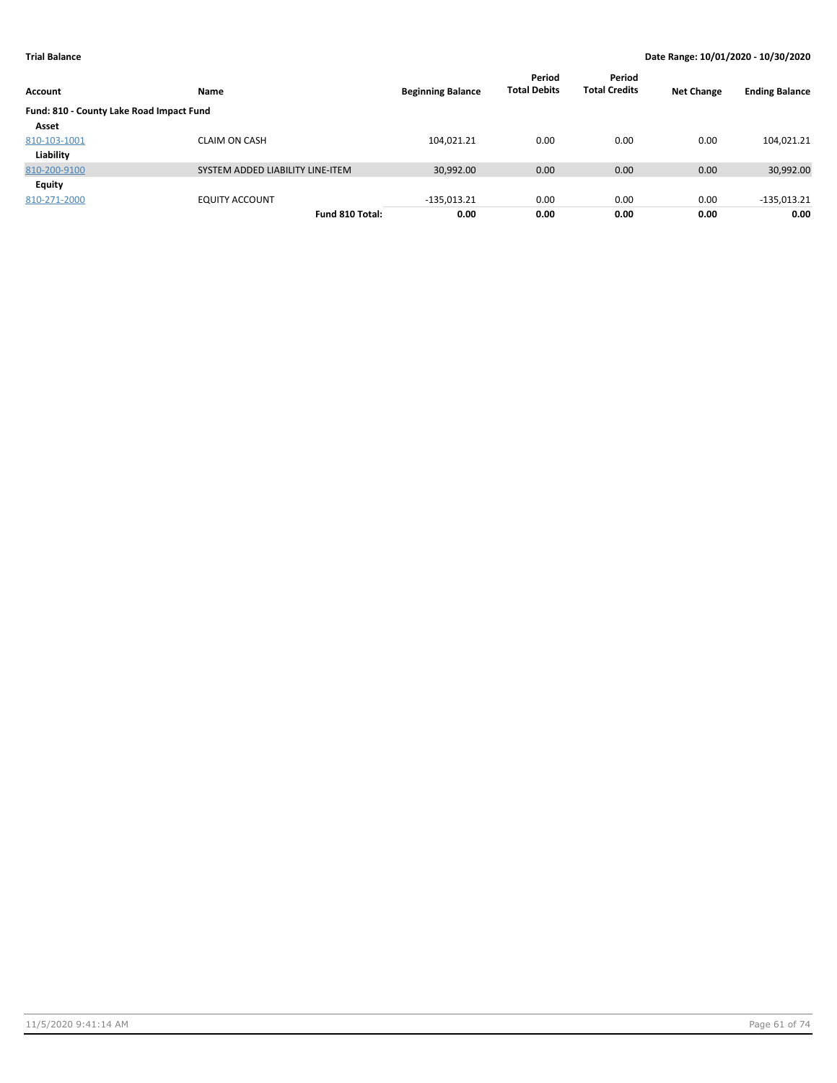| Account                                  | Name                             | <b>Beginning Balance</b> | Period<br><b>Total Debits</b> | Period<br><b>Total Credits</b> | <b>Net Change</b> | <b>Ending Balance</b> |
|------------------------------------------|----------------------------------|--------------------------|-------------------------------|--------------------------------|-------------------|-----------------------|
| Fund: 810 - County Lake Road Impact Fund |                                  |                          |                               |                                |                   |                       |
| Asset                                    |                                  |                          |                               |                                |                   |                       |
| 810-103-1001                             | <b>CLAIM ON CASH</b>             | 104,021.21               | 0.00                          | 0.00                           | 0.00              | 104,021.21            |
| Liability                                |                                  |                          |                               |                                |                   |                       |
| 810-200-9100                             | SYSTEM ADDED LIABILITY LINE-ITEM | 30,992.00                | 0.00                          | 0.00                           | 0.00              | 30,992.00             |
| Equity                                   |                                  |                          |                               |                                |                   |                       |
| 810-271-2000                             | <b>EQUITY ACCOUNT</b>            | $-135,013.21$            | 0.00                          | 0.00                           | 0.00              | $-135,013.21$         |
|                                          | Fund 810 Total:                  | 0.00                     | 0.00                          | 0.00                           | 0.00              | 0.00                  |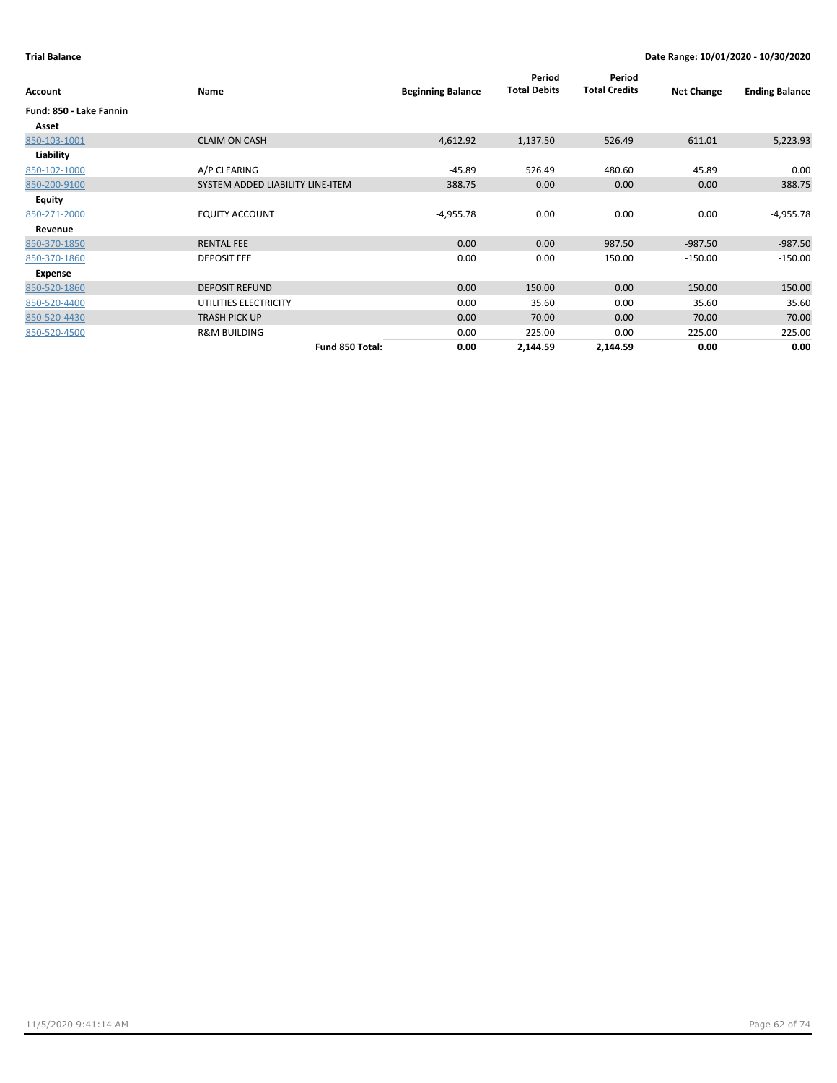| Account                 | Name                             | <b>Beginning Balance</b> | Period<br><b>Total Debits</b> | Period<br><b>Total Credits</b> | <b>Net Change</b> | <b>Ending Balance</b> |
|-------------------------|----------------------------------|--------------------------|-------------------------------|--------------------------------|-------------------|-----------------------|
| Fund: 850 - Lake Fannin |                                  |                          |                               |                                |                   |                       |
| Asset                   |                                  |                          |                               |                                |                   |                       |
| 850-103-1001            | <b>CLAIM ON CASH</b>             | 4,612.92                 | 1,137.50                      | 526.49                         | 611.01            | 5,223.93              |
| Liability               |                                  |                          |                               |                                |                   |                       |
| 850-102-1000            | A/P CLEARING                     | $-45.89$                 | 526.49                        | 480.60                         | 45.89             | 0.00                  |
| 850-200-9100            | SYSTEM ADDED LIABILITY LINE-ITEM | 388.75                   | 0.00                          | 0.00                           | 0.00              | 388.75                |
| Equity                  |                                  |                          |                               |                                |                   |                       |
| 850-271-2000            | <b>EQUITY ACCOUNT</b>            | $-4,955.78$              | 0.00                          | 0.00                           | 0.00              | $-4,955.78$           |
| Revenue                 |                                  |                          |                               |                                |                   |                       |
| 850-370-1850            | <b>RENTAL FEE</b>                | 0.00                     | 0.00                          | 987.50                         | $-987.50$         | $-987.50$             |
| 850-370-1860            | <b>DEPOSIT FEE</b>               | 0.00                     | 0.00                          | 150.00                         | $-150.00$         | $-150.00$             |
| Expense                 |                                  |                          |                               |                                |                   |                       |
| 850-520-1860            | <b>DEPOSIT REFUND</b>            | 0.00                     | 150.00                        | 0.00                           | 150.00            | 150.00                |
| 850-520-4400            | UTILITIES ELECTRICITY            | 0.00                     | 35.60                         | 0.00                           | 35.60             | 35.60                 |
| 850-520-4430            | <b>TRASH PICK UP</b>             | 0.00                     | 70.00                         | 0.00                           | 70.00             | 70.00                 |
| 850-520-4500            | <b>R&amp;M BUILDING</b>          | 0.00                     | 225.00                        | 0.00                           | 225.00            | 225.00                |
|                         | Fund 850 Total:                  | 0.00                     | 2,144.59                      | 2,144.59                       | 0.00              | 0.00                  |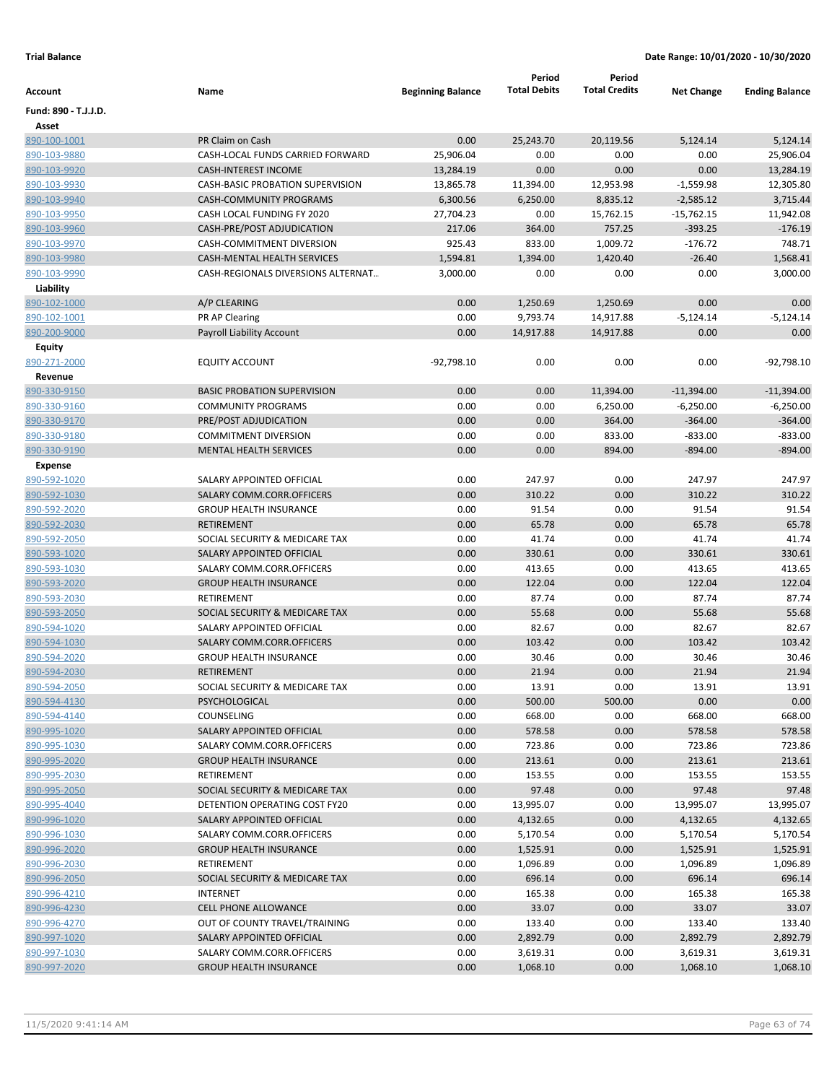|                      |                                    |                          | Period              | Period               |                   |                       |
|----------------------|------------------------------------|--------------------------|---------------------|----------------------|-------------------|-----------------------|
| Account              | Name                               | <b>Beginning Balance</b> | <b>Total Debits</b> | <b>Total Credits</b> | <b>Net Change</b> | <b>Ending Balance</b> |
| Fund: 890 - T.J.J.D. |                                    |                          |                     |                      |                   |                       |
| Asset                |                                    |                          |                     |                      |                   |                       |
| 890-100-1001         | PR Claim on Cash                   | 0.00                     | 25,243.70           | 20,119.56            | 5,124.14          | 5,124.14              |
| 890-103-9880         | CASH-LOCAL FUNDS CARRIED FORWARD   | 25,906.04                | 0.00                | 0.00                 | 0.00              | 25,906.04             |
| 890-103-9920         | <b>CASH-INTEREST INCOME</b>        | 13,284.19                | 0.00                | 0.00                 | 0.00              | 13,284.19             |
| 890-103-9930         | CASH-BASIC PROBATION SUPERVISION   | 13,865.78                | 11,394.00           | 12,953.98            | $-1,559.98$       | 12,305.80             |
| 890-103-9940         | CASH-COMMUNITY PROGRAMS            | 6,300.56                 | 6,250.00            | 8,835.12             | $-2,585.12$       | 3,715.44              |
| 890-103-9950         | CASH LOCAL FUNDING FY 2020         | 27,704.23                | 0.00                | 15,762.15            | $-15,762.15$      | 11,942.08             |
| 890-103-9960         | CASH-PRE/POST ADJUDICATION         | 217.06                   | 364.00              | 757.25               | $-393.25$         | $-176.19$             |
| 890-103-9970         | CASH-COMMITMENT DIVERSION          | 925.43                   | 833.00              | 1,009.72             | $-176.72$         | 748.71                |
| 890-103-9980         | CASH-MENTAL HEALTH SERVICES        | 1,594.81                 | 1,394.00            | 1,420.40             | $-26.40$          | 1,568.41              |
| 890-103-9990         | CASH-REGIONALS DIVERSIONS ALTERNAT | 3,000.00                 | 0.00                | 0.00                 | 0.00              | 3,000.00              |
| Liability            |                                    |                          |                     |                      |                   |                       |
| 890-102-1000         | A/P CLEARING                       | 0.00                     | 1,250.69            | 1,250.69             | 0.00              | 0.00                  |
| 890-102-1001         | PR AP Clearing                     | 0.00                     | 9,793.74            | 14,917.88            | $-5,124.14$       | $-5,124.14$           |
| 890-200-9000         | Payroll Liability Account          | 0.00                     | 14,917.88           | 14,917.88            | 0.00              | 0.00                  |
| Equity               |                                    |                          |                     |                      |                   |                       |
| 890-271-2000         | <b>EQUITY ACCOUNT</b>              | $-92,798.10$             | 0.00                | 0.00                 | 0.00              | $-92,798.10$          |
| Revenue              |                                    |                          |                     |                      |                   |                       |
| 890-330-9150         | <b>BASIC PROBATION SUPERVISION</b> | 0.00                     | 0.00                | 11,394.00            | $-11,394.00$      | $-11,394.00$          |
| 890-330-9160         | <b>COMMUNITY PROGRAMS</b>          | 0.00                     | 0.00                | 6,250.00             | $-6,250.00$       | $-6,250.00$           |
| 890-330-9170         | PRE/POST ADJUDICATION              | 0.00                     | 0.00                | 364.00               | $-364.00$         | $-364.00$             |
| 890-330-9180         | <b>COMMITMENT DIVERSION</b>        | 0.00                     | 0.00                | 833.00               | $-833.00$         | $-833.00$             |
| 890-330-9190         | <b>MENTAL HEALTH SERVICES</b>      | 0.00                     | 0.00                | 894.00               | $-894.00$         | $-894.00$             |
| <b>Expense</b>       |                                    |                          |                     |                      |                   |                       |
| 890-592-1020         | SALARY APPOINTED OFFICIAL          | 0.00                     | 247.97              | 0.00                 | 247.97            | 247.97                |
| 890-592-1030         | SALARY COMM.CORR.OFFICERS          | 0.00                     | 310.22              | 0.00                 | 310.22            | 310.22                |
|                      | <b>GROUP HEALTH INSURANCE</b>      | 0.00                     | 91.54               | 0.00                 | 91.54             | 91.54                 |
| 890-592-2020         | <b>RETIREMENT</b>                  |                          |                     |                      |                   |                       |
| 890-592-2030         |                                    | 0.00                     | 65.78               | 0.00                 | 65.78             | 65.78                 |
| 890-592-2050         | SOCIAL SECURITY & MEDICARE TAX     | 0.00                     | 41.74               | 0.00                 | 41.74             | 41.74                 |
| 890-593-1020         | SALARY APPOINTED OFFICIAL          | 0.00                     | 330.61              | 0.00                 | 330.61            | 330.61                |
| 890-593-1030         | SALARY COMM.CORR.OFFICERS          | 0.00                     | 413.65              | 0.00                 | 413.65            | 413.65                |
| 890-593-2020         | <b>GROUP HEALTH INSURANCE</b>      | 0.00                     | 122.04              | 0.00                 | 122.04            | 122.04                |
| 890-593-2030         | RETIREMENT                         | 0.00                     | 87.74               | 0.00                 | 87.74             | 87.74                 |
| 890-593-2050         | SOCIAL SECURITY & MEDICARE TAX     | 0.00                     | 55.68               | 0.00                 | 55.68             | 55.68                 |
| 890-594-1020         | SALARY APPOINTED OFFICIAL          | 0.00                     | 82.67               | 0.00                 | 82.67             | 82.67                 |
| 890-594-1030         | SALARY COMM.CORR.OFFICERS          | 0.00                     | 103.42              | 0.00                 | 103.42            | 103.42                |
| 890-594-2020         | <b>GROUP HEALTH INSURANCE</b>      | 0.00                     | 30.46               | 0.00                 | 30.46             | 30.46                 |
| 890-594-2030         | RETIREMENT                         | 0.00                     | 21.94               | 0.00                 | 21.94             | 21.94                 |
| 890-594-2050         | SOCIAL SECURITY & MEDICARE TAX     | 0.00                     | 13.91               | 0.00                 | 13.91             | 13.91                 |
| 890-594-4130         | PSYCHOLOGICAL                      | 0.00                     | 500.00              | 500.00               | 0.00              | 0.00                  |
| 890-594-4140         | COUNSELING                         | 0.00                     | 668.00              | 0.00                 | 668.00            | 668.00                |
| 890-995-1020         | SALARY APPOINTED OFFICIAL          | 0.00                     | 578.58              | 0.00                 | 578.58            | 578.58                |
| 890-995-1030         | SALARY COMM.CORR.OFFICERS          | 0.00                     | 723.86              | 0.00                 | 723.86            | 723.86                |
| 890-995-2020         | <b>GROUP HEALTH INSURANCE</b>      | 0.00                     | 213.61              | 0.00                 | 213.61            | 213.61                |
| 890-995-2030         | RETIREMENT                         | 0.00                     | 153.55              | 0.00                 | 153.55            | 153.55                |
| 890-995-2050         | SOCIAL SECURITY & MEDICARE TAX     | 0.00                     | 97.48               | 0.00                 | 97.48             | 97.48                 |
| 890-995-4040         | DETENTION OPERATING COST FY20      | 0.00                     | 13,995.07           | 0.00                 | 13,995.07         | 13,995.07             |
| 890-996-1020         | SALARY APPOINTED OFFICIAL          | 0.00                     | 4,132.65            | 0.00                 | 4,132.65          | 4,132.65              |
| 890-996-1030         | SALARY COMM.CORR.OFFICERS          | 0.00                     | 5,170.54            | 0.00                 | 5,170.54          | 5,170.54              |
| 890-996-2020         | <b>GROUP HEALTH INSURANCE</b>      | 0.00                     | 1,525.91            | 0.00                 | 1,525.91          | 1,525.91              |
| 890-996-2030         | RETIREMENT                         | 0.00                     | 1,096.89            | 0.00                 | 1,096.89          | 1,096.89              |
| 890-996-2050         | SOCIAL SECURITY & MEDICARE TAX     | 0.00                     | 696.14              | 0.00                 | 696.14            | 696.14                |
| 890-996-4210         | <b>INTERNET</b>                    | 0.00                     | 165.38              | 0.00                 | 165.38            | 165.38                |
| 890-996-4230         | <b>CELL PHONE ALLOWANCE</b>        | 0.00                     | 33.07               | 0.00                 | 33.07             | 33.07                 |
| 890-996-4270         | OUT OF COUNTY TRAVEL/TRAINING      | 0.00                     | 133.40              | 0.00                 | 133.40            | 133.40                |
|                      |                                    |                          |                     |                      |                   |                       |
| 890-997-1020         | SALARY APPOINTED OFFICIAL          | 0.00                     | 2,892.79            | 0.00                 | 2,892.79          | 2,892.79              |
| 890-997-1030         | SALARY COMM.CORR.OFFICERS          | 0.00                     | 3,619.31            | 0.00                 | 3,619.31          | 3,619.31              |
| 890-997-2020         | <b>GROUP HEALTH INSURANCE</b>      | 0.00                     | 1,068.10            | 0.00                 | 1,068.10          | 1,068.10              |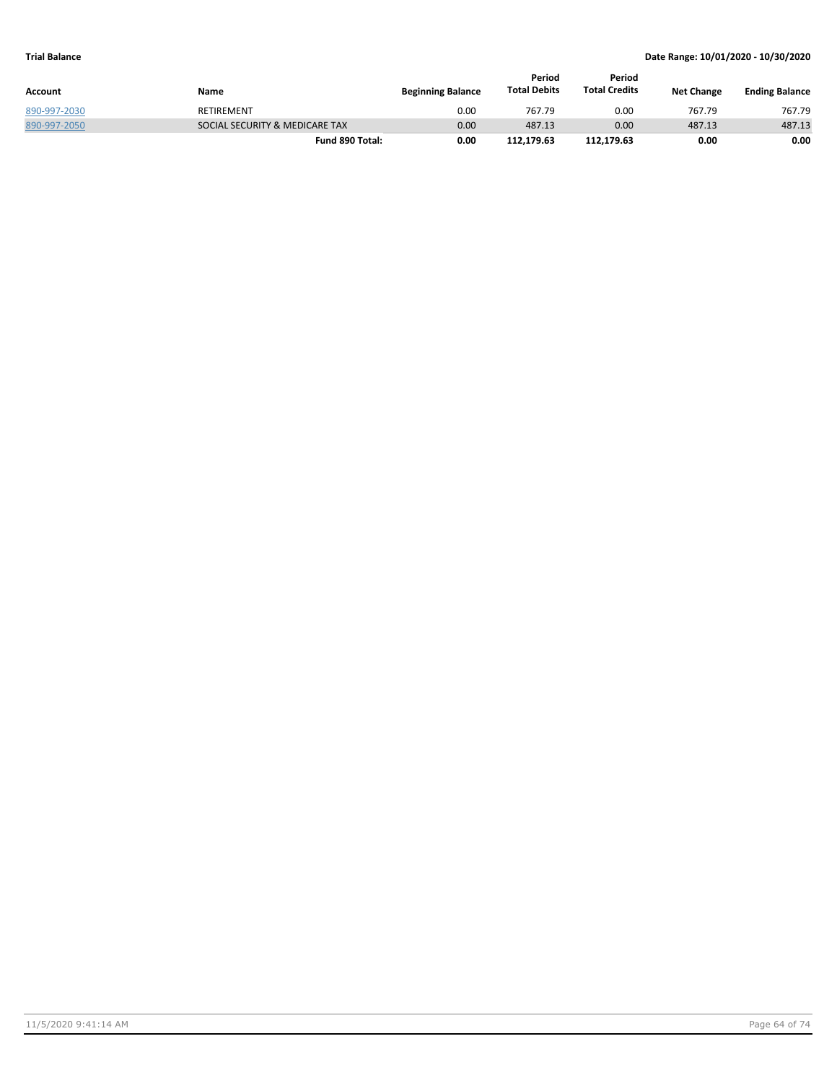|              |                                |                          | Period              | Period               |                   |                       |
|--------------|--------------------------------|--------------------------|---------------------|----------------------|-------------------|-----------------------|
| Account      | Name                           | <b>Beginning Balance</b> | <b>Total Debits</b> | <b>Total Credits</b> | <b>Net Change</b> | <b>Ending Balance</b> |
| 890-997-2030 | <b>RETIREMENT</b>              | 0.00                     | 767.79              | 0.00                 | 767.79            | 767.79                |
| 890-997-2050 | SOCIAL SECURITY & MEDICARE TAX | 0.00                     | 487.13              | 0.00                 | 487.13            | 487.13                |
|              | Fund 890 Total:                | 0.00                     | 112.179.63          | 112.179.63           | 0.00              | 0.00                  |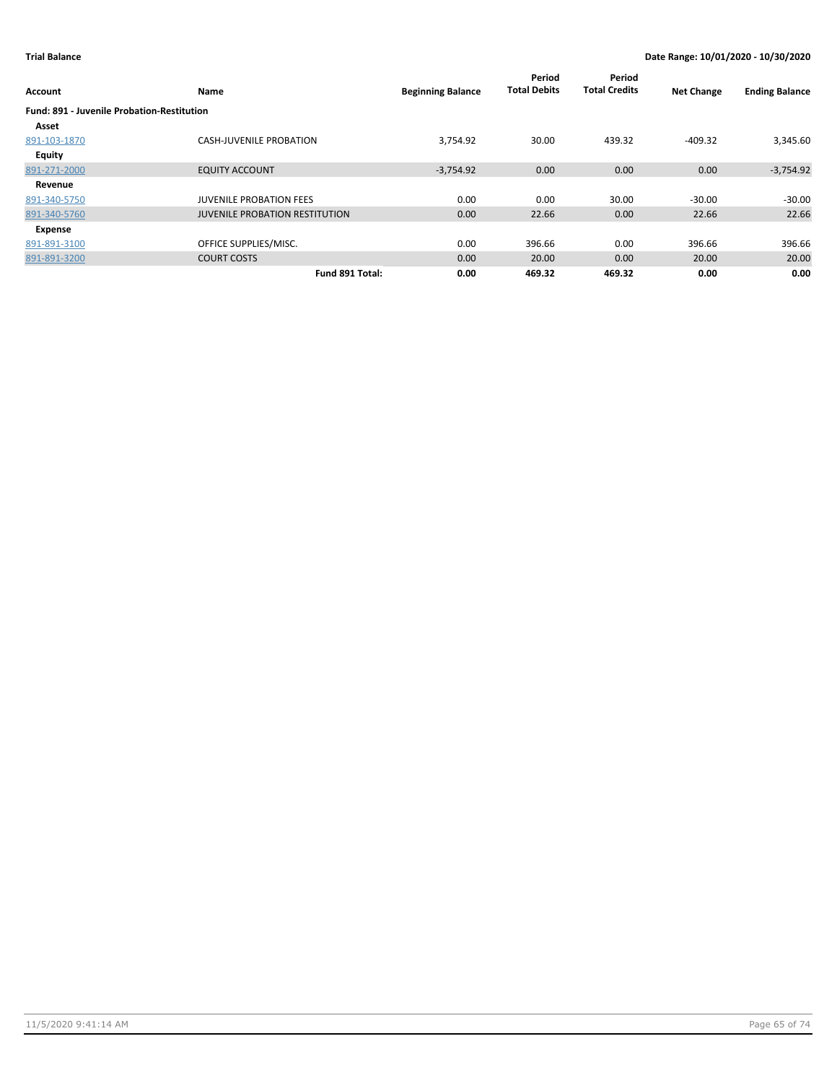| Account                                           | Name                                  | <b>Beginning Balance</b> | Period<br><b>Total Debits</b> | Period<br><b>Total Credits</b> | <b>Net Change</b> | <b>Ending Balance</b> |
|---------------------------------------------------|---------------------------------------|--------------------------|-------------------------------|--------------------------------|-------------------|-----------------------|
| <b>Fund: 891 - Juvenile Probation-Restitution</b> |                                       |                          |                               |                                |                   |                       |
| Asset                                             |                                       |                          |                               |                                |                   |                       |
| 891-103-1870                                      | <b>CASH-JUVENILE PROBATION</b>        | 3,754.92                 | 30.00                         | 439.32                         | $-409.32$         | 3,345.60              |
| <b>Equity</b>                                     |                                       |                          |                               |                                |                   |                       |
| 891-271-2000                                      | <b>EQUITY ACCOUNT</b>                 | $-3,754.92$              | 0.00                          | 0.00                           | 0.00              | $-3,754.92$           |
| Revenue                                           |                                       |                          |                               |                                |                   |                       |
| 891-340-5750                                      | <b>JUVENILE PROBATION FEES</b>        | 0.00                     | 0.00                          | 30.00                          | $-30.00$          | $-30.00$              |
| 891-340-5760                                      | <b>JUVENILE PROBATION RESTITUTION</b> | 0.00                     | 22.66                         | 0.00                           | 22.66             | 22.66                 |
| Expense                                           |                                       |                          |                               |                                |                   |                       |
| 891-891-3100                                      | OFFICE SUPPLIES/MISC.                 | 0.00                     | 396.66                        | 0.00                           | 396.66            | 396.66                |
| 891-891-3200                                      | <b>COURT COSTS</b>                    | 0.00                     | 20.00                         | 0.00                           | 20.00             | 20.00                 |
|                                                   | Fund 891 Total:                       | 0.00                     | 469.32                        | 469.32                         | 0.00              | 0.00                  |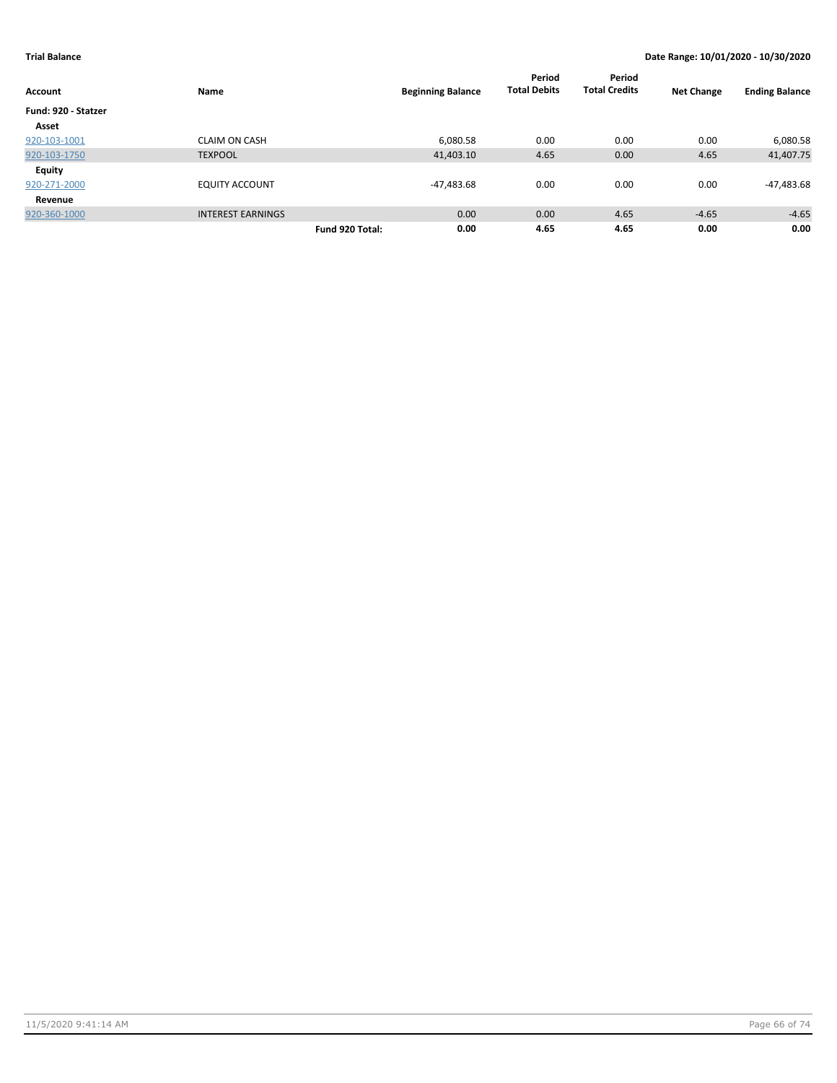| Account             | Name                     | <b>Beginning Balance</b> | Period<br><b>Total Debits</b> | Period<br><b>Total Credits</b> | <b>Net Change</b> | <b>Ending Balance</b> |
|---------------------|--------------------------|--------------------------|-------------------------------|--------------------------------|-------------------|-----------------------|
| Fund: 920 - Statzer |                          |                          |                               |                                |                   |                       |
| Asset               |                          |                          |                               |                                |                   |                       |
| 920-103-1001        | <b>CLAIM ON CASH</b>     | 6,080.58                 | 0.00                          | 0.00                           | 0.00              | 6,080.58              |
| 920-103-1750        | <b>TEXPOOL</b>           | 41,403.10                | 4.65                          | 0.00                           | 4.65              | 41,407.75             |
| <b>Equity</b>       |                          |                          |                               |                                |                   |                       |
| 920-271-2000        | <b>EQUITY ACCOUNT</b>    | -47,483.68               | 0.00                          | 0.00                           | 0.00              | -47,483.68            |
| Revenue             |                          |                          |                               |                                |                   |                       |
| 920-360-1000        | <b>INTEREST EARNINGS</b> | 0.00                     | 0.00                          | 4.65                           | $-4.65$           | $-4.65$               |
|                     | Fund 920 Total:          | 0.00                     | 4.65                          | 4.65                           | 0.00              | 0.00                  |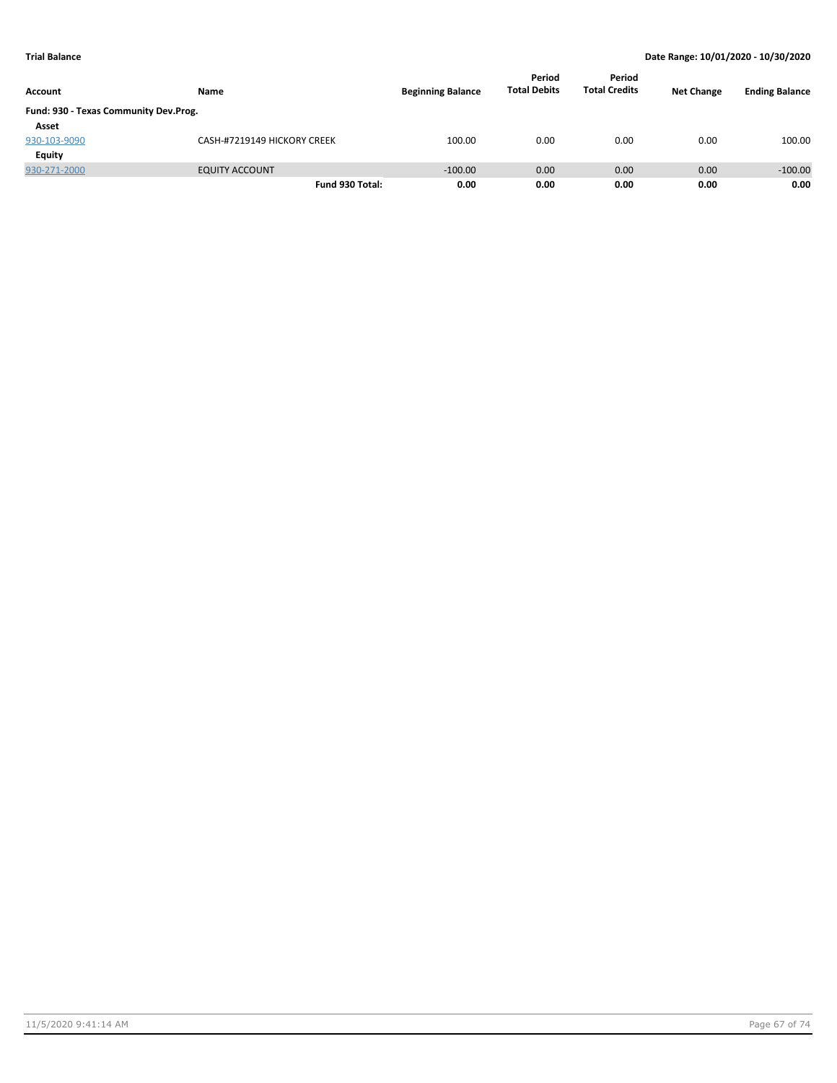|                                       |                             |                          | Period<br><b>Total Debits</b> | Period<br><b>Total Credits</b> |                   |                       |
|---------------------------------------|-----------------------------|--------------------------|-------------------------------|--------------------------------|-------------------|-----------------------|
| Account                               | Name                        | <b>Beginning Balance</b> |                               |                                | <b>Net Change</b> | <b>Ending Balance</b> |
| Fund: 930 - Texas Community Dev.Prog. |                             |                          |                               |                                |                   |                       |
| Asset                                 |                             |                          |                               |                                |                   |                       |
| 930-103-9090                          | CASH-#7219149 HICKORY CREEK | 100.00                   | 0.00                          | 0.00                           | 0.00              | 100.00                |
| Equity                                |                             |                          |                               |                                |                   |                       |
| 930-271-2000                          | <b>EQUITY ACCOUNT</b>       | $-100.00$                | 0.00                          | 0.00                           | 0.00              | $-100.00$             |
|                                       | Fund 930 Total:             | 0.00                     | 0.00                          | 0.00                           | 0.00              | 0.00                  |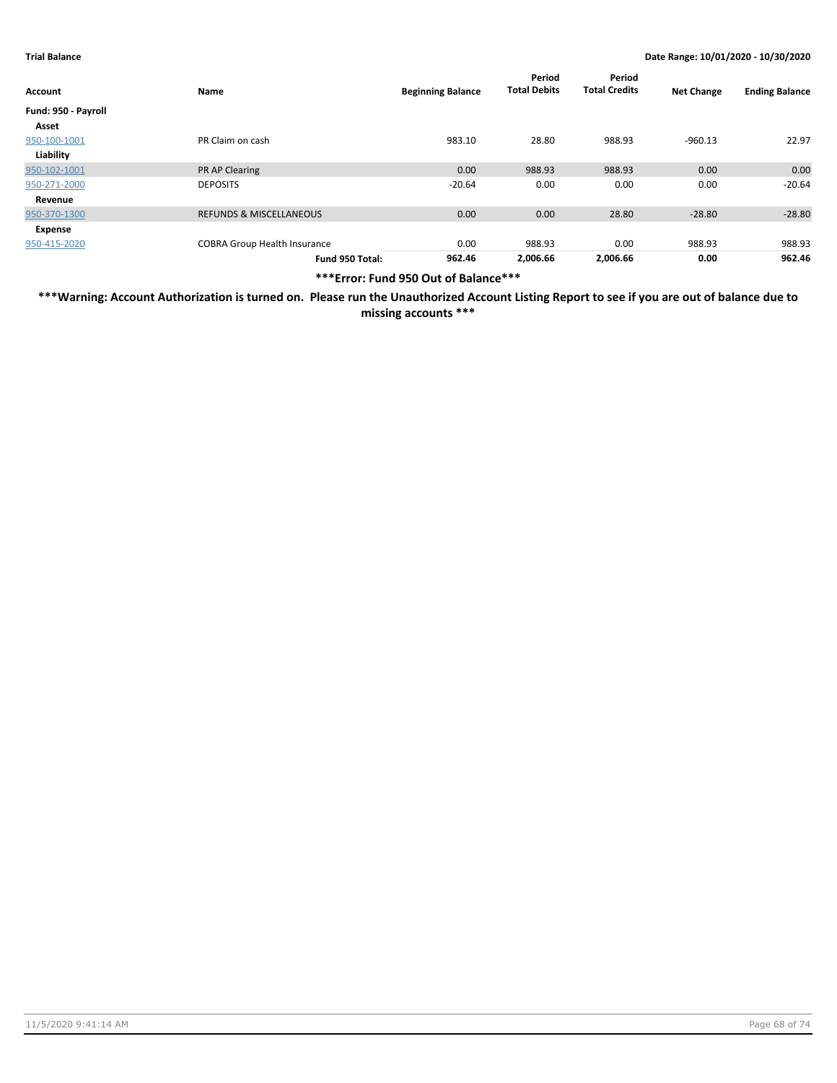| Account             | Name                                | <b>Beginning Balance</b> | Period<br><b>Total Debits</b> | Period<br><b>Total Credits</b> | <b>Net Change</b> | <b>Ending Balance</b> |
|---------------------|-------------------------------------|--------------------------|-------------------------------|--------------------------------|-------------------|-----------------------|
| Fund: 950 - Payroll |                                     |                          |                               |                                |                   |                       |
| Asset               |                                     |                          |                               |                                |                   |                       |
| 950-100-1001        | PR Claim on cash                    | 983.10                   | 28.80                         | 988.93                         | $-960.13$         | 22.97                 |
| Liability           |                                     |                          |                               |                                |                   |                       |
| 950-102-1001        | <b>PR AP Clearing</b>               | 0.00                     | 988.93                        | 988.93                         | 0.00              | 0.00                  |
| 950-271-2000        | <b>DEPOSITS</b>                     | $-20.64$                 | 0.00                          | 0.00                           | 0.00              | $-20.64$              |
| Revenue             |                                     |                          |                               |                                |                   |                       |
| 950-370-1300        | <b>REFUNDS &amp; MISCELLANEOUS</b>  | 0.00                     | 0.00                          | 28.80                          | $-28.80$          | $-28.80$              |
| Expense             |                                     |                          |                               |                                |                   |                       |
| 950-415-2020        | <b>COBRA Group Health Insurance</b> | 0.00                     | 988.93                        | 0.00                           | 988.93            | 988.93                |
|                     | Fund 950 Total:                     | 962.46                   | 2,006.66                      | 2,006.66                       | 0.00              | 962.46                |

**\*\*\*Error: Fund 950 Out of Balance\*\*\***

**\*\*\*Warning: Account Authorization is turned on. Please run the Unauthorized Account Listing Report to see if you are out of balance due to missing accounts \*\*\***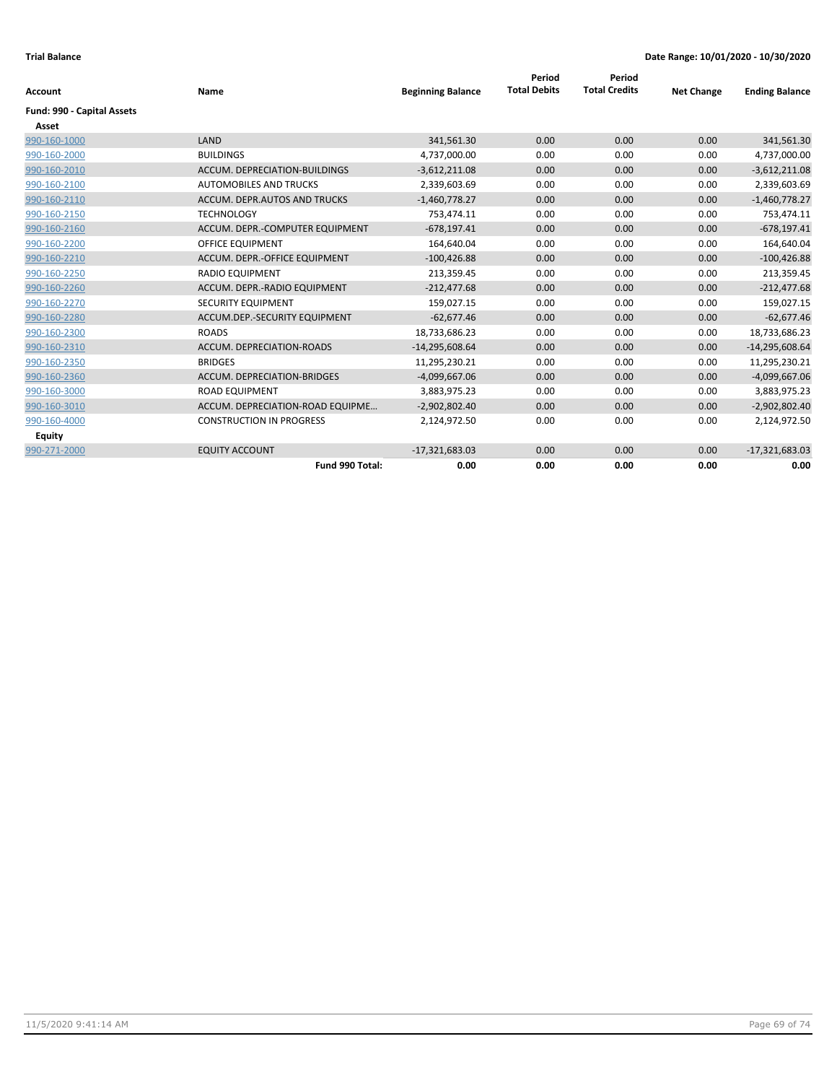|                            |                                      |                          | Period              | Period               |                   |                       |
|----------------------------|--------------------------------------|--------------------------|---------------------|----------------------|-------------------|-----------------------|
| Account                    | Name                                 | <b>Beginning Balance</b> | <b>Total Debits</b> | <b>Total Credits</b> | <b>Net Change</b> | <b>Ending Balance</b> |
| Fund: 990 - Capital Assets |                                      |                          |                     |                      |                   |                       |
| Asset                      |                                      |                          |                     |                      |                   |                       |
| 990-160-1000               | LAND                                 | 341,561.30               | 0.00                | 0.00                 | 0.00              | 341,561.30            |
| 990-160-2000               | <b>BUILDINGS</b>                     | 4,737,000.00             | 0.00                | 0.00                 | 0.00              | 4,737,000.00          |
| 990-160-2010               | <b>ACCUM. DEPRECIATION-BUILDINGS</b> | $-3,612,211.08$          | 0.00                | 0.00                 | 0.00              | $-3,612,211.08$       |
| 990-160-2100               | AUTOMOBILES AND TRUCKS               | 2,339,603.69             | 0.00                | 0.00                 | 0.00              | 2,339,603.69          |
| 990-160-2110               | ACCUM. DEPR.AUTOS AND TRUCKS         | $-1,460,778.27$          | 0.00                | 0.00                 | 0.00              | $-1,460,778.27$       |
| 990-160-2150               | <b>TECHNOLOGY</b>                    | 753,474.11               | 0.00                | 0.00                 | 0.00              | 753,474.11            |
| 990-160-2160               | ACCUM. DEPR.-COMPUTER EQUIPMENT      | $-678,197.41$            | 0.00                | 0.00                 | 0.00              | $-678,197.41$         |
| 990-160-2200               | OFFICE EQUIPMENT                     | 164,640.04               | 0.00                | 0.00                 | 0.00              | 164,640.04            |
| 990-160-2210               | ACCUM. DEPR.-OFFICE EQUIPMENT        | $-100,426.88$            | 0.00                | 0.00                 | 0.00              | $-100,426.88$         |
| 990-160-2250               | <b>RADIO EQUIPMENT</b>               | 213,359.45               | 0.00                | 0.00                 | 0.00              | 213,359.45            |
| 990-160-2260               | ACCUM. DEPR.-RADIO EQUIPMENT         | $-212,477.68$            | 0.00                | 0.00                 | 0.00              | $-212,477.68$         |
| 990-160-2270               | SECURITY EQUIPMENT                   | 159,027.15               | 0.00                | 0.00                 | 0.00              | 159,027.15            |
| 990-160-2280               | ACCUM.DEP.-SECURITY EQUIPMENT        | $-62,677.46$             | 0.00                | 0.00                 | 0.00              | $-62,677.46$          |
| 990-160-2300               | <b>ROADS</b>                         | 18,733,686.23            | 0.00                | 0.00                 | 0.00              | 18,733,686.23         |
| 990-160-2310               | ACCUM. DEPRECIATION-ROADS            | $-14,295,608.64$         | 0.00                | 0.00                 | 0.00              | $-14,295,608.64$      |
| 990-160-2350               | <b>BRIDGES</b>                       | 11,295,230.21            | 0.00                | 0.00                 | 0.00              | 11,295,230.21         |
| 990-160-2360               | <b>ACCUM. DEPRECIATION-BRIDGES</b>   | $-4,099,667.06$          | 0.00                | 0.00                 | 0.00              | $-4,099,667.06$       |
| 990-160-3000               | <b>ROAD EQUIPMENT</b>                | 3,883,975.23             | 0.00                | 0.00                 | 0.00              | 3,883,975.23          |
| 990-160-3010               | ACCUM. DEPRECIATION-ROAD EQUIPME     | $-2,902,802.40$          | 0.00                | 0.00                 | 0.00              | $-2,902,802.40$       |
| 990-160-4000               | <b>CONSTRUCTION IN PROGRESS</b>      | 2,124,972.50             | 0.00                | 0.00                 | 0.00              | 2,124,972.50          |
| Equity                     |                                      |                          |                     |                      |                   |                       |
| 990-271-2000               | <b>EQUITY ACCOUNT</b>                | $-17,321,683.03$         | 0.00                | 0.00                 | 0.00              | $-17,321,683.03$      |
|                            | Fund 990 Total:                      | 0.00                     | 0.00                | 0.00                 | 0.00              | 0.00                  |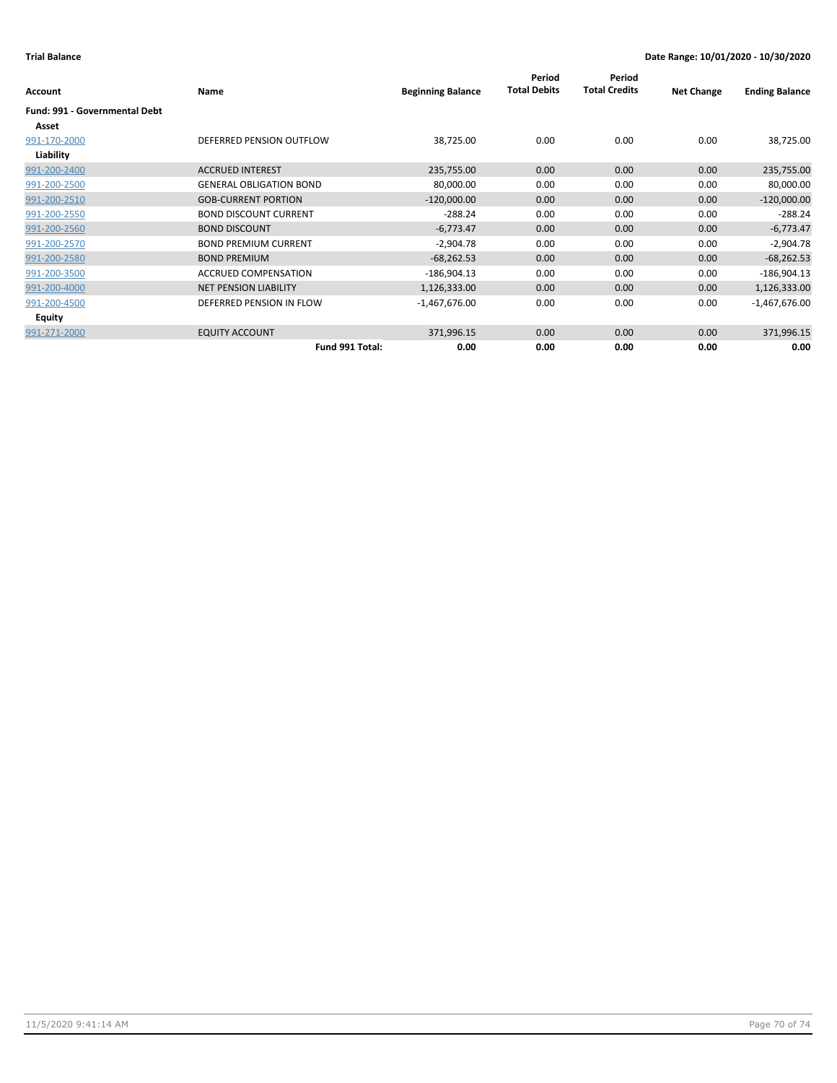| Account                       | Name                           | <b>Beginning Balance</b> | Period<br><b>Total Debits</b> | Period<br><b>Total Credits</b> | <b>Net Change</b> | <b>Ending Balance</b> |
|-------------------------------|--------------------------------|--------------------------|-------------------------------|--------------------------------|-------------------|-----------------------|
| Fund: 991 - Governmental Debt |                                |                          |                               |                                |                   |                       |
| Asset                         |                                |                          |                               |                                |                   |                       |
| 991-170-2000                  | DEFERRED PENSION OUTFLOW       | 38,725.00                | 0.00                          | 0.00                           | 0.00              | 38,725.00             |
| Liability                     |                                |                          |                               |                                |                   |                       |
| 991-200-2400                  | <b>ACCRUED INTEREST</b>        | 235,755.00               | 0.00                          | 0.00                           | 0.00              | 235,755.00            |
| 991-200-2500                  | <b>GENERAL OBLIGATION BOND</b> | 80,000.00                | 0.00                          | 0.00                           | 0.00              | 80,000.00             |
| 991-200-2510                  | <b>GOB-CURRENT PORTION</b>     | $-120,000.00$            | 0.00                          | 0.00                           | 0.00              | $-120,000.00$         |
| 991-200-2550                  | <b>BOND DISCOUNT CURRENT</b>   | $-288.24$                | 0.00                          | 0.00                           | 0.00              | $-288.24$             |
| 991-200-2560                  | <b>BOND DISCOUNT</b>           | $-6,773.47$              | 0.00                          | 0.00                           | 0.00              | $-6,773.47$           |
| 991-200-2570                  | <b>BOND PREMIUM CURRENT</b>    | $-2,904.78$              | 0.00                          | 0.00                           | 0.00              | $-2,904.78$           |
| 991-200-2580                  | <b>BOND PREMIUM</b>            | $-68,262.53$             | 0.00                          | 0.00                           | 0.00              | $-68,262.53$          |
| 991-200-3500                  | <b>ACCRUED COMPENSATION</b>    | $-186,904.13$            | 0.00                          | 0.00                           | 0.00              | $-186,904.13$         |
| 991-200-4000                  | <b>NET PENSION LIABILITY</b>   | 1,126,333.00             | 0.00                          | 0.00                           | 0.00              | 1,126,333.00          |
| 991-200-4500                  | DEFERRED PENSION IN FLOW       | $-1,467,676.00$          | 0.00                          | 0.00                           | 0.00              | $-1,467,676.00$       |
| Equity                        |                                |                          |                               |                                |                   |                       |
| 991-271-2000                  | <b>EQUITY ACCOUNT</b>          | 371,996.15               | 0.00                          | 0.00                           | 0.00              | 371,996.15            |
|                               | Fund 991 Total:                | 0.00                     | 0.00                          | 0.00                           | 0.00              | 0.00                  |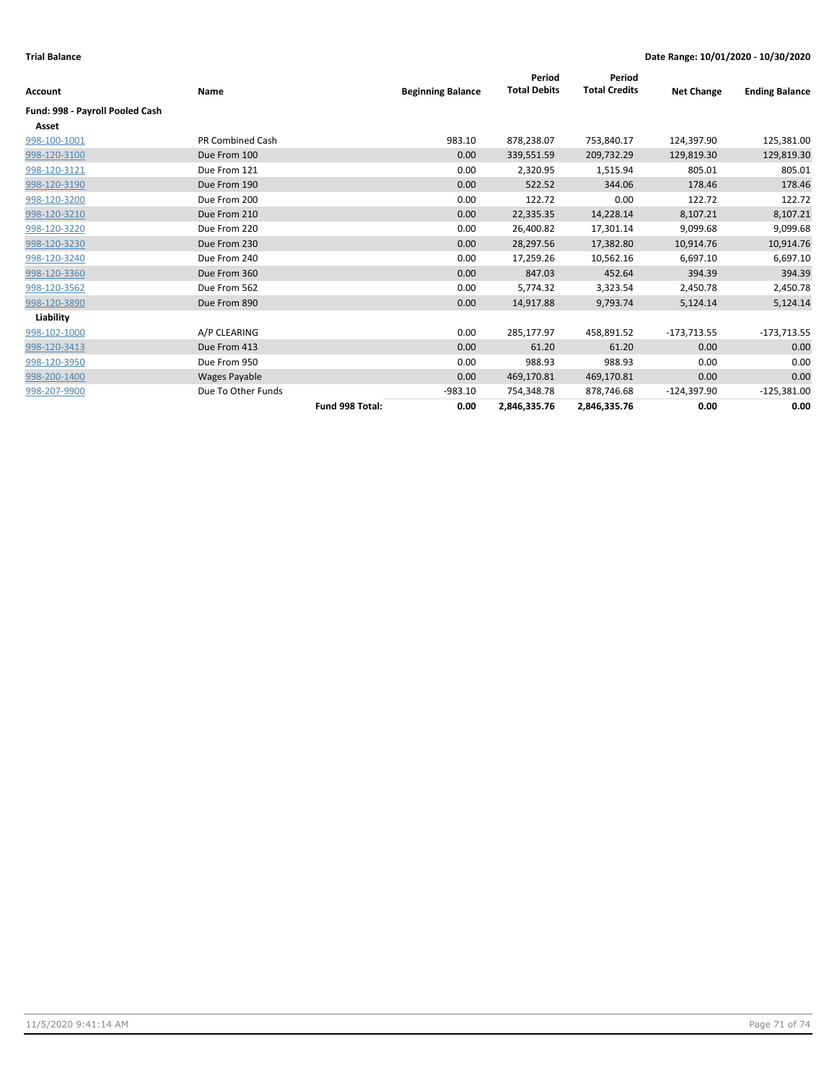|                                 |                         |                 |                          | Period              | Period               |                   |                       |
|---------------------------------|-------------------------|-----------------|--------------------------|---------------------|----------------------|-------------------|-----------------------|
| <b>Account</b>                  | Name                    |                 | <b>Beginning Balance</b> | <b>Total Debits</b> | <b>Total Credits</b> | <b>Net Change</b> | <b>Ending Balance</b> |
| Fund: 998 - Payroll Pooled Cash |                         |                 |                          |                     |                      |                   |                       |
| Asset                           |                         |                 |                          |                     |                      |                   |                       |
| 998-100-1001                    | <b>PR Combined Cash</b> |                 | 983.10                   | 878,238.07          | 753,840.17           | 124,397.90        | 125,381.00            |
| 998-120-3100                    | Due From 100            |                 | 0.00                     | 339,551.59          | 209,732.29           | 129,819.30        | 129,819.30            |
| 998-120-3121                    | Due From 121            |                 | 0.00                     | 2,320.95            | 1,515.94             | 805.01            | 805.01                |
| 998-120-3190                    | Due From 190            |                 | 0.00                     | 522.52              | 344.06               | 178.46            | 178.46                |
| 998-120-3200                    | Due From 200            |                 | 0.00                     | 122.72              | 0.00                 | 122.72            | 122.72                |
| 998-120-3210                    | Due From 210            |                 | 0.00                     | 22,335.35           | 14,228.14            | 8,107.21          | 8,107.21              |
| 998-120-3220                    | Due From 220            |                 | 0.00                     | 26,400.82           | 17,301.14            | 9,099.68          | 9,099.68              |
| 998-120-3230                    | Due From 230            |                 | 0.00                     | 28,297.56           | 17,382.80            | 10,914.76         | 10,914.76             |
| 998-120-3240                    | Due From 240            |                 | 0.00                     | 17,259.26           | 10,562.16            | 6,697.10          | 6,697.10              |
| 998-120-3360                    | Due From 360            |                 | 0.00                     | 847.03              | 452.64               | 394.39            | 394.39                |
| 998-120-3562                    | Due From 562            |                 | 0.00                     | 5,774.32            | 3,323.54             | 2,450.78          | 2,450.78              |
| 998-120-3890                    | Due From 890            |                 | 0.00                     | 14,917.88           | 9,793.74             | 5,124.14          | 5,124.14              |
| Liability                       |                         |                 |                          |                     |                      |                   |                       |
| 998-102-1000                    | A/P CLEARING            |                 | 0.00                     | 285,177.97          | 458,891.52           | $-173,713.55$     | $-173,713.55$         |
| 998-120-3413                    | Due From 413            |                 | 0.00                     | 61.20               | 61.20                | 0.00              | 0.00                  |
| 998-120-3950                    | Due From 950            |                 | 0.00                     | 988.93              | 988.93               | 0.00              | 0.00                  |
| 998-200-1400                    | Wages Payable           |                 | 0.00                     | 469,170.81          | 469,170.81           | 0.00              | 0.00                  |
| 998-207-9900                    | Due To Other Funds      |                 | $-983.10$                | 754,348.78          | 878,746.68           | $-124,397.90$     | $-125,381.00$         |
|                                 |                         | Fund 998 Total: | 0.00                     | 2,846,335.76        | 2,846,335.76         | 0.00              | 0.00                  |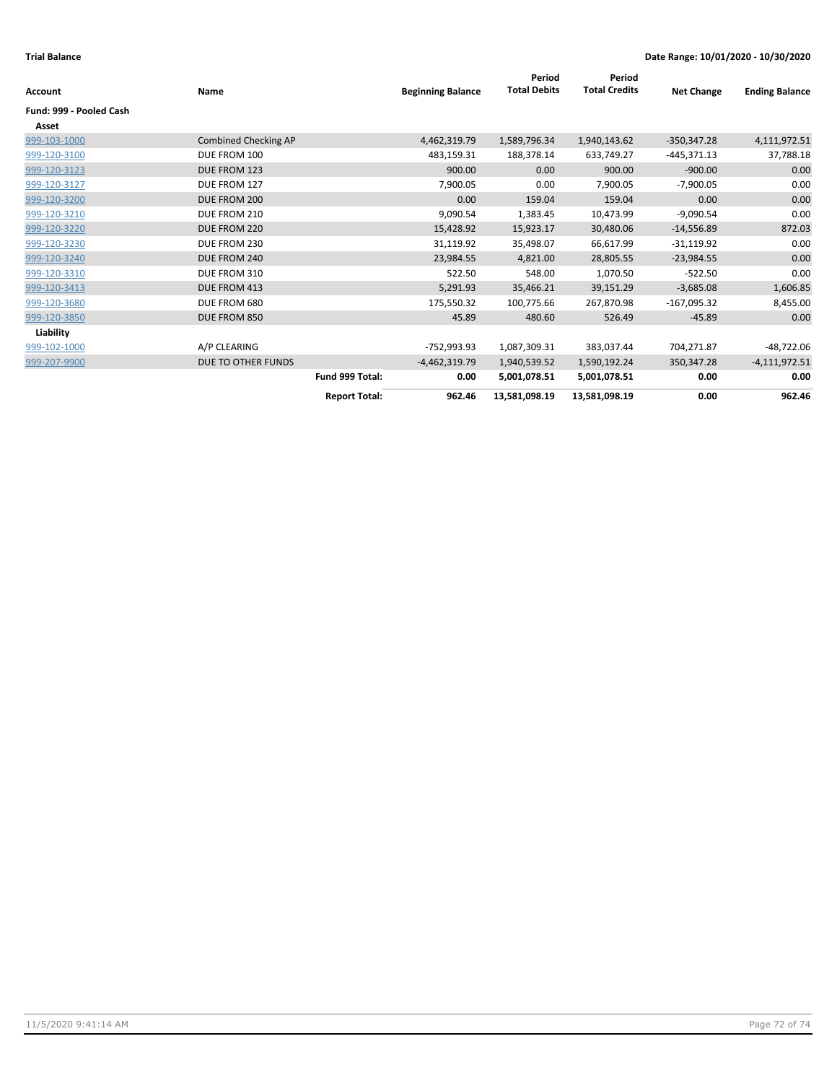| Account                 | Name                 |                      | <b>Beginning Balance</b> | Period<br><b>Total Debits</b> | Period<br><b>Total Credits</b> | <b>Net Change</b> | <b>Ending Balance</b> |
|-------------------------|----------------------|----------------------|--------------------------|-------------------------------|--------------------------------|-------------------|-----------------------|
| Fund: 999 - Pooled Cash |                      |                      |                          |                               |                                |                   |                       |
| Asset                   |                      |                      |                          |                               |                                |                   |                       |
| 999-103-1000            | Combined Checking AP |                      | 4,462,319.79             | 1,589,796.34                  | 1,940,143.62                   | $-350,347.28$     | 4,111,972.51          |
| 999-120-3100            | DUE FROM 100         |                      | 483,159.31               | 188,378.14                    | 633,749.27                     | -445,371.13       | 37,788.18             |
| 999-120-3123            | DUE FROM 123         |                      | 900.00                   | 0.00                          | 900.00                         | $-900.00$         | 0.00                  |
| 999-120-3127            | DUE FROM 127         |                      | 7,900.05                 | 0.00                          | 7,900.05                       | $-7,900.05$       | 0.00                  |
| 999-120-3200            | DUE FROM 200         |                      | 0.00                     | 159.04                        | 159.04                         | 0.00              | 0.00                  |
| 999-120-3210            | DUE FROM 210         |                      | 9,090.54                 | 1,383.45                      | 10,473.99                      | $-9,090.54$       | 0.00                  |
| 999-120-3220            | DUE FROM 220         |                      | 15,428.92                | 15,923.17                     | 30,480.06                      | $-14,556.89$      | 872.03                |
| 999-120-3230            | DUE FROM 230         |                      | 31,119.92                | 35,498.07                     | 66,617.99                      | $-31,119.92$      | 0.00                  |
| 999-120-3240            | DUE FROM 240         |                      | 23,984.55                | 4,821.00                      | 28,805.55                      | $-23,984.55$      | 0.00                  |
| 999-120-3310            | DUE FROM 310         |                      | 522.50                   | 548.00                        | 1,070.50                       | $-522.50$         | 0.00                  |
| 999-120-3413            | DUE FROM 413         |                      | 5,291.93                 | 35,466.21                     | 39,151.29                      | $-3,685.08$       | 1,606.85              |
| 999-120-3680            | DUE FROM 680         |                      | 175,550.32               | 100,775.66                    | 267,870.98                     | -167,095.32       | 8,455.00              |
| 999-120-3850            | DUE FROM 850         |                      | 45.89                    | 480.60                        | 526.49                         | $-45.89$          | 0.00                  |
| Liability               |                      |                      |                          |                               |                                |                   |                       |
| 999-102-1000            | A/P CLEARING         |                      | -752,993.93              | 1,087,309.31                  | 383,037.44                     | 704,271.87        | -48,722.06            |
| 999-207-9900            | DUE TO OTHER FUNDS   |                      | $-4,462,319.79$          | 1,940,539.52                  | 1,590,192.24                   | 350,347.28        | $-4,111,972.51$       |
|                         |                      | Fund 999 Total:      | 0.00                     | 5,001,078.51                  | 5,001,078.51                   | 0.00              | 0.00                  |
|                         |                      | <b>Report Total:</b> | 962.46                   | 13,581,098.19                 | 13,581,098.19                  | 0.00              | 962.46                |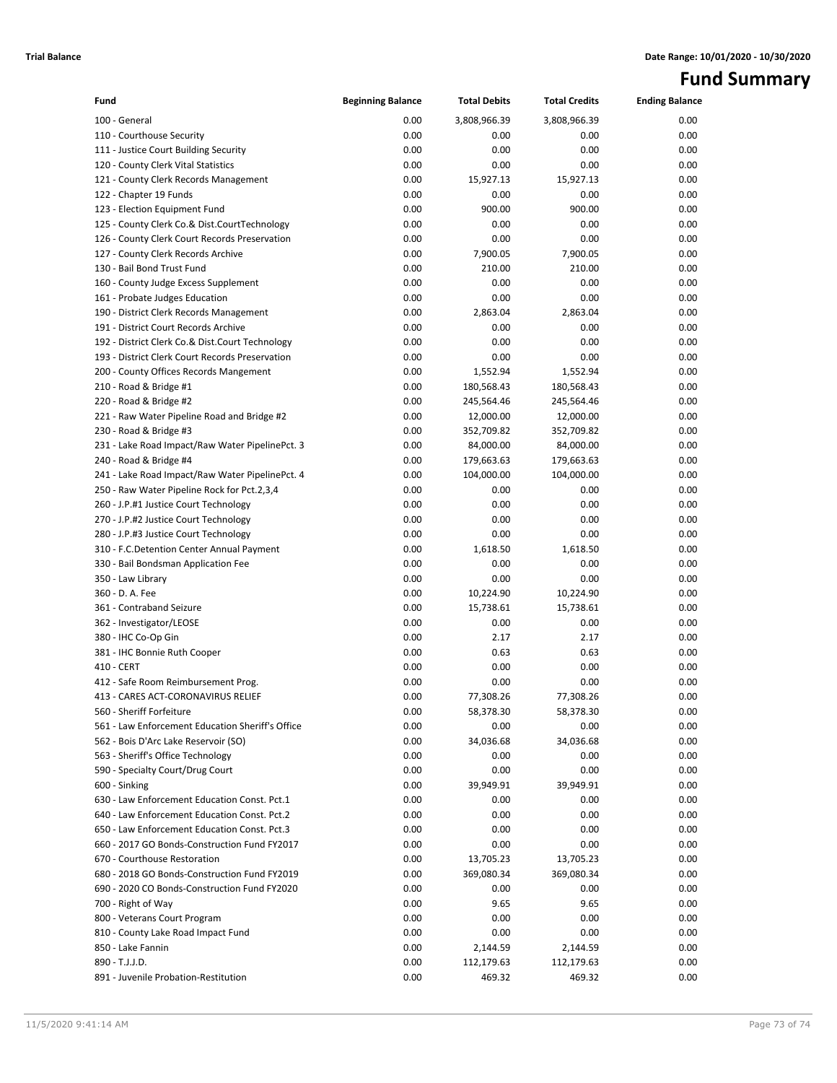## **Fund Summary**

| Fund                                             | <b>Beginning Balance</b> | <b>Total Debits</b> | <b>Total Credits</b> | <b>Ending Balance</b> |
|--------------------------------------------------|--------------------------|---------------------|----------------------|-----------------------|
| 100 - General                                    | 0.00                     | 3,808,966.39        | 3,808,966.39         | 0.00                  |
| 110 - Courthouse Security                        | 0.00                     | 0.00                | 0.00                 | 0.00                  |
| 111 - Justice Court Building Security            | 0.00                     | 0.00                | 0.00                 | 0.00                  |
| 120 - County Clerk Vital Statistics              | 0.00                     | 0.00                | 0.00                 | 0.00                  |
| 121 - County Clerk Records Management            | 0.00                     | 15,927.13           | 15,927.13            | 0.00                  |
| 122 - Chapter 19 Funds                           | 0.00                     | 0.00                | 0.00                 | 0.00                  |
| 123 - Election Equipment Fund                    | 0.00                     | 900.00              | 900.00               | 0.00                  |
| 125 - County Clerk Co.& Dist.CourtTechnology     | 0.00                     | 0.00                | 0.00                 | 0.00                  |
| 126 - County Clerk Court Records Preservation    | 0.00                     | 0.00                | 0.00                 | 0.00                  |
| 127 - County Clerk Records Archive               | 0.00                     | 7,900.05            | 7,900.05             | 0.00                  |
| 130 - Bail Bond Trust Fund                       | 0.00                     | 210.00              | 210.00               | 0.00                  |
| 160 - County Judge Excess Supplement             | 0.00                     | 0.00                | 0.00                 | 0.00                  |
| 161 - Probate Judges Education                   | 0.00                     | 0.00                | 0.00                 | 0.00                  |
| 190 - District Clerk Records Management          | 0.00                     | 2,863.04            | 2,863.04             | 0.00                  |
| 191 - District Court Records Archive             | 0.00                     | 0.00                | 0.00                 | 0.00                  |
| 192 - District Clerk Co.& Dist.Court Technology  | 0.00                     | 0.00                | 0.00                 | 0.00                  |
| 193 - District Clerk Court Records Preservation  | 0.00                     | 0.00                | 0.00                 | 0.00                  |
| 200 - County Offices Records Mangement           | 0.00                     | 1,552.94            | 1,552.94             | 0.00                  |
| 210 - Road & Bridge #1                           | 0.00                     | 180,568.43          | 180,568.43           | 0.00                  |
| 220 - Road & Bridge #2                           | 0.00                     | 245,564.46          | 245,564.46           | 0.00                  |
| 221 - Raw Water Pipeline Road and Bridge #2      | 0.00                     | 12,000.00           | 12,000.00            | 0.00                  |
| 230 - Road & Bridge #3                           | 0.00                     | 352,709.82          | 352,709.82           | 0.00                  |
| 231 - Lake Road Impact/Raw Water PipelinePct. 3  | 0.00                     | 84,000.00           | 84,000.00            | 0.00                  |
| 240 - Road & Bridge #4                           | 0.00                     | 179,663.63          | 179,663.63           | 0.00                  |
| 241 - Lake Road Impact/Raw Water PipelinePct. 4  | 0.00                     | 104,000.00          | 104,000.00           | 0.00                  |
| 250 - Raw Water Pipeline Rock for Pct.2,3,4      | 0.00                     | 0.00                | 0.00                 | 0.00                  |
| 260 - J.P.#1 Justice Court Technology            | 0.00                     | 0.00                | 0.00                 | 0.00                  |
| 270 - J.P.#2 Justice Court Technology            | 0.00                     | 0.00                | 0.00                 | 0.00                  |
| 280 - J.P.#3 Justice Court Technology            | 0.00                     | 0.00                | 0.00                 | 0.00                  |
| 310 - F.C.Detention Center Annual Payment        | 0.00                     | 1,618.50            | 1,618.50             | 0.00                  |
| 330 - Bail Bondsman Application Fee              | 0.00                     | 0.00                | 0.00                 | 0.00                  |
| 350 - Law Library                                | 0.00                     | 0.00                | 0.00                 | 0.00                  |
| 360 - D. A. Fee                                  | 0.00                     | 10,224.90           | 10,224.90            | 0.00                  |
| 361 - Contraband Seizure                         | 0.00                     | 15,738.61           | 15,738.61            | 0.00                  |
| 362 - Investigator/LEOSE                         | 0.00                     | 0.00                | 0.00                 | 0.00                  |
| 380 - IHC Co-Op Gin                              | 0.00                     | 2.17                | 2.17                 | 0.00                  |
| 381 - IHC Bonnie Ruth Cooper                     | 0.00                     | 0.63                | 0.63                 | 0.00                  |
| 410 - CERT                                       | 0.00                     | 0.00                | 0.00                 | 0.00                  |
| 412 - Safe Room Reimbursement Prog.              | 0.00                     | 0.00                | 0.00                 | 0.00                  |
| 413 - CARES ACT-CORONAVIRUS RELIEF               | 0.00                     | 77,308.26           | 77,308.26            | 0.00                  |
| 560 - Sheriff Forfeiture                         | 0.00                     | 58,378.30           | 58,378.30            | 0.00                  |
| 561 - Law Enforcement Education Sheriff's Office | 0.00                     | 0.00                | 0.00                 | 0.00                  |
| 562 - Bois D'Arc Lake Reservoir (SO)             | 0.00                     | 34,036.68           | 34,036.68            | 0.00                  |
| 563 - Sheriff's Office Technology                | 0.00                     | 0.00                | 0.00                 | 0.00                  |
| 590 - Specialty Court/Drug Court                 | 0.00                     | 0.00                | 0.00                 | 0.00                  |
| 600 - Sinking                                    | 0.00                     | 39,949.91           | 39,949.91            | 0.00                  |
| 630 - Law Enforcement Education Const. Pct.1     | 0.00                     | 0.00                | 0.00                 | 0.00                  |
| 640 - Law Enforcement Education Const. Pct.2     | 0.00                     | 0.00                | 0.00                 | 0.00                  |
| 650 - Law Enforcement Education Const. Pct.3     | 0.00                     | 0.00                | 0.00                 | 0.00                  |
| 660 - 2017 GO Bonds-Construction Fund FY2017     | 0.00                     | 0.00                | 0.00                 | 0.00                  |
| 670 - Courthouse Restoration                     | 0.00                     | 13,705.23           | 13,705.23            | 0.00                  |
| 680 - 2018 GO Bonds-Construction Fund FY2019     | 0.00                     | 369,080.34          | 369,080.34           | 0.00                  |
| 690 - 2020 CO Bonds-Construction Fund FY2020     | 0.00                     | 0.00                | 0.00                 | 0.00                  |
| 700 - Right of Way                               | 0.00                     | 9.65                | 9.65                 | 0.00                  |
| 800 - Veterans Court Program                     | 0.00                     | 0.00                | 0.00                 | 0.00                  |
| 810 - County Lake Road Impact Fund               | 0.00                     | 0.00                | 0.00                 | 0.00                  |
| 850 - Lake Fannin                                | 0.00                     | 2,144.59            | 2,144.59             | 0.00                  |
| 890 - T.J.J.D.                                   | 0.00                     | 112,179.63          | 112,179.63           | 0.00                  |
| 891 - Juvenile Probation-Restitution             | 0.00                     | 469.32              | 469.32               | 0.00                  |